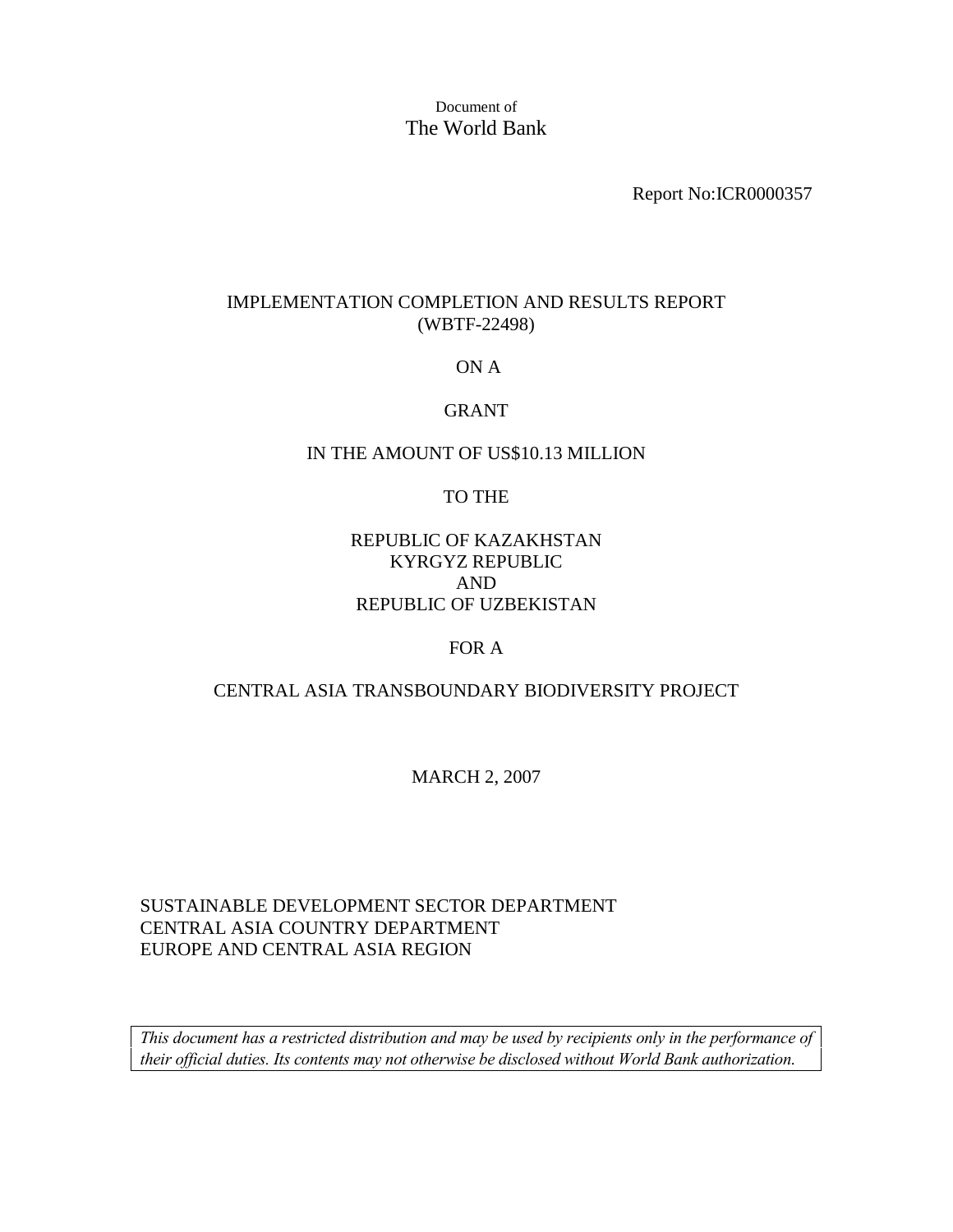Document of The World Bank

Report No:ICR0000357

#### IMPLEMENTATION COMPLETION AND RESULTS REPORT (WBTF-22498)

#### ON A

## GRANT

#### IN THE AMOUNT OF US\$10.13 MILLION

#### TO THE

## REPUBLIC OF KAZAKHSTAN KYRGYZ REPUBLIC AND REPUBLIC OF UZBEKISTAN

#### FOR A

#### CENTRAL ASIA TRANSBOUNDARY BIODIVERSITY PROJECT

#### MARCH 2, 2007

## SUSTAINABLE DEVELOPMENT SECTOR DEPARTMENT CENTRAL ASIA COUNTRY DEPARTMENT EUROPE AND CENTRAL ASIA REGION

*This document has a restricted distribution and may be used by recipients only in the performance of their official duties. Its contents may not otherwise be disclosed without World Bank authorization.*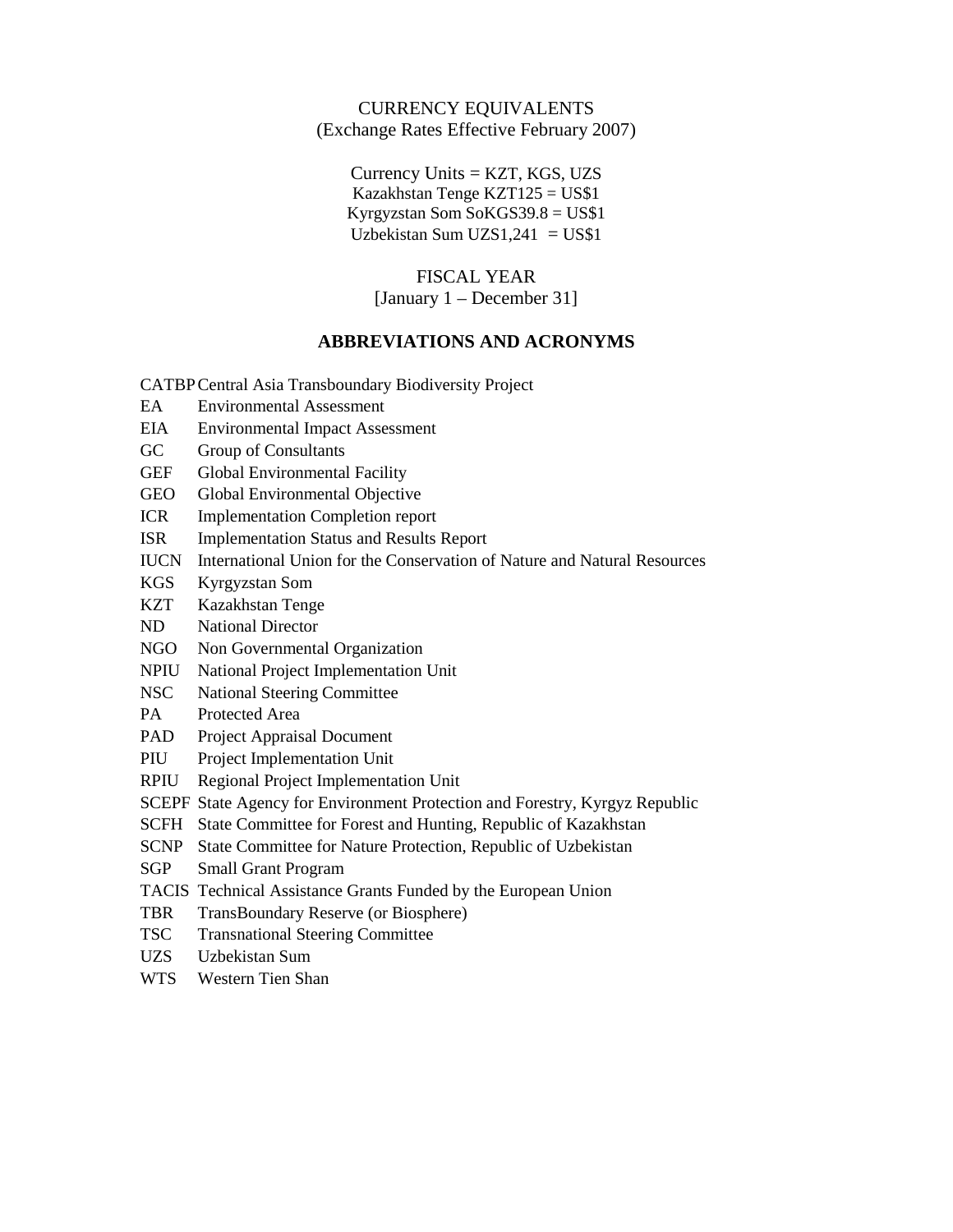#### CURRENCY EQUIVALENTS (Exchange Rates Effective February 2007)

 $Currence$  Units = KZT, KGS, UZS Kazakhstan Tenge KZT125 = US\$1 Kyrgyzstan Som SoKGS39.8 = US\$1 Uzbekistan Sum UZS $1,241 = US\$ 

#### FISCAL YEAR

[January 1 – December 31]

#### **ABBREVIATIONS AND ACRONYMS**

CATBPCentral Asia Transboundary Biodiversity Project

- EA Environmental Assessment
- EIA Environmental Impact Assessment
- GC Group of Consultants
- GEF Global Environmental Facility
- GEO Global Environmental Objective
- ICR Implementation Completion report
- ISR Implementation Status and Results Report
- IUCN International Union for the Conservation of Nature and Natural Resources
- KGS Kyrgyzstan Som
- KZT Kazakhstan Tenge
- ND National Director
- NGO Non Governmental Organization
- NPIU National Project Implementation Unit
- NSC National Steering Committee
- PA Protected Area
- PAD Project Appraisal Document
- PIU Project Implementation Unit
- RPIU Regional Project Implementation Unit
- SCEPF State Agency for Environment Protection and Forestry, Kyrgyz Republic
- SCFH State Committee for Forest and Hunting, Republic of Kazakhstan
- SCNP State Committee for Nature Protection, Republic of Uzbekistan
- SGP Small Grant Program
- TACIS Technical Assistance Grants Funded by the European Union
- TBR TransBoundary Reserve (or Biosphere)
- TSC Transnational Steering Committee
- UZS Uzbekistan Sum
- WTS Western Tien Shan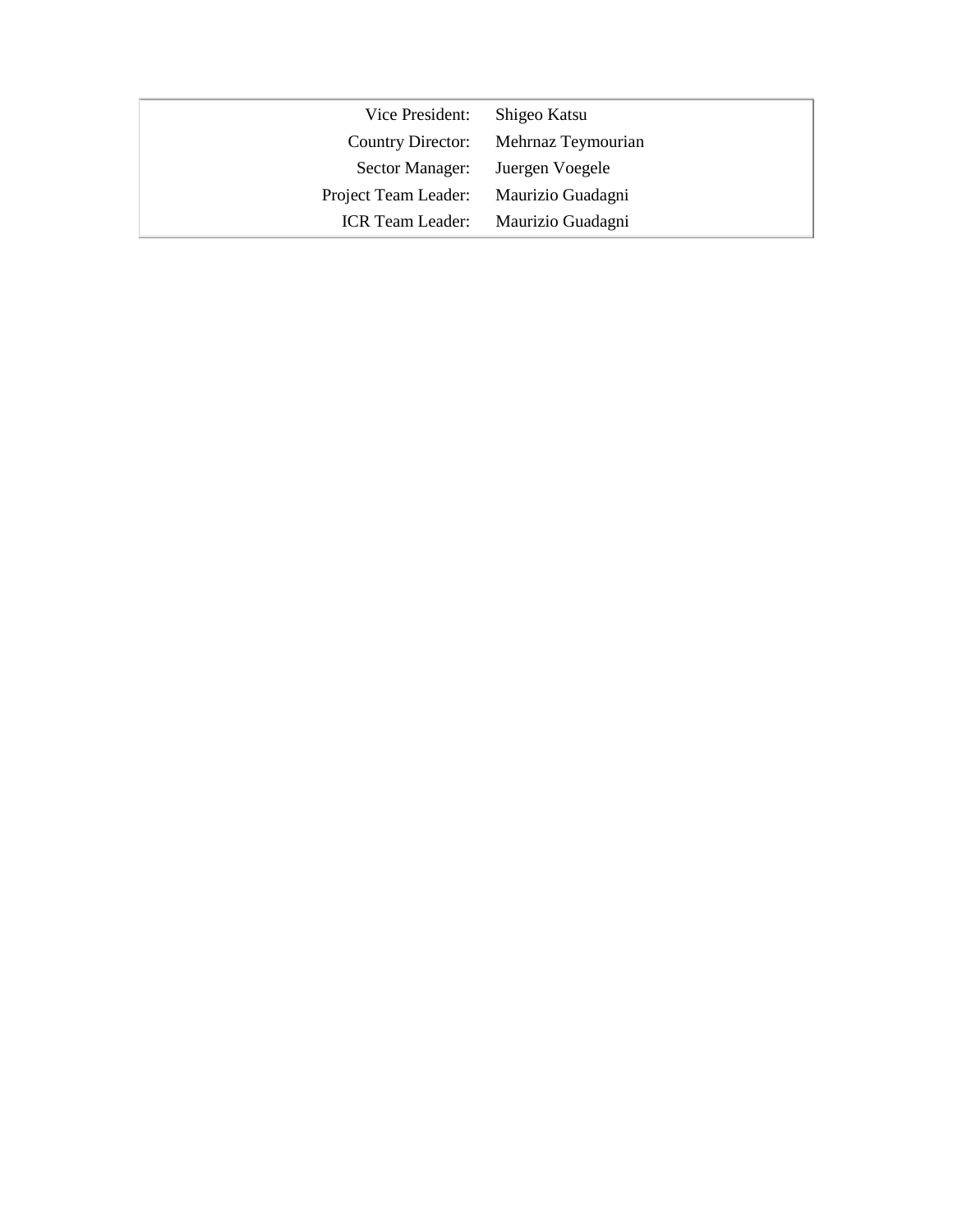| Vice President: Shigeo Katsu           |                                      |
|----------------------------------------|--------------------------------------|
|                                        | Country Director: Mehrnaz Teymourian |
| Sector Manager: Juergen Voegele        |                                      |
| Project Team Leader: Maurizio Guadagni |                                      |
|                                        | ICR Team Leader: Maurizio Guadagni   |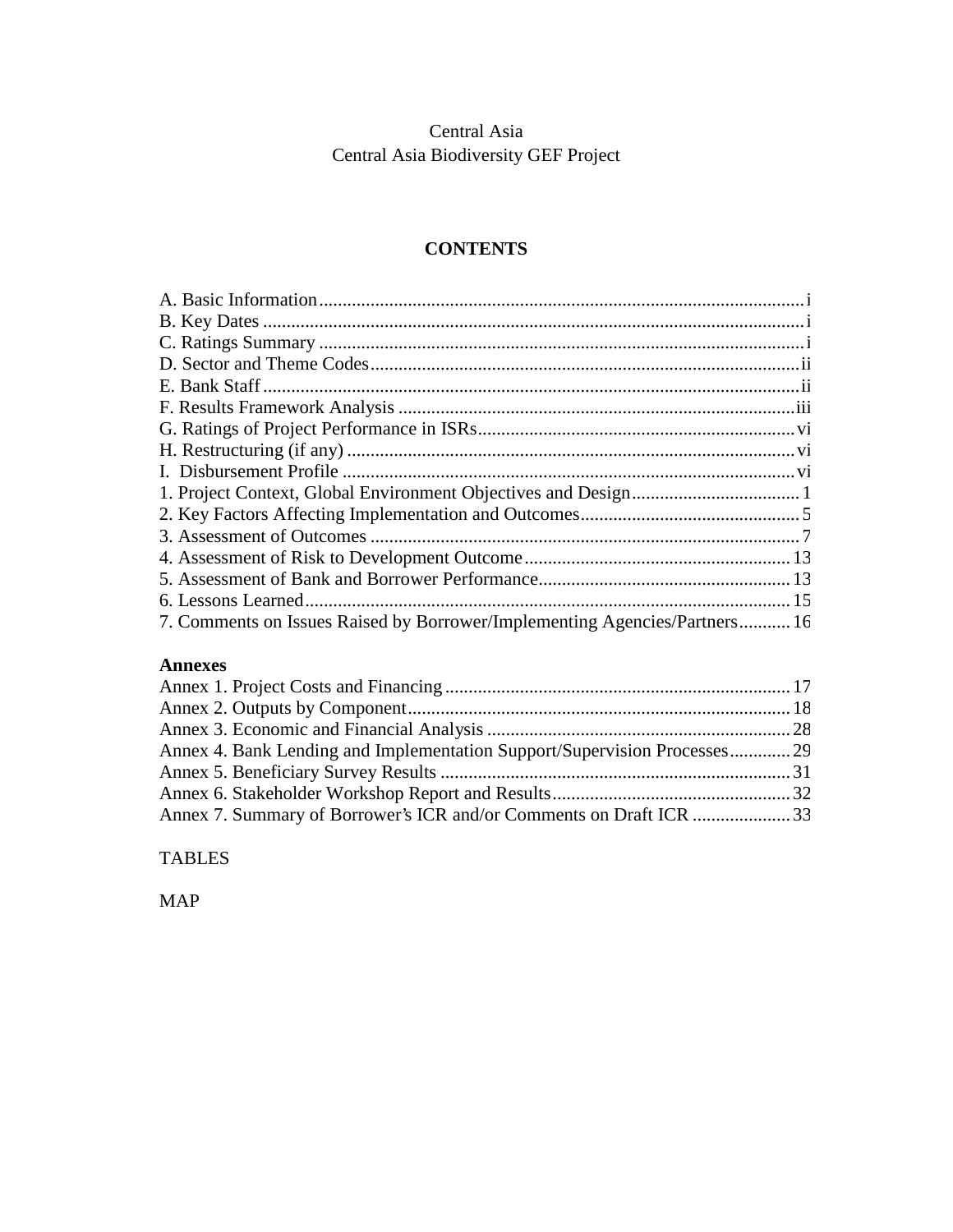## Central Asia Central Asia Biodiversity GEF Project

## **CONTENTS**

| 7. Comments on Issues Raised by Borrower/Implementing Agencies/Partners 16 |  |
|----------------------------------------------------------------------------|--|

## **Annexes**

| Annex 4. Bank Lending and Implementation Support/Supervision Processes 29 |  |
|---------------------------------------------------------------------------|--|
|                                                                           |  |
|                                                                           |  |
| Annex 7. Summary of Borrower's ICR and/or Comments on Draft ICR 33        |  |

TABLES

MAP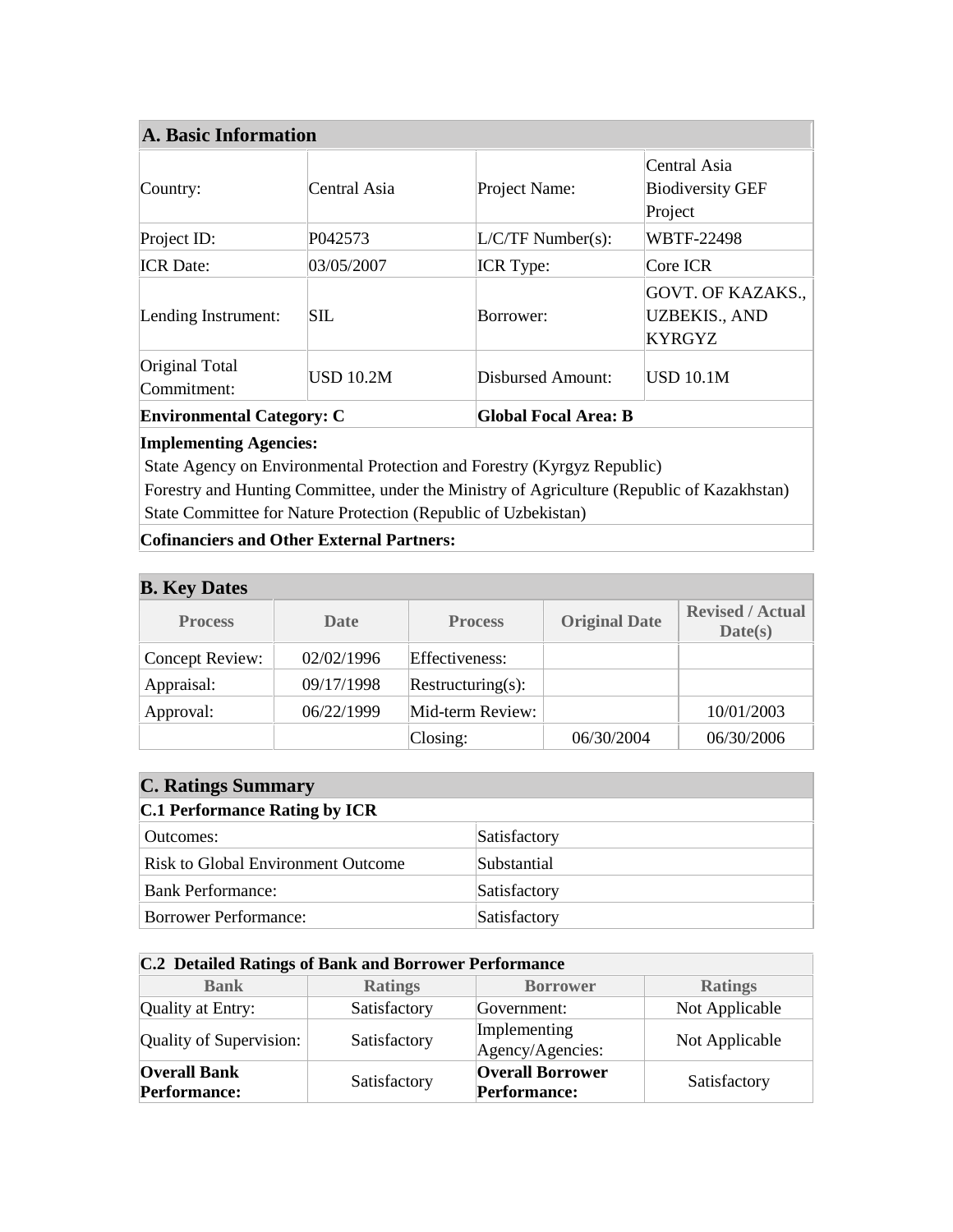| A. Basic Information                                            |                  |                     |                                                                   |  |
|-----------------------------------------------------------------|------------------|---------------------|-------------------------------------------------------------------|--|
| Country:                                                        | Central Asia     | Project Name:       | Central Asia<br><b>Biodiversity GEF</b><br>Project                |  |
| Project ID:                                                     | P042573          | $L/C/TF$ Number(s): | <b>WBTF-22498</b>                                                 |  |
| <b>ICR</b> Date:                                                | 03/05/2007       | <b>ICR</b> Type:    | Core ICR                                                          |  |
| Lending Instrument:                                             | SIL              | Borrower:           | <b>GOVT. OF KAZAKS.,</b><br><b>UZBEKIS., AND</b><br><b>KYRGYZ</b> |  |
| Original Total<br>Commitment:                                   | <b>USD 10.2M</b> | Disbursed Amount:   | <b>USD 10.1M</b>                                                  |  |
| <b>Global Focal Area: B</b><br><b>Environmental Category: C</b> |                  |                     |                                                                   |  |

## **Implementing Agencies:**

State Agency on Environmental Protection and Forestry (Kyrgyz Republic)

 Forestry and Hunting Committee, under the Ministry of Agriculture (Republic of Kazakhstan) State Committee for Nature Protection (Republic of Uzbekistan)

**Cofinanciers and Other External Partners:**

| <b>B.</b> Key Dates |             |                   |                      |                                    |
|---------------------|-------------|-------------------|----------------------|------------------------------------|
| <b>Process</b>      | <b>Date</b> | <b>Process</b>    | <b>Original Date</b> | <b>Revised / Actual</b><br>Date(s) |
| Concept Review:     | 02/02/1996  | Effectiveness:    |                      |                                    |
| Appraisal:          | 09/17/1998  | Restructuring(s): |                      |                                    |
| Approval:           | 06/22/1999  | Mid-term Review:  |                      | 10/01/2003                         |
|                     |             | $\text{Closing:}$ | 06/30/2004           | 06/30/2006                         |

## **C. Ratings Summary**

## **C.1 Performance Rating by ICR**

| $\sim$ . The contribution of $\sim$ , $\sim$ |              |  |  |
|----------------------------------------------|--------------|--|--|
| Outcomes:                                    | Satisfactory |  |  |
| Risk to Global Environment Outcome           | Substantial  |  |  |
| Bank Performance:                            | Satisfactory |  |  |
| Borrower Performance:                        | Satisfactory |  |  |

| <b>C.2 Detailed Ratings of Bank and Borrower Performance</b> |                |                                                |                |  |
|--------------------------------------------------------------|----------------|------------------------------------------------|----------------|--|
| <b>Bank</b>                                                  | <b>Ratings</b> | <b>Borrower</b>                                | <b>Ratings</b> |  |
| Quality at Entry:                                            | Satisfactory   | Government:                                    | Not Applicable |  |
| Quality of Supervision:                                      | Satisfactory   | Implementing<br>Agency/Agencies:               | Not Applicable |  |
| <b>Overall Bank</b><br><b>Performance:</b>                   | Satisfactory   | <b>Overall Borrower</b><br><b>Performance:</b> | Satisfactory   |  |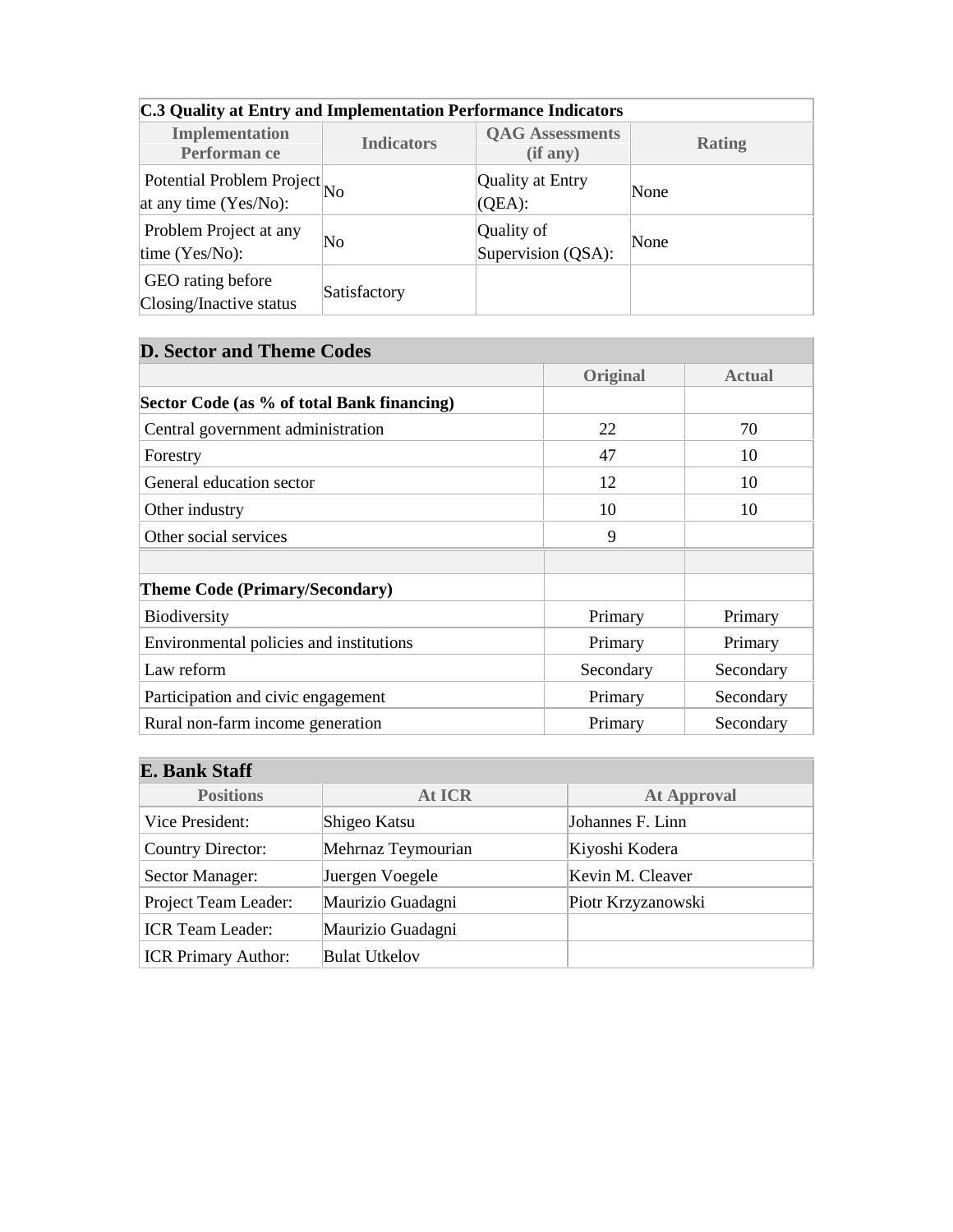| C.3 Quality at Entry and Implementation Performance Indicators |                   |                                    |               |  |
|----------------------------------------------------------------|-------------------|------------------------------------|---------------|--|
| <b>Implementation</b><br>Performan ce                          | <b>Indicators</b> | <b>QAG</b> Assessments<br>(if any) | <b>Rating</b> |  |
| Potential Problem Project No<br>at any time (Yes/No):          |                   | Quality at Entry<br>$(QEA)$ :      | None          |  |
| Problem Project at any<br>time $(Yes/No)$ :                    | No                | Quality of<br>Supervision (QSA):   | None          |  |
| GEO rating before<br>Closing/Inactive status                   | Satisfactory      |                                    |               |  |

# **D. Sector and Theme Codes Original Actual Sector Code (as % of total Bank financing)**  Central government administration 22 70 Forestry 10 General education sector 12 10 Other industry 10 10 10 Other social services 9 **Theme Code (Primary/Secondary)**  Biodiversity Primary Primary Primary Primary Primary Environmental policies and institutions Primary Primary Primary Primary Law reform Secondary Secondary Secondary Secondary Secondary Secondary Secondary Participation and civic engagement Primary Secondary Secondary Rural non-farm income generation Primary Secondary

| <b>E. Bank Staff</b>       |                      |                    |  |  |
|----------------------------|----------------------|--------------------|--|--|
| <b>Positions</b>           | At ICR               | <b>At Approval</b> |  |  |
| Vice President:            | Shigeo Katsu         | Johannes F. Linn   |  |  |
| <b>Country Director:</b>   | Mehrnaz Teymourian   | Kiyoshi Kodera     |  |  |
| Sector Manager:            | Juergen Voegele      | Kevin M. Cleaver   |  |  |
| Project Team Leader:       | Maurizio Guadagni    | Piotr Krzyzanowski |  |  |
| <b>ICR Team Leader:</b>    | Maurizio Guadagni    |                    |  |  |
| <b>ICR Primary Author:</b> | <b>Bulat Utkelov</b> |                    |  |  |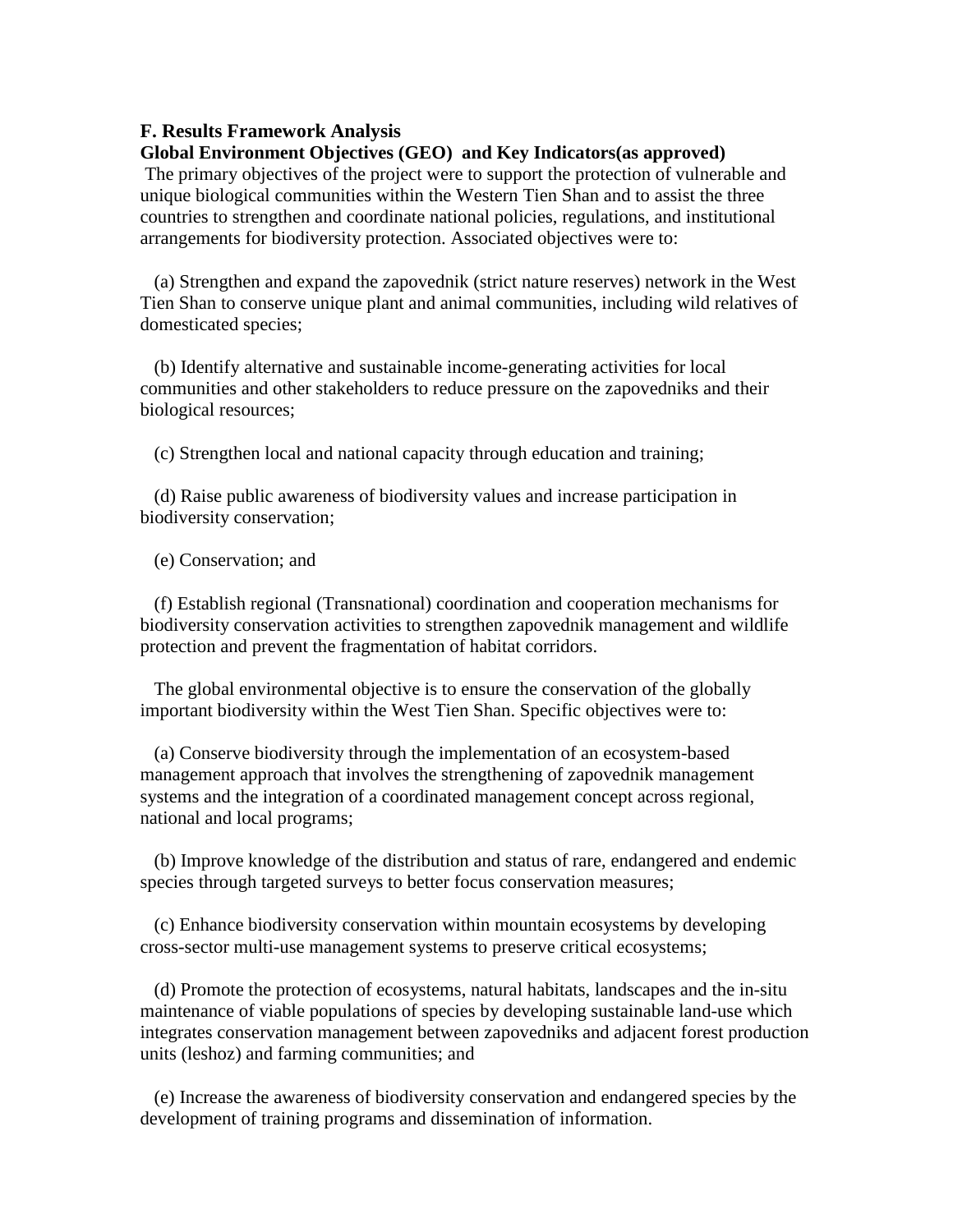#### **F. Results Framework Analysis**

#### **Global Environment Objectives (GEO) and Key Indicators(as approved)**

The primary objectives of the project were to support the protection of vulnerable and unique biological communities within the Western Tien Shan and to assist the three countries to strengthen and coordinate national policies, regulations, and institutional arrangements for biodiversity protection. Associated objectives were to:

(a) Strengthen and expand the zapovednik (strict nature reserves) network in the West Tien Shan to conserve unique plant and animal communities, including wild relatives of domesticated species;

(b) Identify alternative and sustainable income-generating activities for local communities and other stakeholders to reduce pressure on the zapovedniks and their biological resources;

(c) Strengthen local and national capacity through education and training;

(d) Raise public awareness of biodiversity values and increase participation in biodiversity conservation;

(e) Conservation; and

(f) Establish regional (Transnational) coordination and cooperation mechanisms for biodiversity conservation activities to strengthen zapovednik management and wildlife protection and prevent the fragmentation of habitat corridors.

The global environmental objective is to ensure the conservation of the globally important biodiversity within the West Tien Shan. Specific objectives were to:

(a) Conserve biodiversity through the implementation of an ecosystem-based management approach that involves the strengthening of zapovednik management systems and the integration of a coordinated management concept across regional, national and local programs;

(b) Improve knowledge of the distribution and status of rare, endangered and endemic species through targeted surveys to better focus conservation measures;

(c) Enhance biodiversity conservation within mountain ecosystems by developing cross-sector multi-use management systems to preserve critical ecosystems;

(d) Promote the protection of ecosystems, natural habitats, landscapes and the in-situ maintenance of viable populations of species by developing sustainable land-use which integrates conservation management between zapovedniks and adjacent forest production units (leshoz) and farming communities; and

(e) Increase the awareness of biodiversity conservation and endangered species by the development of training programs and dissemination of information.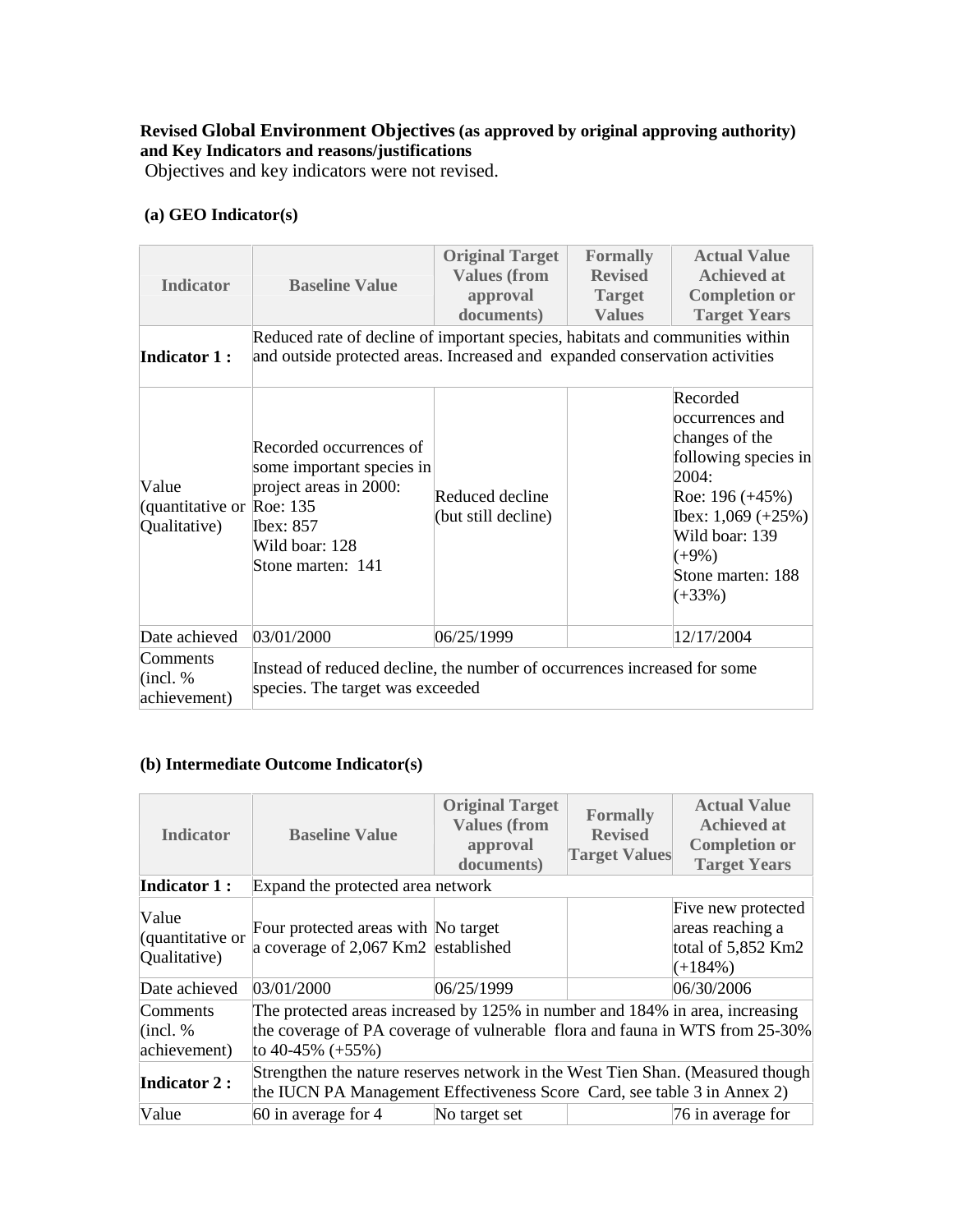## **Revised Global Environment Objectives (as approved by original approving authority) and Key Indicators and reasons/justifications**

Objectives and key indicators were not revised.

## **(a) GEO Indicator(s)**

| <b>Indicator</b>                                    | <b>Baseline Value</b>                                                                                                                                        | <b>Original Target</b><br><b>Values (from</b><br>approval<br>documents) | <b>Formally</b><br><b>Revised</b><br><b>Target</b><br><b>Values</b> | <b>Actual Value</b><br><b>Achieved at</b><br><b>Completion or</b><br><b>Target Years</b>                                                                                                   |
|-----------------------------------------------------|--------------------------------------------------------------------------------------------------------------------------------------------------------------|-------------------------------------------------------------------------|---------------------------------------------------------------------|--------------------------------------------------------------------------------------------------------------------------------------------------------------------------------------------|
| <b>Indicator 1:</b>                                 | Reduced rate of decline of important species, habitats and communities within<br>and outside protected areas. Increased and expanded conservation activities |                                                                         |                                                                     |                                                                                                                                                                                            |
| Value<br>(quantitative or Roe: 135)<br>Qualitative) | Recorded occurrences of<br>some important species in<br>project areas in 2000:<br><b>Ibex: 857</b><br>Wild boar: 128<br>Stone marten: 141                    | Reduced decline<br>(but still decline)                                  |                                                                     | Recorded<br>occurrences and<br>changes of the<br>following species in<br>2004:<br>Roe: $196 (+45%)$<br>Ibex: $1,069 (+25%)$<br>Wild boar: 139<br>$(+9\%)$<br>Stone marten: 188<br>$(+33%)$ |
| Date achieved                                       | 03/01/2000                                                                                                                                                   | 06/25/1999                                                              |                                                                     | 12/17/2004                                                                                                                                                                                 |
| Comments<br>(incl. %<br>achievement)                | Instead of reduced decline, the number of occurrences increased for some<br>species. The target was exceeded                                                 |                                                                         |                                                                     |                                                                                                                                                                                            |

## **(b) Intermediate Outcome Indicator(s)**

| <b>Indicator</b>                          | <b>Baseline Value</b>                                                                                                                                                              | <b>Original Target</b><br><b>Values (from</b><br>approval<br>documents) | <b>Formally</b><br><b>Revised</b><br><b>Target Values</b> | <b>Actual Value</b><br><b>Achieved at</b><br><b>Completion or</b><br><b>Target Years</b> |
|-------------------------------------------|------------------------------------------------------------------------------------------------------------------------------------------------------------------------------------|-------------------------------------------------------------------------|-----------------------------------------------------------|------------------------------------------------------------------------------------------|
| <b>Indicator 1:</b>                       | Expand the protected area network                                                                                                                                                  |                                                                         |                                                           |                                                                                          |
| Value<br>(quantitative or<br>Qualitative) | Four protected areas with No target<br>a coverage of 2,067 Km2 established                                                                                                         |                                                                         |                                                           | Five new protected<br>areas reaching a<br>total of 5,852 Km2<br>$(+184\%)$               |
| Date achieved                             | 03/01/2000                                                                                                                                                                         | 06/25/1999                                                              |                                                           | 06/30/2006                                                                               |
| Comments<br>(incl. %<br>achievement)      | The protected areas increased by 125% in number and 184% in area, increasing<br>the coverage of PA coverage of vulnerable flora and fauna in WTS from 25-30%<br>to 40-45% $(+55%)$ |                                                                         |                                                           |                                                                                          |
| <b>Indicator 2:</b>                       | Strengthen the nature reserves network in the West Tien Shan. (Measured though<br>the IUCN PA Management Effectiveness Score Card, see table 3 in Annex 2)                         |                                                                         |                                                           |                                                                                          |
| Value                                     | 60 in average for 4                                                                                                                                                                | No target set                                                           |                                                           | 76 in average for                                                                        |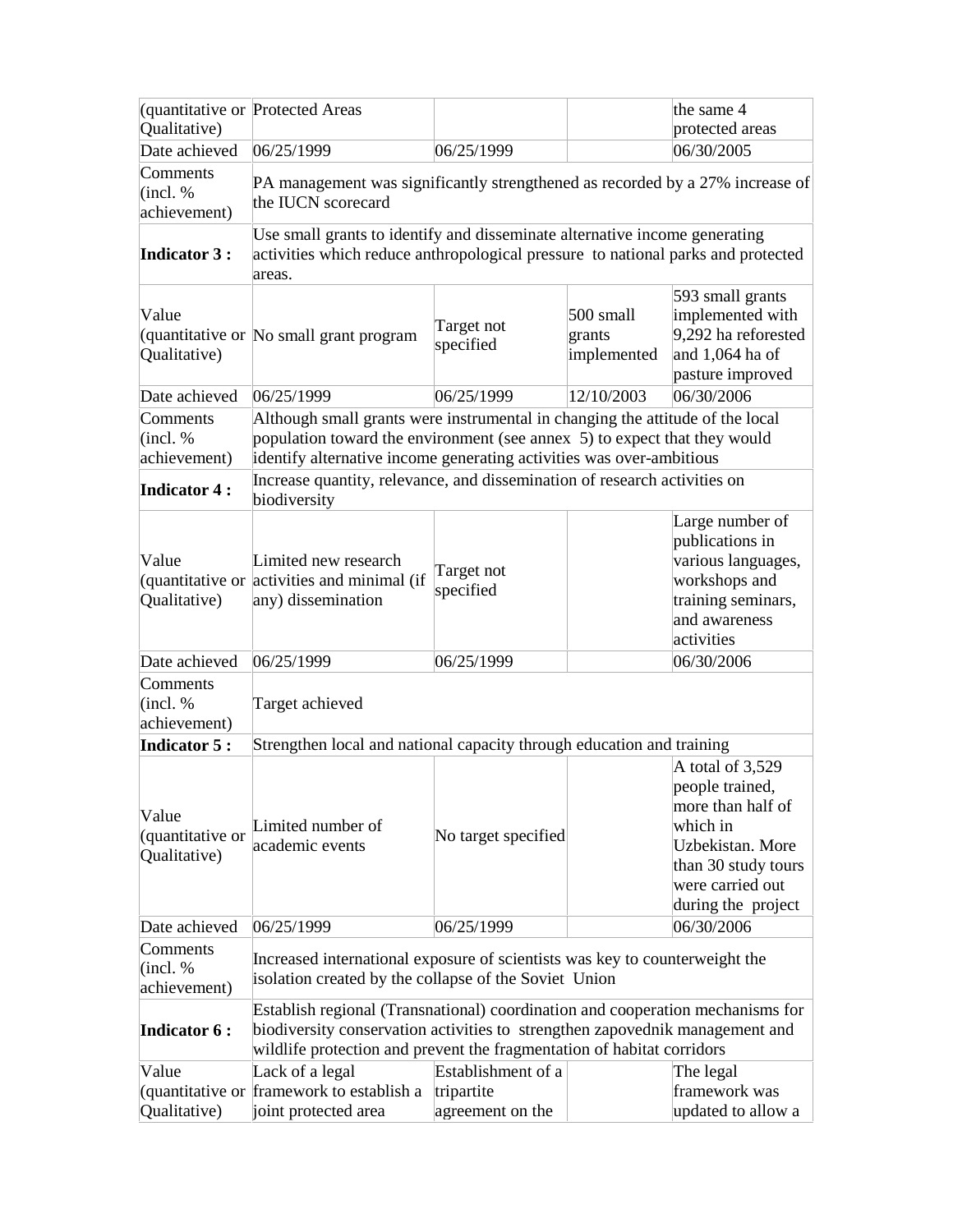| (quantitative or Protected Areas                            |                                                                                                                                                                                                                                                                                                                                 |                                                      |                                    | the same 4                                                                                                                                                |
|-------------------------------------------------------------|---------------------------------------------------------------------------------------------------------------------------------------------------------------------------------------------------------------------------------------------------------------------------------------------------------------------------------|------------------------------------------------------|------------------------------------|-----------------------------------------------------------------------------------------------------------------------------------------------------------|
| Qualitative)                                                |                                                                                                                                                                                                                                                                                                                                 |                                                      |                                    | protected areas                                                                                                                                           |
| Date achieved                                               | 06/25/1999                                                                                                                                                                                                                                                                                                                      | 06/25/1999                                           |                                    | 06/30/2005                                                                                                                                                |
| Comments<br>(incl. %<br>achievement)                        | PA management was significantly strengthened as recorded by a 27% increase of<br>the IUCN scorecard                                                                                                                                                                                                                             |                                                      |                                    |                                                                                                                                                           |
| <b>Indicator 3:</b>                                         | Use small grants to identify and disseminate alternative income generating<br>activities which reduce anthropological pressure to national parks and protected<br>areas.                                                                                                                                                        |                                                      |                                    |                                                                                                                                                           |
| Value<br>Qualitative)                                       | quantitative or No small grant program                                                                                                                                                                                                                                                                                          | Target not<br>specified                              | 500 small<br>grants<br>implemented | 593 small grants<br>implemented with<br>9,292 ha reforested<br>and 1,064 ha of<br>pasture improved                                                        |
| Date achieved                                               | 06/25/1999                                                                                                                                                                                                                                                                                                                      | 06/25/1999                                           | 12/10/2003                         | 06/30/2006                                                                                                                                                |
| Comments<br>(incl. %<br>achievement)<br><b>Indicator 4:</b> | Although small grants were instrumental in changing the attitude of the local<br>population toward the environment (see annex 5) to expect that they would<br>identify alternative income generating activities was over-ambitious<br>Increase quantity, relevance, and dissemination of research activities on<br>biodiversity |                                                      |                                    |                                                                                                                                                           |
| Value<br>Qualitative)                                       | Limited new research<br>(quantitative or activities and minimal (if<br>any) dissemination                                                                                                                                                                                                                                       | Target not<br>specified                              |                                    | Large number of<br>publications in<br>various languages,<br>workshops and<br>training seminars,<br>and awareness<br>activities                            |
| Date achieved<br>Comments<br>(incl. %<br>achievement)       | 06/25/1999<br>Target achieved                                                                                                                                                                                                                                                                                                   | 06/25/1999                                           |                                    | 06/30/2006                                                                                                                                                |
| <b>Indicator 5:</b>                                         | Strengthen local and national capacity through education and training                                                                                                                                                                                                                                                           |                                                      |                                    |                                                                                                                                                           |
| Value<br>(quantitative or<br>Qualitative)                   | Limited number of<br>academic events                                                                                                                                                                                                                                                                                            | No target specified                                  |                                    | A total of 3,529<br>people trained,<br>more than half of<br>which in<br>Uzbekistan. More<br>than 30 study tours<br>were carried out<br>during the project |
| Date achieved                                               | 06/25/1999                                                                                                                                                                                                                                                                                                                      | 06/25/1999                                           |                                    | 06/30/2006                                                                                                                                                |
| Comments<br>(incl. %<br>achievement)<br><b>Indicator 6:</b> | Increased international exposure of scientists was key to counterweight the<br>isolation created by the collapse of the Soviet Union<br>Establish regional (Transnational) coordination and cooperation mechanisms for<br>biodiversity conservation activities to strengthen zapovednik management and                          |                                                      |                                    |                                                                                                                                                           |
|                                                             | wildlife protection and prevent the fragmentation of habitat corridors                                                                                                                                                                                                                                                          |                                                      |                                    |                                                                                                                                                           |
| Value<br>Qualitative)                                       | Lack of a legal<br>quantitative or framework to establish a<br>joint protected area                                                                                                                                                                                                                                             | Establishment of a<br>tripartite<br>agreement on the |                                    | The legal<br>framework was<br>updated to allow a                                                                                                          |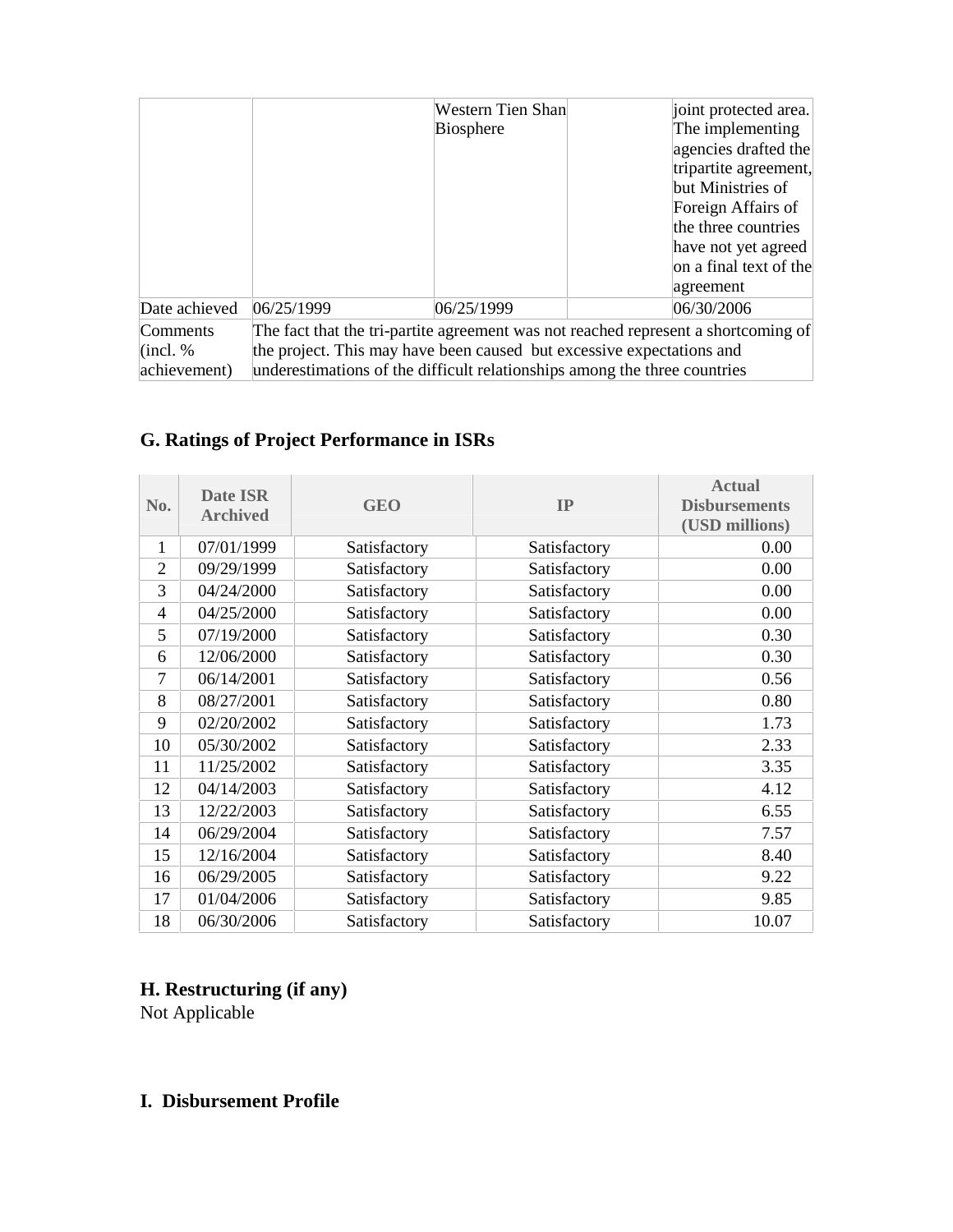|                 |                                                                                    | Western Tien Shan<br><b>Biosphere</b>                                     | joint protected area.<br>The implementing<br>agencies drafted the<br>tripartite agreement,<br>but Ministries of<br>Foreign Affairs of<br>the three countries<br>have not yet agreed<br>on a final text of the<br>agreement |  |  |
|-----------------|------------------------------------------------------------------------------------|---------------------------------------------------------------------------|----------------------------------------------------------------------------------------------------------------------------------------------------------------------------------------------------------------------------|--|--|
| Date achieved   | 06/25/1999                                                                         | 06/25/1999                                                                | 06/30/2006                                                                                                                                                                                                                 |  |  |
| <b>Comments</b> | The fact that the tri-partite agreement was not reached represent a shortcoming of |                                                                           |                                                                                                                                                                                                                            |  |  |
| (incl. %        | the project. This may have been caused but excessive expectations and              |                                                                           |                                                                                                                                                                                                                            |  |  |
| achievement)    |                                                                                    | underestimations of the difficult relationships among the three countries |                                                                                                                                                                                                                            |  |  |

# **G. Ratings of Project Performance in ISRs**

| No.            | <b>Date ISR</b><br><b>Archived</b> | <b>GEO</b>   | IP           | <b>Actual</b><br><b>Disbursements</b><br>(USD millions) |
|----------------|------------------------------------|--------------|--------------|---------------------------------------------------------|
| 1              | 07/01/1999                         | Satisfactory | Satisfactory | 0.00                                                    |
| $\overline{2}$ | 09/29/1999                         | Satisfactory | Satisfactory | 0.00                                                    |
| 3              | 04/24/2000                         | Satisfactory | Satisfactory | 0.00                                                    |
| 4              | 04/25/2000                         | Satisfactory | Satisfactory | 0.00                                                    |
| 5              | 07/19/2000                         | Satisfactory | Satisfactory | 0.30                                                    |
| 6              | 12/06/2000                         | Satisfactory | Satisfactory | 0.30                                                    |
| 7              | 06/14/2001                         | Satisfactory | Satisfactory | 0.56                                                    |
| 8              | 08/27/2001                         | Satisfactory | Satisfactory | 0.80                                                    |
| 9              | 02/20/2002                         | Satisfactory | Satisfactory | 1.73                                                    |
| 10             | 05/30/2002                         | Satisfactory | Satisfactory | 2.33                                                    |
| 11             | 11/25/2002                         | Satisfactory | Satisfactory | 3.35                                                    |
| 12             | 04/14/2003                         | Satisfactory | Satisfactory | 4.12                                                    |
| 13             | 12/22/2003                         | Satisfactory | Satisfactory | 6.55                                                    |
| 14             | 06/29/2004                         | Satisfactory | Satisfactory | 7.57                                                    |
| 15             | 12/16/2004                         | Satisfactory | Satisfactory | 8.40                                                    |
| 16             | 06/29/2005                         | Satisfactory | Satisfactory | 9.22                                                    |
| 17             | 01/04/2006                         | Satisfactory | Satisfactory | 9.85                                                    |
| 18             | 06/30/2006                         | Satisfactory | Satisfactory | 10.07                                                   |

# **H. Restructuring (if any)**

Not Applicable

## **I. Disbursement Profile**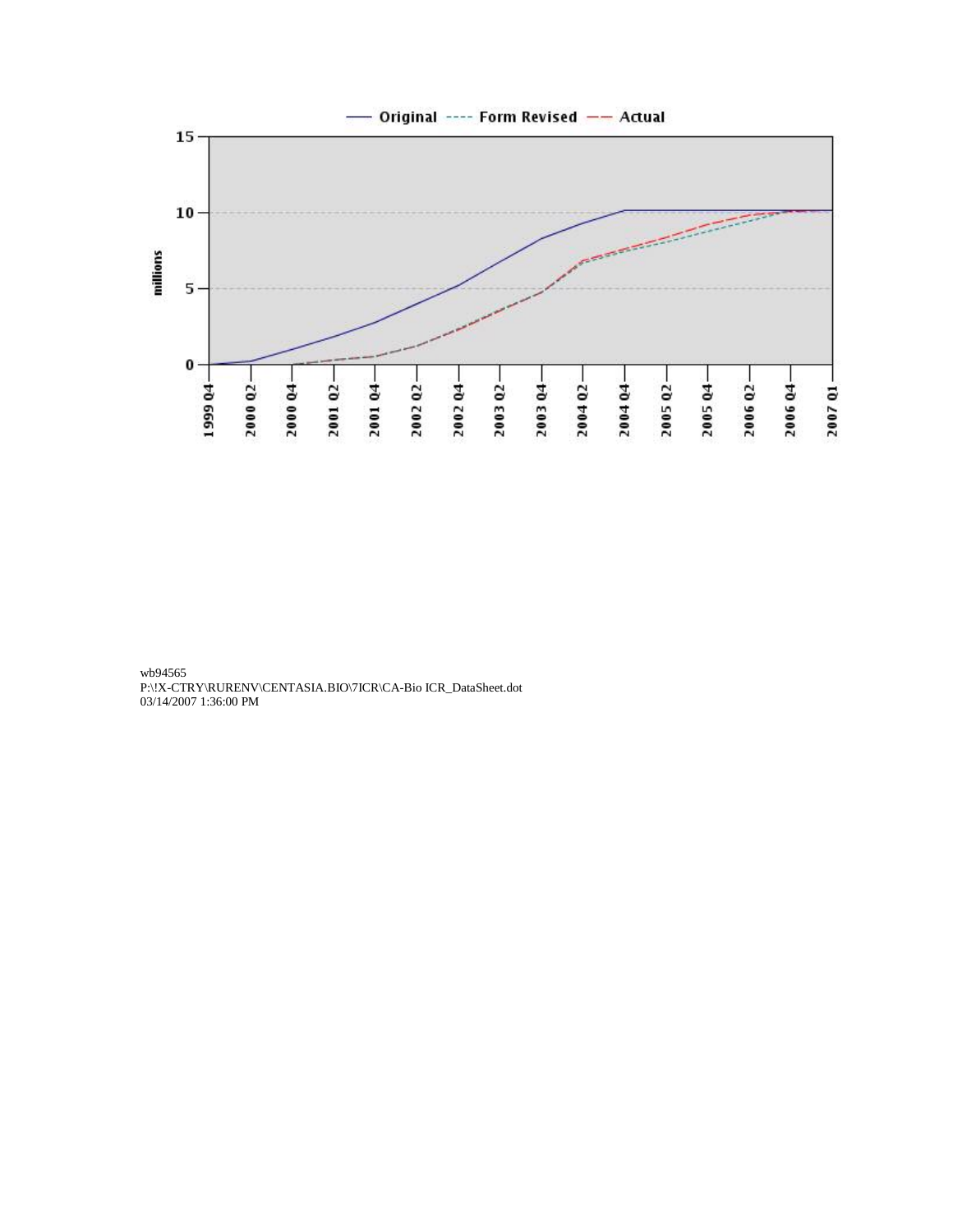

wb94565 P:\!X-CTRY\RURENV\CENTASIA.BIO\7ICR\CA-Bio ICR\_DataSheet.dot 03/14/2007 1:36:00 PM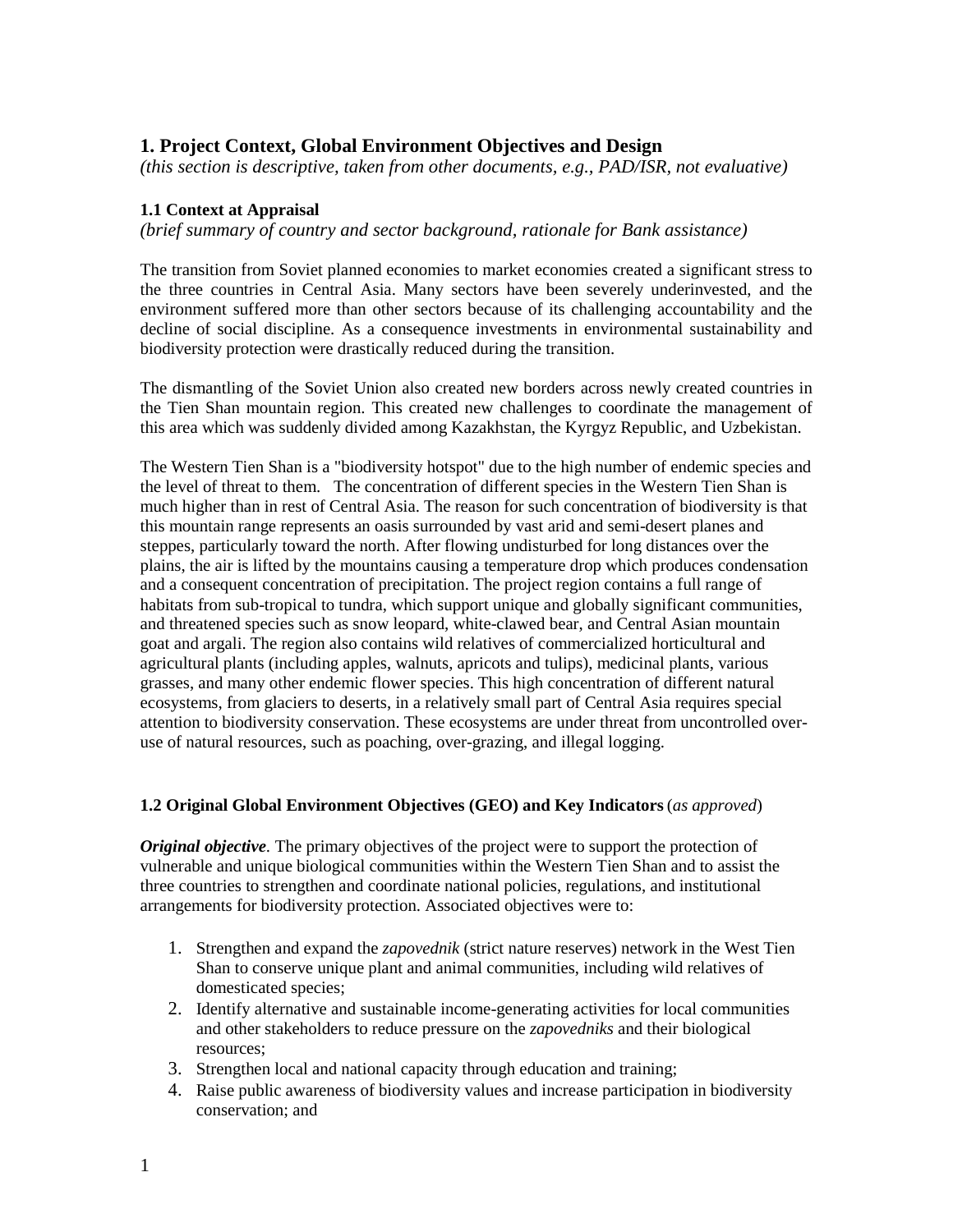## **1. Project Context, Global Environment Objectives and Design**

*(this section is descriptive, taken from other documents, e.g., PAD/ISR, not evaluative)*

#### **1.1 Context at Appraisal**

*(brief summary of country and sector background, rationale for Bank assistance)*

The transition from Soviet planned economies to market economies created a significant stress to the three countries in Central Asia. Many sectors have been severely underinvested, and the environment suffered more than other sectors because of its challenging accountability and the decline of social discipline. As a consequence investments in environmental sustainability and biodiversity protection were drastically reduced during the transition.

The dismantling of the Soviet Union also created new borders across newly created countries in the Tien Shan mountain region. This created new challenges to coordinate the management of this area which was suddenly divided among Kazakhstan, the Kyrgyz Republic, and Uzbekistan.

The Western Tien Shan is a "biodiversity hotspot" due to the high number of endemic species and the level of threat to them. The concentration of different species in the Western Tien Shan is much higher than in rest of Central Asia. The reason for such concentration of biodiversity is that this mountain range represents an oasis surrounded by vast arid and semi-desert planes and steppes, particularly toward the north. After flowing undisturbed for long distances over the plains, the air is lifted by the mountains causing a temperature drop which produces condensation and a consequent concentration of precipitation. The project region contains a full range of habitats from sub-tropical to tundra, which support unique and globally significant communities, and threatened species such as snow leopard, white-clawed bear, and Central Asian mountain goat and argali. The region also contains wild relatives of commercialized horticultural and agricultural plants (including apples, walnuts, apricots and tulips), medicinal plants, various grasses, and many other endemic flower species. This high concentration of different natural ecosystems, from glaciers to deserts, in a relatively small part of Central Asia requires special attention to biodiversity conservation. These ecosystems are under threat from uncontrolled overuse of natural resources, such as poaching, over-grazing, and illegal logging.

#### **1.2 Original Global Environment Objectives (GEO) and Key Indicators** (*as approved*)

*Original objective.* The primary objectives of the project were to support the protection of vulnerable and unique biological communities within the Western Tien Shan and to assist the three countries to strengthen and coordinate national policies, regulations, and institutional arrangements for biodiversity protection. Associated objectives were to:

- 1. Strengthen and expand the *zapovednik* (strict nature reserves) network in the West Tien Shan to conserve unique plant and animal communities, including wild relatives of domesticated species;
- 2. Identify alternative and sustainable income-generating activities for local communities and other stakeholders to reduce pressure on the *zapovedniks* and their biological resources;
- 3. Strengthen local and national capacity through education and training;
- 4. Raise public awareness of biodiversity values and increase participation in biodiversity conservation; and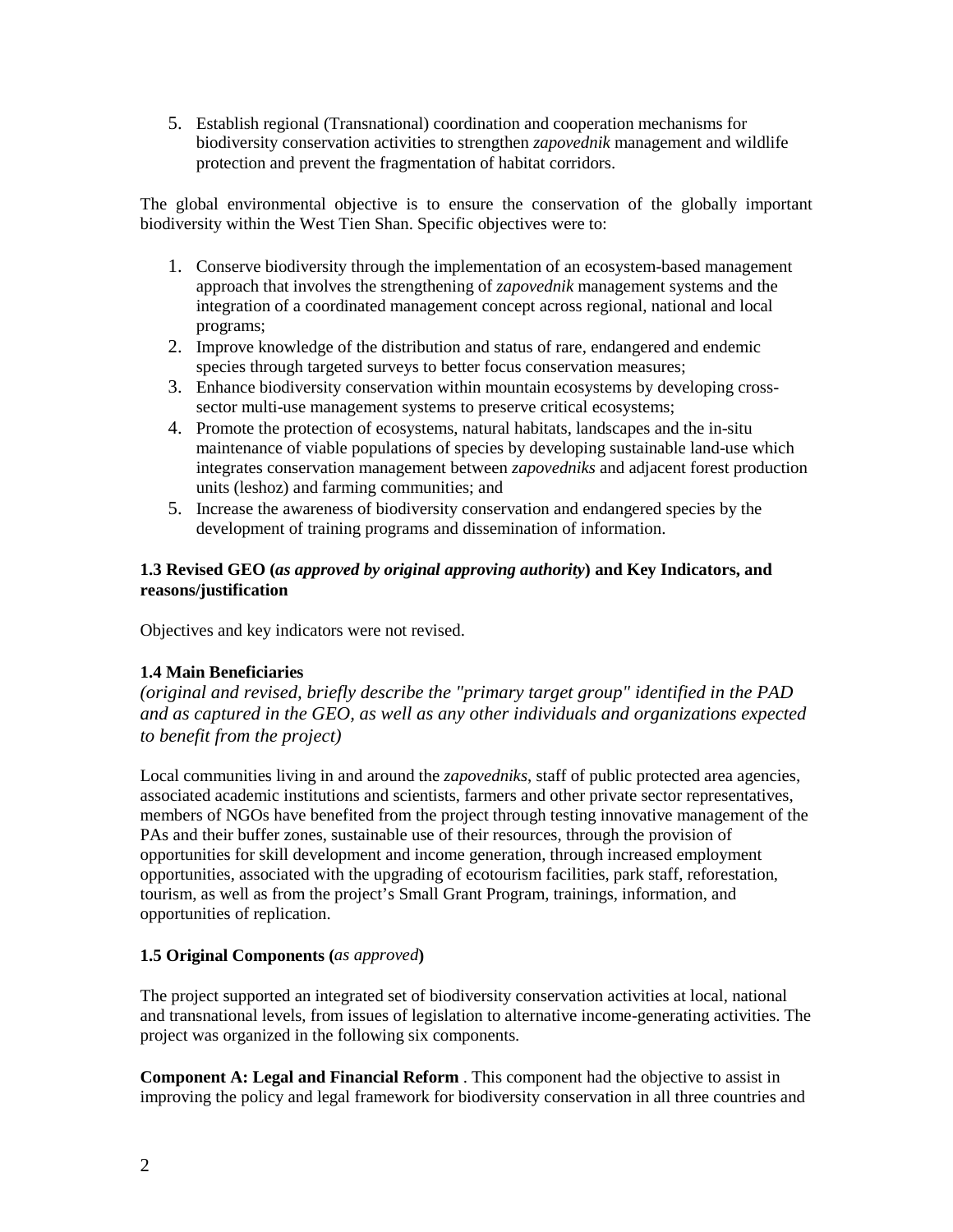5. Establish regional (Transnational) coordination and cooperation mechanisms for biodiversity conservation activities to strengthen *zapovednik* management and wildlife protection and prevent the fragmentation of habitat corridors.

The global environmental objective is to ensure the conservation of the globally important biodiversity within the West Tien Shan. Specific objectives were to:

- 1. Conserve biodiversity through the implementation of an ecosystem-based management approach that involves the strengthening of *zapovednik* management systems and the integration of a coordinated management concept across regional, national and local programs;
- 2. Improve knowledge of the distribution and status of rare, endangered and endemic species through targeted surveys to better focus conservation measures;
- 3. Enhance biodiversity conservation within mountain ecosystems by developing crosssector multi-use management systems to preserve critical ecosystems;
- 4. Promote the protection of ecosystems, natural habitats, landscapes and the in-situ maintenance of viable populations of species by developing sustainable land-use which integrates conservation management between *zapovedniks* and adjacent forest production units (leshoz) and farming communities; and
- 5. Increase the awareness of biodiversity conservation and endangered species by the development of training programs and dissemination of information.

#### **1.3 Revised GEO (***as approved by original approving authority***) and Key Indicators, and reasons/justification**

Objectives and key indicators were not revised.

#### **1.4 Main Beneficiaries**

*(original and revised, briefly describe the "primary target group" identified in the PAD and as captured in the GEO, as well as any other individuals and organizations expected to benefit from the project)* 

Local communities living in and around the *zapovedniks*, staff of public protected area agencies, associated academic institutions and scientists, farmers and other private sector representatives, members of NGOs have benefited from the project through testing innovative management of the PAs and their buffer zones, sustainable use of their resources, through the provision of opportunities for skill development and income generation, through increased employment opportunities, associated with the upgrading of ecotourism facilities, park staff, reforestation, tourism, as well as from the project's Small Grant Program, trainings, information, and opportunities of replication.

#### **1.5 Original Components (***as approved***)**

The project supported an integrated set of biodiversity conservation activities at local, national and transnational levels, from issues of legislation to alternative income-generating activities. The project was organized in the following six components.

**Component A: Legal and Financial Reform** . This component had the objective to assist in improving the policy and legal framework for biodiversity conservation in all three countries and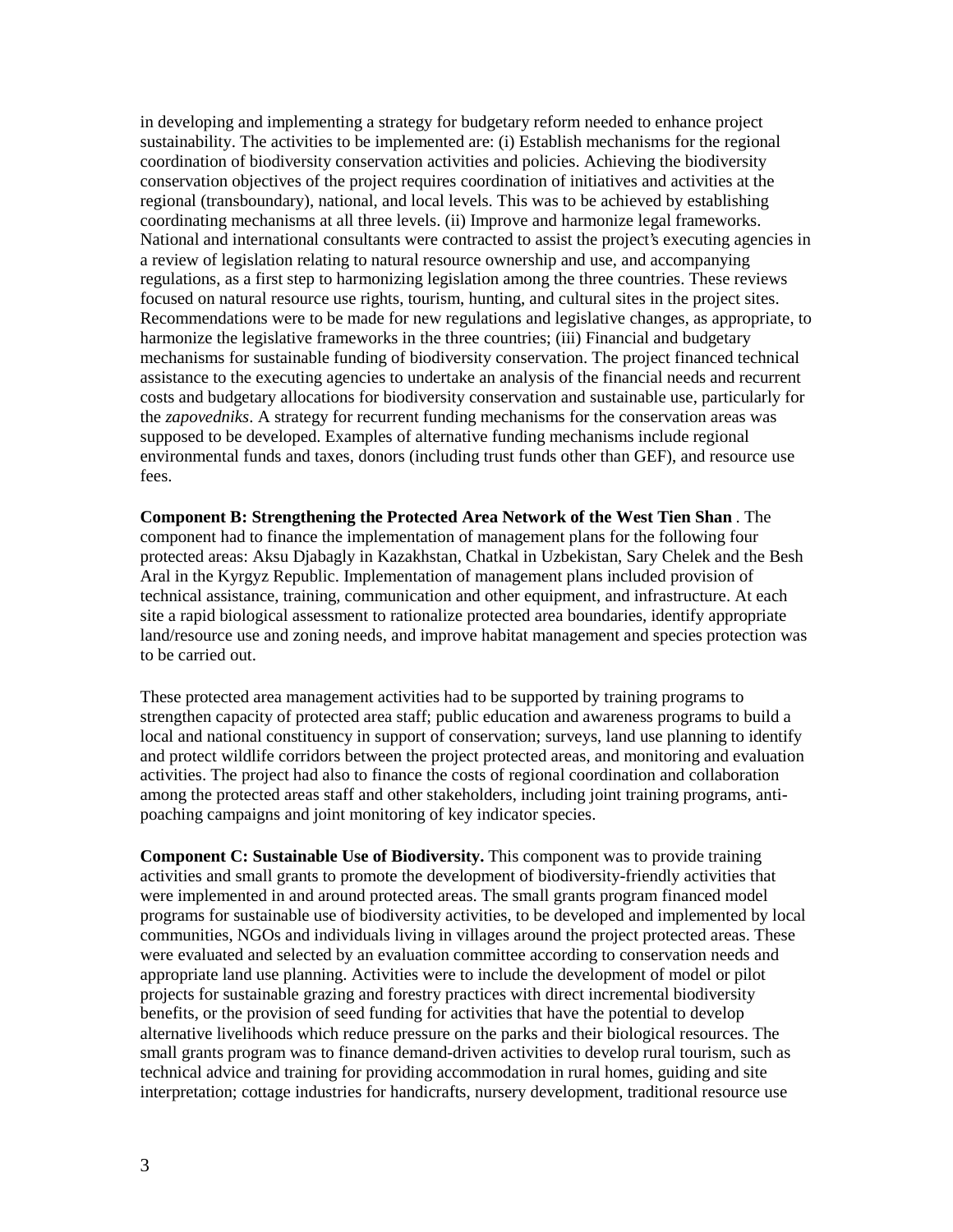in developing and implementing a strategy for budgetary reform needed to enhance project sustainability. The activities to be implemented are: (i) Establish mechanisms for the regional coordination of biodiversity conservation activities and policies. Achieving the biodiversity conservation objectives of the project requires coordination of initiatives and activities at the regional (transboundary), national, and local levels. This was to be achieved by establishing coordinating mechanisms at all three levels. (ii) Improve and harmonize legal frameworks. National and international consultants were contracted to assist the project's executing agencies in a review of legislation relating to natural resource ownership and use, and accompanying regulations, as a first step to harmonizing legislation among the three countries. These reviews focused on natural resource use rights, tourism, hunting, and cultural sites in the project sites. Recommendations were to be made for new regulations and legislative changes, as appropriate, to harmonize the legislative frameworks in the three countries; (iii) Financial and budgetary mechanisms for sustainable funding of biodiversity conservation. The project financed technical assistance to the executing agencies to undertake an analysis of the financial needs and recurrent costs and budgetary allocations for biodiversity conservation and sustainable use, particularly for the *zapovedniks*. A strategy for recurrent funding mechanisms for the conservation areas was supposed to be developed. Examples of alternative funding mechanisms include regional environmental funds and taxes, donors (including trust funds other than GEF), and resource use fees.

**Component B: Strengthening the Protected Area Network of the West Tien Shan** . The component had to finance the implementation of management plans for the following four protected areas: Aksu Djabagly in Kazakhstan, Chatkal in Uzbekistan, Sary Chelek and the Besh Aral in the Kyrgyz Republic. Implementation of management plans included provision of technical assistance, training, communication and other equipment, and infrastructure. At each site a rapid biological assessment to rationalize protected area boundaries, identify appropriate land/resource use and zoning needs, and improve habitat management and species protection was to be carried out.

These protected area management activities had to be supported by training programs to strengthen capacity of protected area staff; public education and awareness programs to build a local and national constituency in support of conservation; surveys, land use planning to identify and protect wildlife corridors between the project protected areas, and monitoring and evaluation activities. The project had also to finance the costs of regional coordination and collaboration among the protected areas staff and other stakeholders, including joint training programs, antipoaching campaigns and joint monitoring of key indicator species.

**Component C: Sustainable Use of Biodiversity.** This component was to provide training activities and small grants to promote the development of biodiversity-friendly activities that were implemented in and around protected areas. The small grants program financed model programs for sustainable use of biodiversity activities, to be developed and implemented by local communities, NGOs and individuals living in villages around the project protected areas. These were evaluated and selected by an evaluation committee according to conservation needs and appropriate land use planning. Activities were to include the development of model or pilot projects for sustainable grazing and forestry practices with direct incremental biodiversity benefits, or the provision of seed funding for activities that have the potential to develop alternative livelihoods which reduce pressure on the parks and their biological resources. The small grants program was to finance demand-driven activities to develop rural tourism, such as technical advice and training for providing accommodation in rural homes, guiding and site interpretation; cottage industries for handicrafts, nursery development, traditional resource use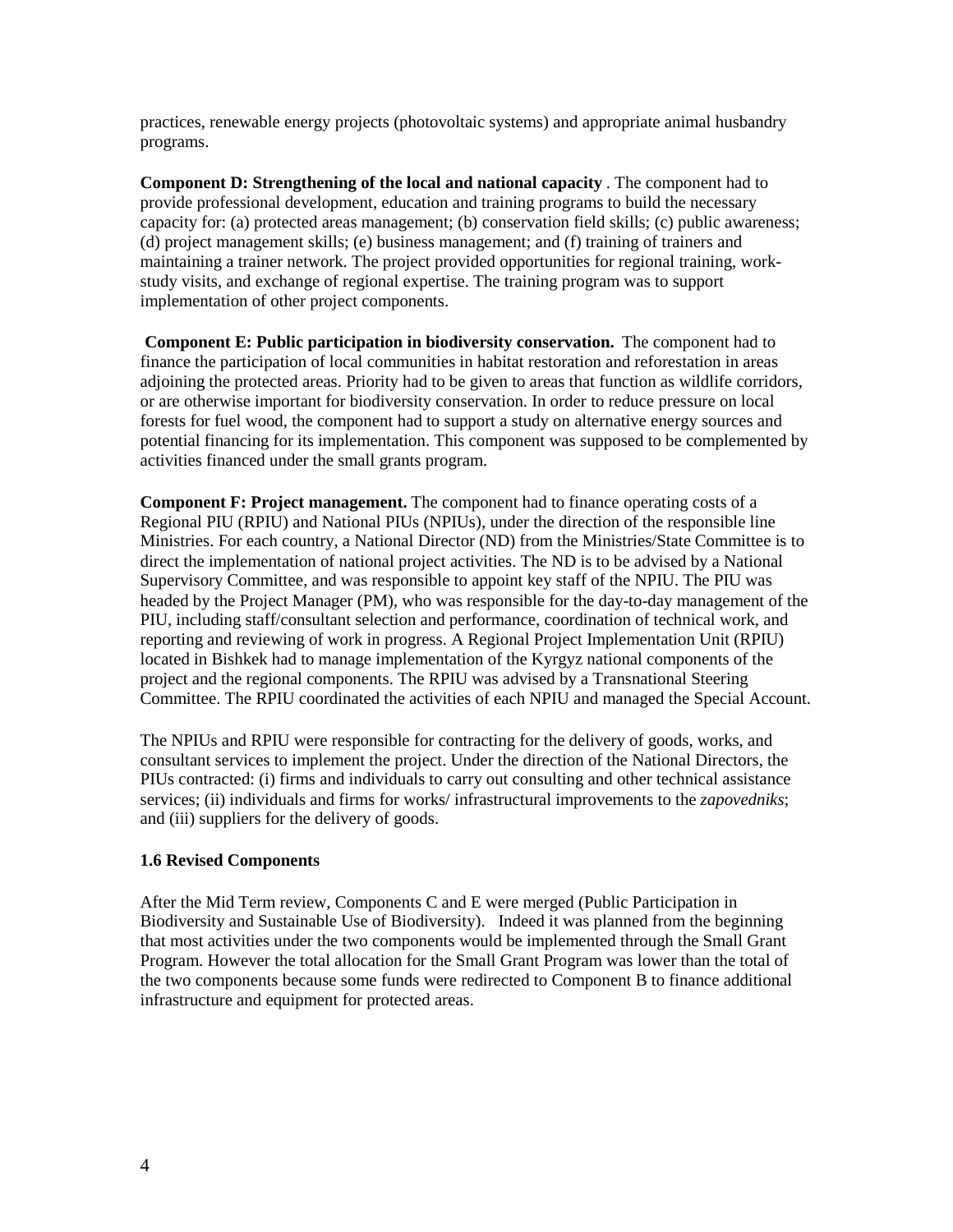practices, renewable energy projects (photovoltaic systems) and appropriate animal husbandry programs.

**Component D: Strengthening of the local and national capacity** . The component had to provide professional development, education and training programs to build the necessary capacity for: (a) protected areas management; (b) conservation field skills; (c) public awareness; (d) project management skills; (e) business management; and (f) training of trainers and maintaining a trainer network. The project provided opportunities for regional training, workstudy visits, and exchange of regional expertise. The training program was to support implementation of other project components.

**Component E: Public participation in biodiversity conservation.** The component had to finance the participation of local communities in habitat restoration and reforestation in areas adjoining the protected areas. Priority had to be given to areas that function as wildlife corridors, or are otherwise important for biodiversity conservation. In order to reduce pressure on local forests for fuel wood, the component had to support a study on alternative energy sources and potential financing for its implementation. This component was supposed to be complemented by activities financed under the small grants program.

**Component F: Project management.** The component had to finance operating costs of a Regional PIU (RPIU) and National PIUs (NPIUs), under the direction of the responsible line Ministries. For each country, a National Director (ND) from the Ministries/State Committee is to direct the implementation of national project activities. The ND is to be advised by a National Supervisory Committee, and was responsible to appoint key staff of the NPIU. The PIU was headed by the Project Manager (PM), who was responsible for the day-to-day management of the PIU, including staff/consultant selection and performance, coordination of technical work, and reporting and reviewing of work in progress. A Regional Project Implementation Unit (RPIU) located in Bishkek had to manage implementation of the Kyrgyz national components of the project and the regional components. The RPIU was advised by a Transnational Steering Committee. The RPIU coordinated the activities of each NPIU and managed the Special Account.

The NPIUs and RPIU were responsible for contracting for the delivery of goods, works, and consultant services to implement the project. Under the direction of the National Directors, the PIUs contracted: (i) firms and individuals to carry out consulting and other technical assistance services; (ii) individuals and firms for works/ infrastructural improvements to the *zapovedniks*; and (iii) suppliers for the delivery of goods.

#### **1.6 Revised Components**

After the Mid Term review, Components C and E were merged (Public Participation in Biodiversity and Sustainable Use of Biodiversity). Indeed it was planned from the beginning that most activities under the two components would be implemented through the Small Grant Program. However the total allocation for the Small Grant Program was lower than the total of the two components because some funds were redirected to Component B to finance additional infrastructure and equipment for protected areas.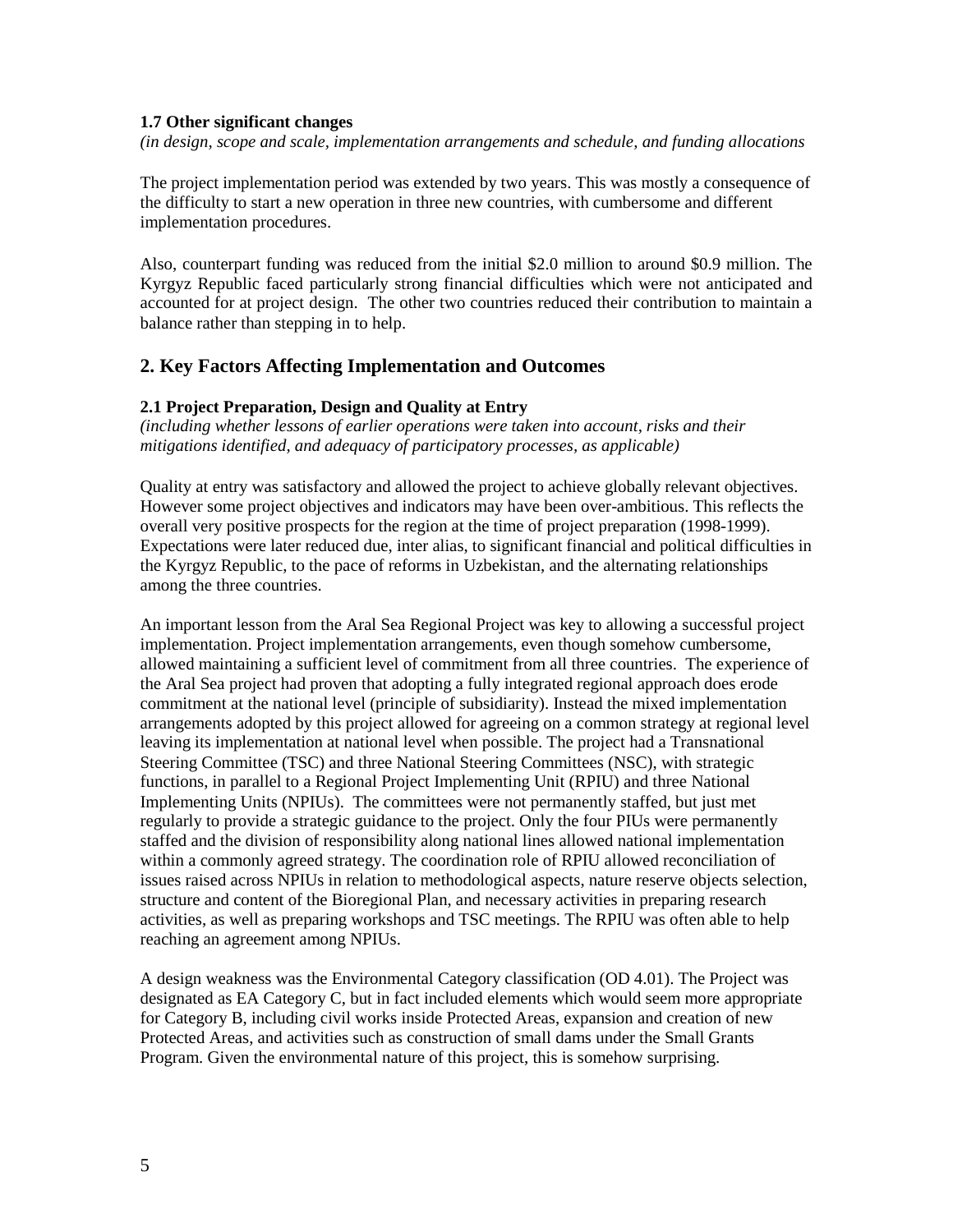#### **1.7 Other significant changes**

*(in design, scope and scale, implementation arrangements and schedule, and funding allocations*

The project implementation period was extended by two years. This was mostly a consequence of the difficulty to start a new operation in three new countries, with cumbersome and different implementation procedures.

Also, counterpart funding was reduced from the initial \$2.0 million to around \$0.9 million. The Kyrgyz Republic faced particularly strong financial difficulties which were not anticipated and accounted for at project design. The other two countries reduced their contribution to maintain a balance rather than stepping in to help.

#### **2. Key Factors Affecting Implementation and Outcomes**

#### **2.1 Project Preparation, Design and Quality at Entry**

*(including whether lessons of earlier operations were taken into account, risks and their mitigations identified, and adequacy of participatory processes, as applicable)* 

Quality at entry was satisfactory and allowed the project to achieve globally relevant objectives. However some project objectives and indicators may have been over-ambitious. This reflects the overall very positive prospects for the region at the time of project preparation (1998-1999). Expectations were later reduced due, inter alias, to significant financial and political difficulties in the Kyrgyz Republic, to the pace of reforms in Uzbekistan, and the alternating relationships among the three countries.

An important lesson from the Aral Sea Regional Project was key to allowing a successful project implementation. Project implementation arrangements, even though somehow cumbersome, allowed maintaining a sufficient level of commitment from all three countries. The experience of the Aral Sea project had proven that adopting a fully integrated regional approach does erode commitment at the national level (principle of subsidiarity). Instead the mixed implementation arrangements adopted by this project allowed for agreeing on a common strategy at regional level leaving its implementation at national level when possible. The project had a Transnational Steering Committee (TSC) and three National Steering Committees (NSC), with strategic functions, in parallel to a Regional Project Implementing Unit (RPIU) and three National Implementing Units (NPIUs). The committees were not permanently staffed, but just met regularly to provide a strategic guidance to the project. Only the four PIUs were permanently staffed and the division of responsibility along national lines allowed national implementation within a commonly agreed strategy. The coordination role of RPIU allowed reconciliation of issues raised across NPIUs in relation to methodological aspects, nature reserve objects selection, structure and content of the Bioregional Plan, and necessary activities in preparing research activities, as well as preparing workshops and TSC meetings. The RPIU was often able to help reaching an agreement among NPIUs.

A design weakness was the Environmental Category classification (OD 4.01). The Project was designated as EA Category C, but in fact included elements which would seem more appropriate for Category B, including civil works inside Protected Areas, expansion and creation of new Protected Areas, and activities such as construction of small dams under the Small Grants Program. Given the environmental nature of this project, this is somehow surprising.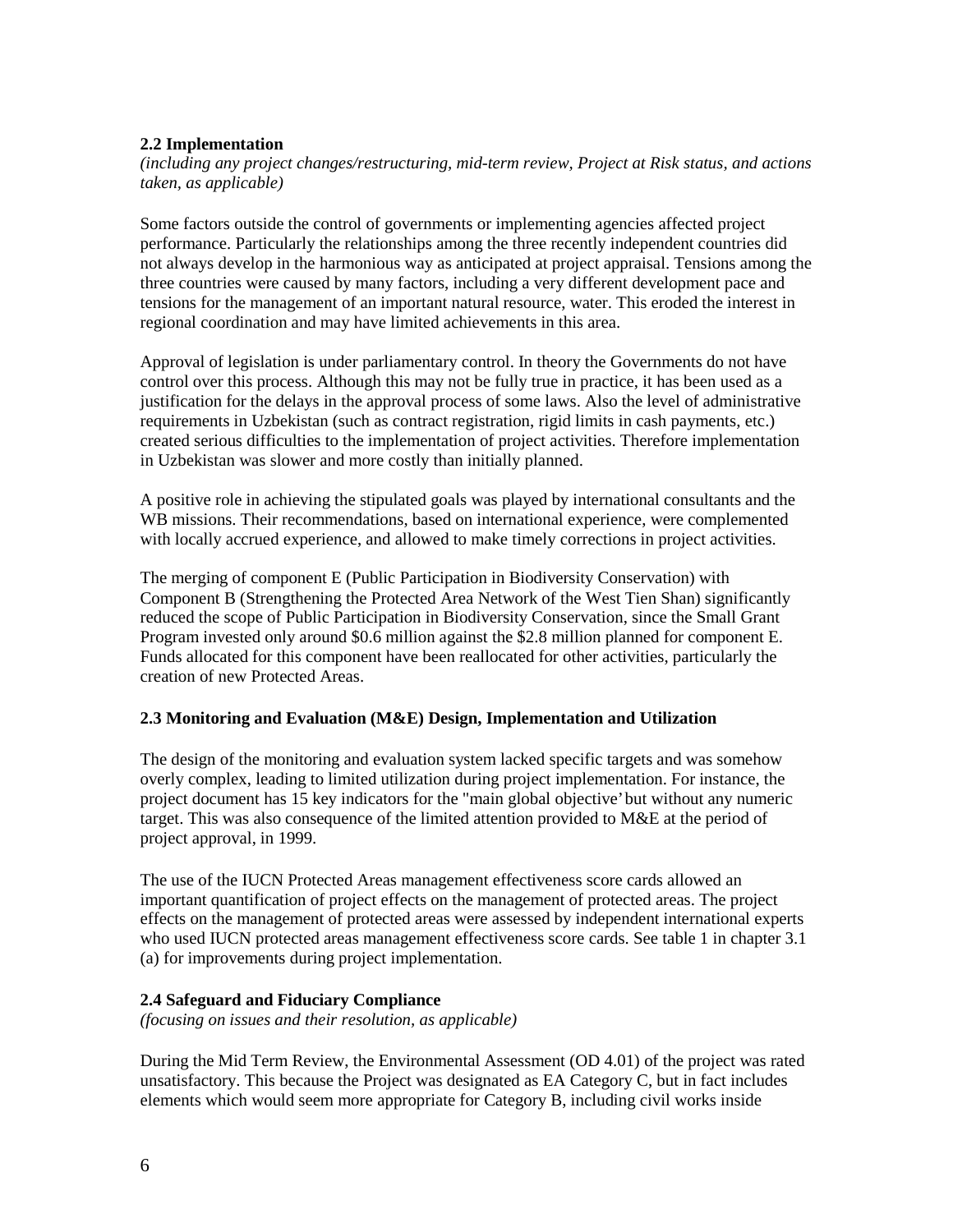#### **2.2 Implementation**

*(including any project changes/restructuring, mid-term review, Project at Risk status, and actions taken, as applicable)* 

Some factors outside the control of governments or implementing agencies affected project performance. Particularly the relationships among the three recently independent countries did not always develop in the harmonious way as anticipated at project appraisal. Tensions among the three countries were caused by many factors, including a very different development pace and tensions for the management of an important natural resource, water. This eroded the interest in regional coordination and may have limited achievements in this area.

Approval of legislation is under parliamentary control. In theory the Governments do not have control over this process. Although this may not be fully true in practice, it has been used as a justification for the delays in the approval process of some laws. Also the level of administrative requirements in Uzbekistan (such as contract registration, rigid limits in cash payments, etc.) created serious difficulties to the implementation of project activities. Therefore implementation in Uzbekistan was slower and more costly than initially planned.

A positive role in achieving the stipulated goals was played by international consultants and the WB missions. Their recommendations, based on international experience, were complemented with locally accrued experience, and allowed to make timely corrections in project activities.

The merging of component E (Public Participation in Biodiversity Conservation) with Component B (Strengthening the Protected Area Network of the West Tien Shan) significantly reduced the scope of Public Participation in Biodiversity Conservation, since the Small Grant Program invested only around \$0.6 million against the \$2.8 million planned for component E. Funds allocated for this component have been reallocated for other activities, particularly the creation of new Protected Areas.

#### **2.3 Monitoring and Evaluation (M&E) Design, Implementation and Utilization**

The design of the monitoring and evaluation system lacked specific targets and was somehow overly complex, leading to limited utilization during project implementation. For instance, the project document has 15 key indicators for the "main global objective' but without any numeric target. This was also consequence of the limited attention provided to M&E at the period of project approval, in 1999.

The use of the IUCN Protected Areas management effectiveness score cards allowed an important quantification of project effects on the management of protected areas. The project effects on the management of protected areas were assessed by independent international experts who used IUCN protected areas management effectiveness score cards. See table 1 in chapter 3.1 (a) for improvements during project implementation.

#### **2.4 Safeguard and Fiduciary Compliance**

*(focusing on issues and their resolution, as applicable)*

During the Mid Term Review, the Environmental Assessment (OD 4.01) of the project was rated unsatisfactory. This because the Project was designated as EA Category C, but in fact includes elements which would seem more appropriate for Category B, including civil works inside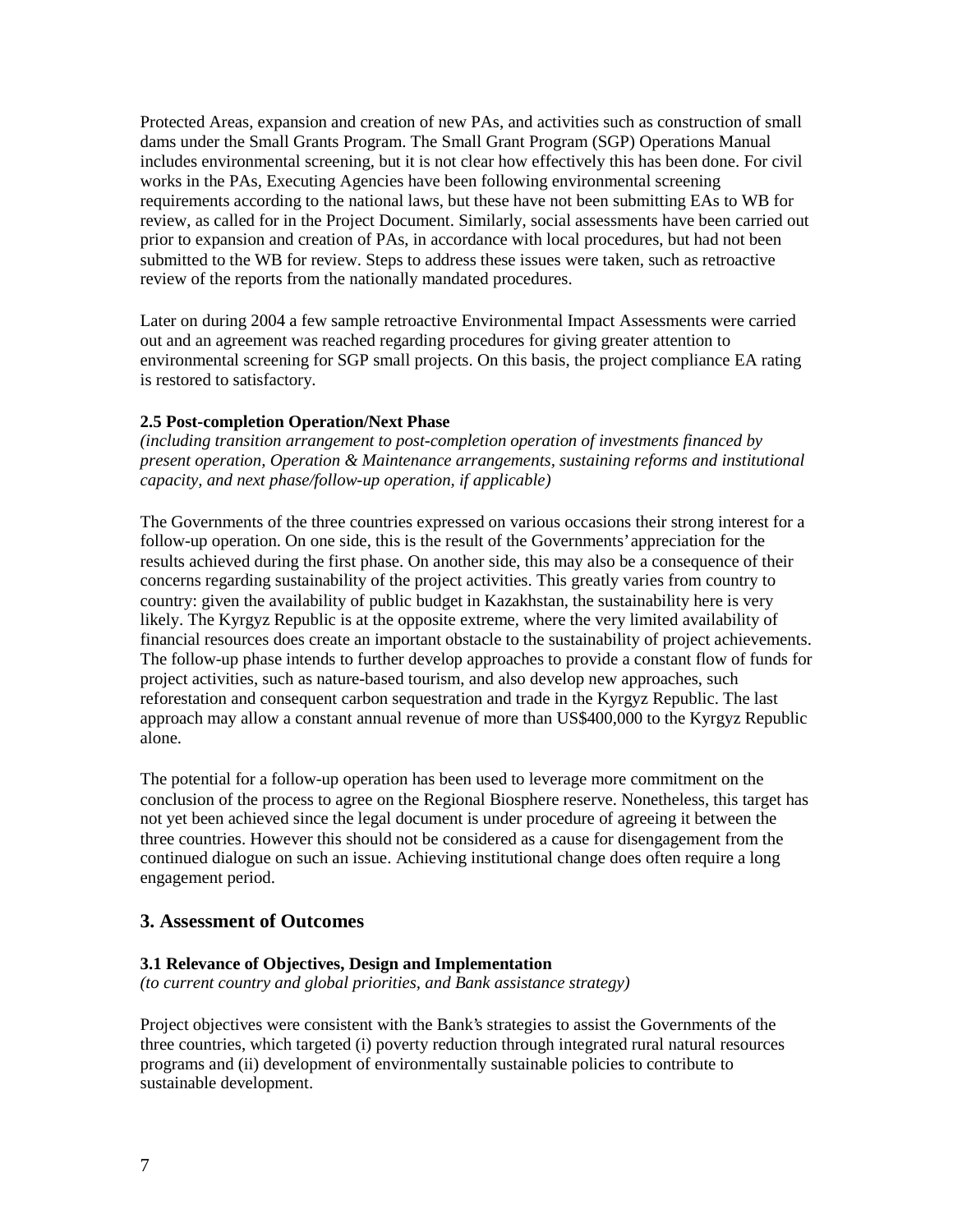Protected Areas, expansion and creation of new PAs, and activities such as construction of small dams under the Small Grants Program. The Small Grant Program (SGP) Operations Manual includes environmental screening, but it is not clear how effectively this has been done. For civil works in the PAs, Executing Agencies have been following environmental screening requirements according to the national laws, but these have not been submitting EAs to WB for review, as called for in the Project Document. Similarly, social assessments have been carried out prior to expansion and creation of PAs, in accordance with local procedures, but had not been submitted to the WB for review. Steps to address these issues were taken, such as retroactive review of the reports from the nationally mandated procedures.

Later on during 2004 a few sample retroactive Environmental Impact Assessments were carried out and an agreement was reached regarding procedures for giving greater attention to environmental screening for SGP small projects. On this basis, the project compliance EA rating is restored to satisfactory.

#### **2.5 Post-completion Operation/Next Phase**

*(including transition arrangement to post-completion operation of investments financed by present operation, Operation & Maintenance arrangements, sustaining reforms and institutional capacity, and next phase/follow-up operation, if applicable)* 

The Governments of the three countries expressed on various occasions their strong interest for a follow-up operation. On one side, this is the result of the Governments' appreciation for the results achieved during the first phase. On another side, this may also be a consequence of their concerns regarding sustainability of the project activities. This greatly varies from country to country: given the availability of public budget in Kazakhstan, the sustainability here is very likely. The Kyrgyz Republic is at the opposite extreme, where the very limited availability of financial resources does create an important obstacle to the sustainability of project achievements. The follow-up phase intends to further develop approaches to provide a constant flow of funds for project activities, such as nature-based tourism, and also develop new approaches, such reforestation and consequent carbon sequestration and trade in the Kyrgyz Republic. The last approach may allow a constant annual revenue of more than US\$400,000 to the Kyrgyz Republic alone.

The potential for a follow-up operation has been used to leverage more commitment on the conclusion of the process to agree on the Regional Biosphere reserve. Nonetheless, this target has not yet been achieved since the legal document is under procedure of agreeing it between the three countries. However this should not be considered as a cause for disengagement from the continued dialogue on such an issue. Achieving institutional change does often require a long engagement period.

#### **3. Assessment of Outcomes**

#### **3.1 Relevance of Objectives, Design and Implementation**

*(to current country and global priorities, and Bank assistance strategy)*

Project objectives were consistent with the Bank's strategies to assist the Governments of the three countries, which targeted (i) poverty reduction through integrated rural natural resources programs and (ii) development of environmentally sustainable policies to contribute to sustainable development.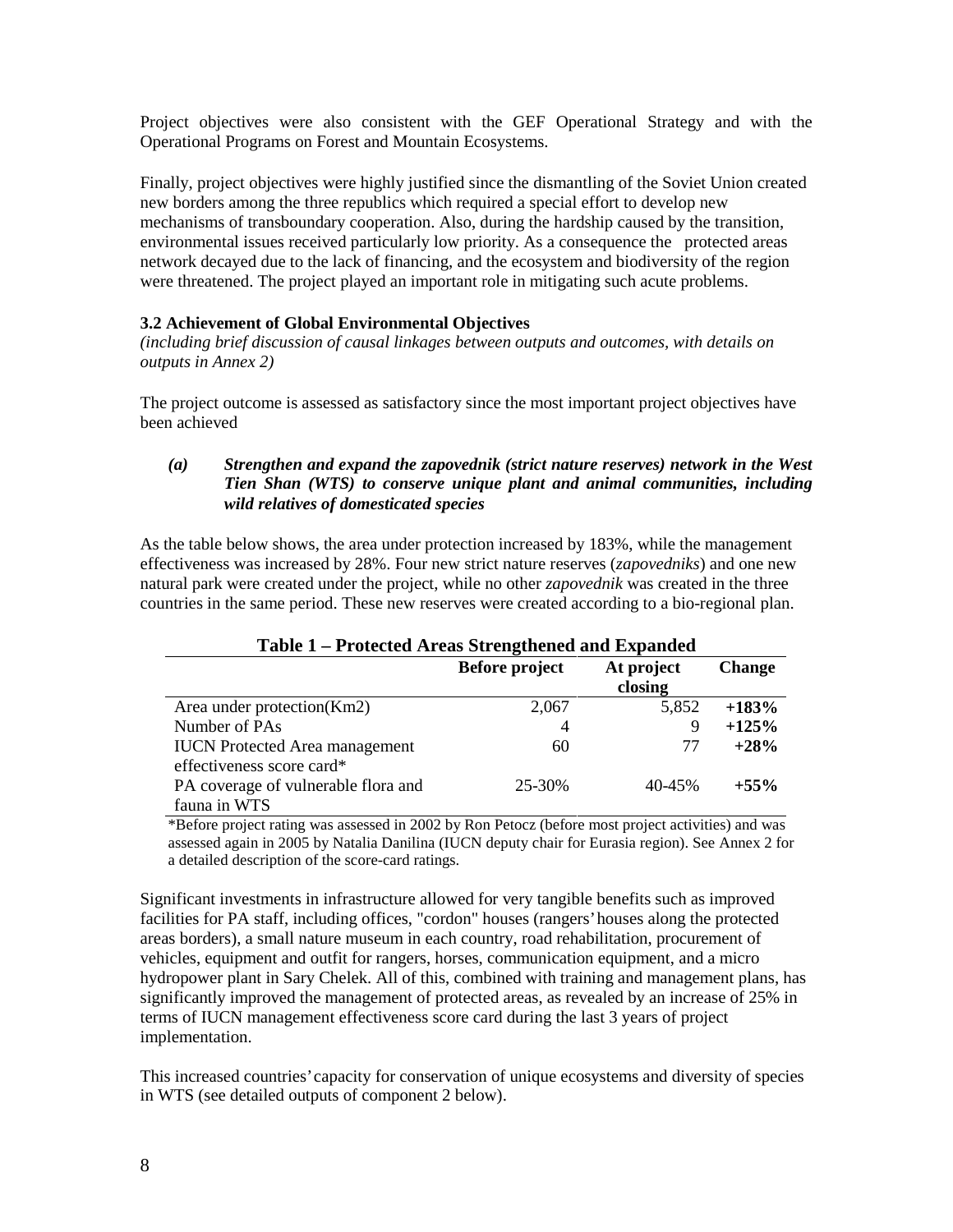Project objectives were also consistent with the GEF Operational Strategy and with the Operational Programs on Forest and Mountain Ecosystems.

Finally, project objectives were highly justified since the dismantling of the Soviet Union created new borders among the three republics which required a special effort to develop new mechanisms of transboundary cooperation. Also, during the hardship caused by the transition, environmental issues received particularly low priority. As a consequence the protected areas network decayed due to the lack of financing, and the ecosystem and biodiversity of the region were threatened. The project played an important role in mitigating such acute problems.

#### **3.2 Achievement of Global Environmental Objectives**

*(including brief discussion of causal linkages between outputs and outcomes, with details on outputs in Annex 2)*

The project outcome is assessed as satisfactory since the most important project objectives have been achieved

#### *(a) Strengthen and expand the zapovednik (strict nature reserves) network in the West Tien Shan (WTS) to conserve unique plant and animal communities, including wild relatives of domesticated species*

As the table below shows, the area under protection increased by 183%, while the management effectiveness was increased by 28%. Four new strict nature reserves (*zapovedniks*) and one new natural park were created under the project, while no other *zapovednik* was created in the three countries in the same period. These new reserves were created according to a bio-regional plan.

| Table 1 – I Folected Areas Strengthened and Expanded |                       |            |               |
|------------------------------------------------------|-----------------------|------------|---------------|
|                                                      | <b>Before project</b> | At project | <b>Change</b> |
|                                                      |                       | closing    |               |
| Area under protection(Km2)                           | 2,067                 | 5,852      | $+183%$       |
| Number of PAs                                        | $\overline{4}$        | 9          | $+125%$       |
| <b>IUCN</b> Protected Area management                | 60                    | 77         | $+28%$        |
| effectiveness score card*                            |                       |            |               |
| PA coverage of vulnerable flora and                  | 25-30%                | 40-45%     | $+55\%$       |
| fauna in WTS                                         |                       |            |               |

## **Table 1 – Protected Areas Strengthened and Expanded**

\*Before project rating was assessed in 2002 by Ron Petocz (before most project activities) and was assessed again in 2005 by Natalia Danilina (IUCN deputy chair for Eurasia region). See Annex 2 for a detailed description of the score-card ratings.

Significant investments in infrastructure allowed for very tangible benefits such as improved facilities for PA staff, including offices, "cordon" houses (rangers' houses along the protected areas borders), a small nature museum in each country, road rehabilitation, procurement of vehicles, equipment and outfit for rangers, horses, communication equipment, and a micro hydropower plant in Sary Chelek. All of this, combined with training and management plans, has significantly improved the management of protected areas, as revealed by an increase of 25% in terms of IUCN management effectiveness score card during the last 3 years of project implementation.

This increased countries' capacity for conservation of unique ecosystems and diversity of species in WTS (see detailed outputs of component 2 below).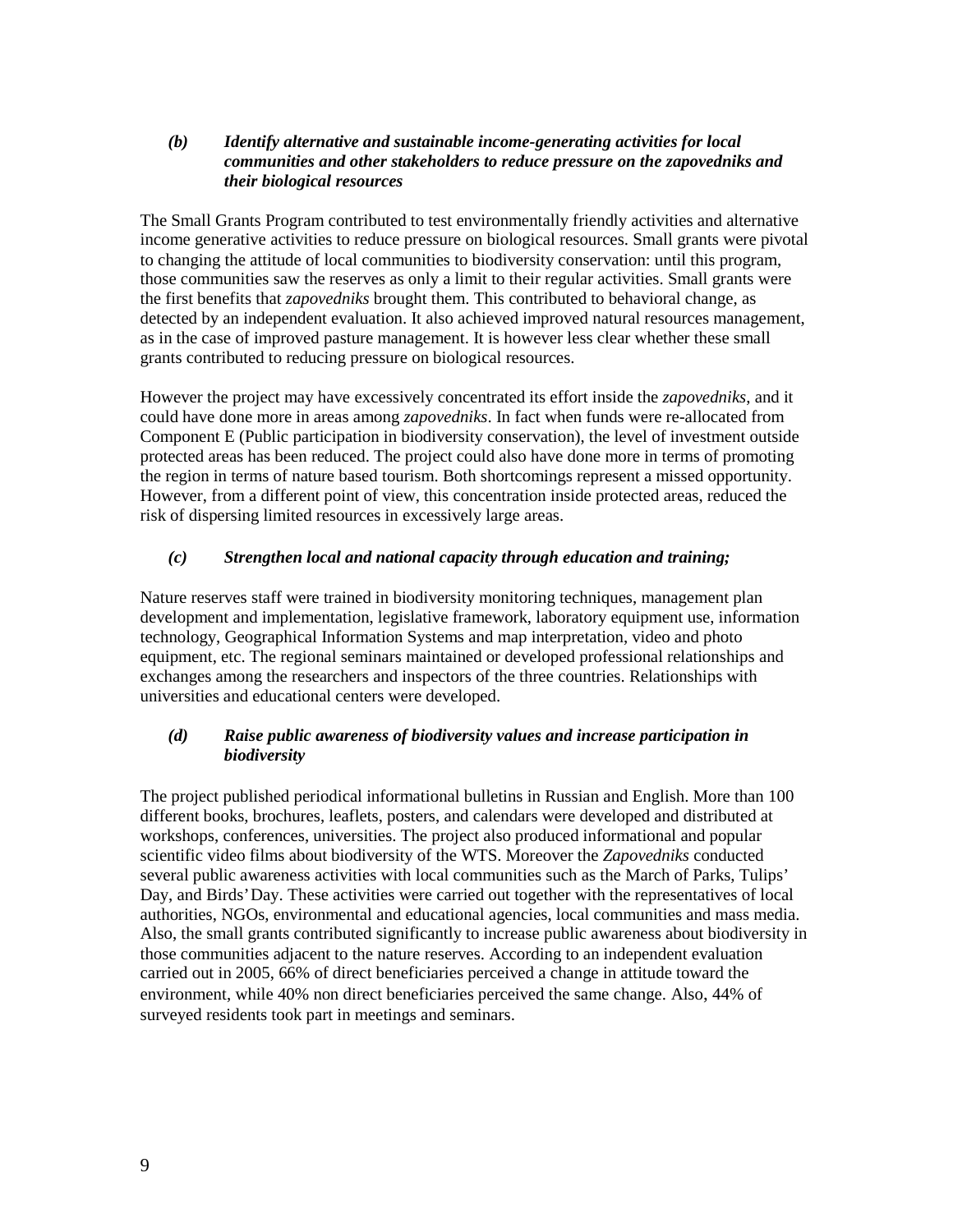#### *(b) Identify alternative and sustainable income-generating activities for local communities and other stakeholders to reduce pressure on the zapovedniks and their biological resources*

The Small Grants Program contributed to test environmentally friendly activities and alternative income generative activities to reduce pressure on biological resources. Small grants were pivotal to changing the attitude of local communities to biodiversity conservation: until this program, those communities saw the reserves as only a limit to their regular activities. Small grants were the first benefits that *zapovedniks* brought them. This contributed to behavioral change, as detected by an independent evaluation. It also achieved improved natural resources management, as in the case of improved pasture management. It is however less clear whether these small grants contributed to reducing pressure on biological resources.

However the project may have excessively concentrated its effort inside the *zapovedniks*, and it could have done more in areas among *zapovedniks*. In fact when funds were re-allocated from Component E (Public participation in biodiversity conservation), the level of investment outside protected areas has been reduced. The project could also have done more in terms of promoting the region in terms of nature based tourism. Both shortcomings represent a missed opportunity. However, from a different point of view, this concentration inside protected areas, reduced the risk of dispersing limited resources in excessively large areas.

#### *(c) Strengthen local and national capacity through education and training;*

Nature reserves staff were trained in biodiversity monitoring techniques, management plan development and implementation, legislative framework, laboratory equipment use, information technology, Geographical Information Systems and map interpretation, video and photo equipment, etc. The regional seminars maintained or developed professional relationships and exchanges among the researchers and inspectors of the three countries. Relationships with universities and educational centers were developed.

#### *(d) Raise public awareness of biodiversity values and increase participation in biodiversity*

The project published periodical informational bulletins in Russian and English. More than 100 different books, brochures, leaflets, posters, and calendars were developed and distributed at workshops, conferences, universities. The project also produced informational and popular scientific video films about biodiversity of the WTS. Moreover the *Zapovedniks* conducted several public awareness activities with local communities such as the March of Parks, Tulips' Day, and Birds' Day. These activities were carried out together with the representatives of local authorities, NGOs, environmental and educational agencies, local communities and mass media. Also, the small grants contributed significantly to increase public awareness about biodiversity in those communities adjacent to the nature reserves. According to an independent evaluation carried out in 2005, 66% of direct beneficiaries perceived a change in attitude toward the environment, while 40% non direct beneficiaries perceived the same change. Also, 44% of surveyed residents took part in meetings and seminars.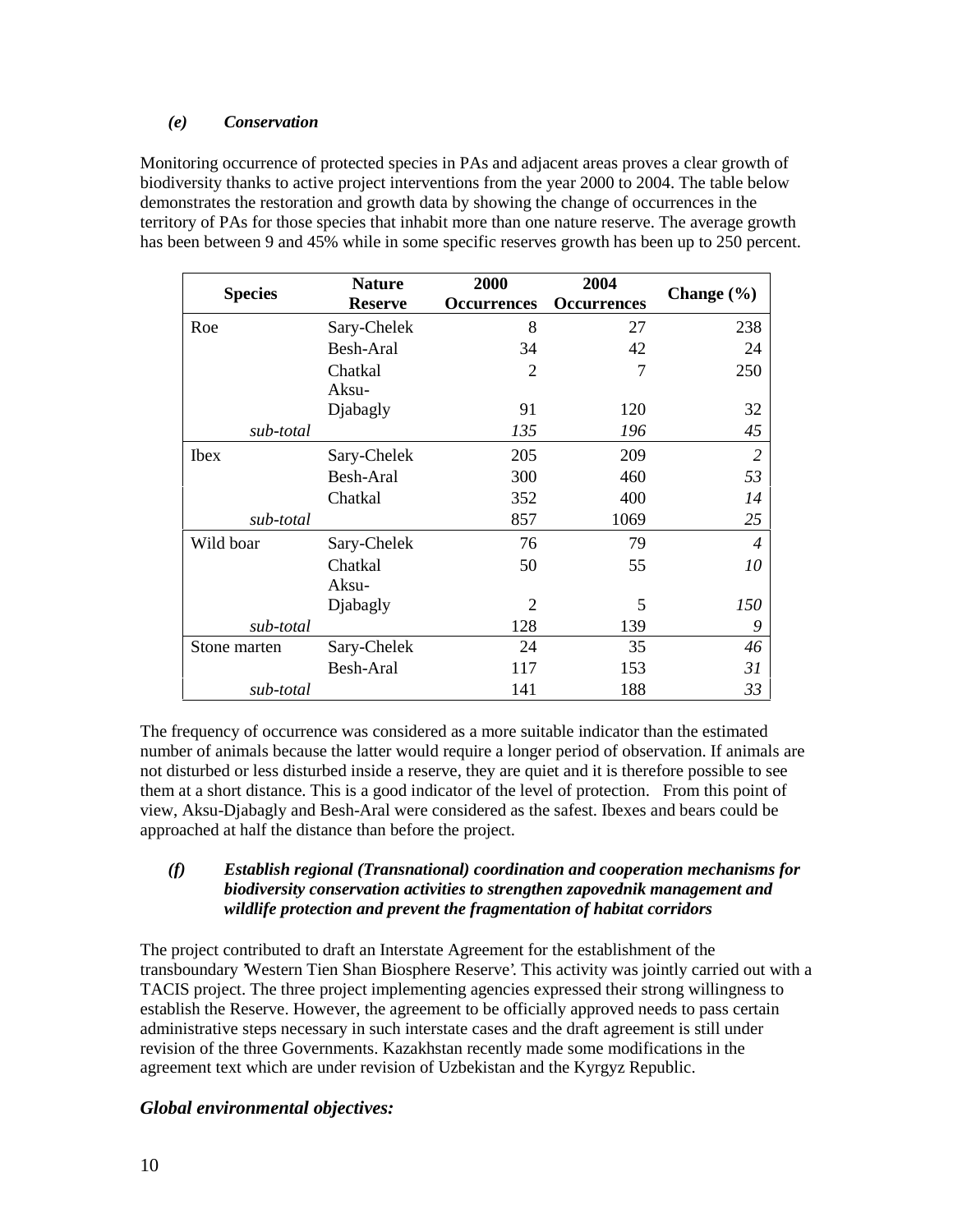#### *(e) Conservation*

Monitoring occurrence of protected species in PAs and adjacent areas proves a clear growth of biodiversity thanks to active project interventions from the year 2000 to 2004. The table below demonstrates the restoration and growth data by showing the change of occurrences in the territory of PAs for those species that inhabit more than one nature reserve. The average growth has been between 9 and 45% while in some specific reserves growth has been up to 250 percent.

|                | <b>Nature</b>  | 2000               | 2004               |                |
|----------------|----------------|--------------------|--------------------|----------------|
| <b>Species</b> | <b>Reserve</b> | <b>Occurrences</b> | <b>Occurrences</b> | Change $(\% )$ |
| Roe            | Sary-Chelek    | 8                  | 27                 | 238            |
|                | Besh-Aral      | 34                 | 42                 | 24             |
|                | Chatkal        | $\overline{2}$     | 7                  | 250            |
|                | Aksu-          |                    |                    |                |
|                | Djabagly       | 91                 | 120                | 32             |
| sub-total      |                | 135                | 196                | 45             |
| <b>Ibex</b>    | Sary-Chelek    | 205                | 209                | 2              |
|                | Besh-Aral      | 300                | 460                | 53             |
|                | Chatkal        | 352                | 400                | 14             |
| sub-total      |                | 857                | 1069               | 25             |
| Wild boar      | Sary-Chelek    | 76                 | 79                 | 4              |
|                | Chatkal        | 50                 | 55                 | 10             |
|                | Aksu-          |                    |                    |                |
|                | Djabagly       | $\overline{2}$     | 5                  | 150            |
| sub-total      |                | 128                | 139                | 9              |
| Stone marten   | Sary-Chelek    | 24                 | 35                 | 46             |
|                | Besh-Aral      | 117                | 153                | 31             |
| sub-total      |                | 141                | 188                | 33             |

The frequency of occurrence was considered as a more suitable indicator than the estimated number of animals because the latter would require a longer period of observation. If animals are not disturbed or less disturbed inside a reserve, they are quiet and it is therefore possible to see them at a short distance. This is a good indicator of the level of protection. From this point of view, Aksu-Djabagly and Besh-Aral were considered as the safest. Ibexes and bears could be approached at half the distance than before the project.

#### *(f) Establish regional (Transnational) coordination and cooperation mechanisms for biodiversity conservation activities to strengthen zapovednik management and wildlife protection and prevent the fragmentation of habitat corridors*

The project contributed to draft an Interstate Agreement for the establishment of the transboundary 'Western Tien Shan Biosphere Reserve'. This activity was jointly carried out with a TACIS project. The three project implementing agencies expressed their strong willingness to establish the Reserve. However, the agreement to be officially approved needs to pass certain administrative steps necessary in such interstate cases and the draft agreement is still under revision of the three Governments. Kazakhstan recently made some modifications in the agreement text which are under revision of Uzbekistan and the Kyrgyz Republic.

#### *Global environmental objectives:*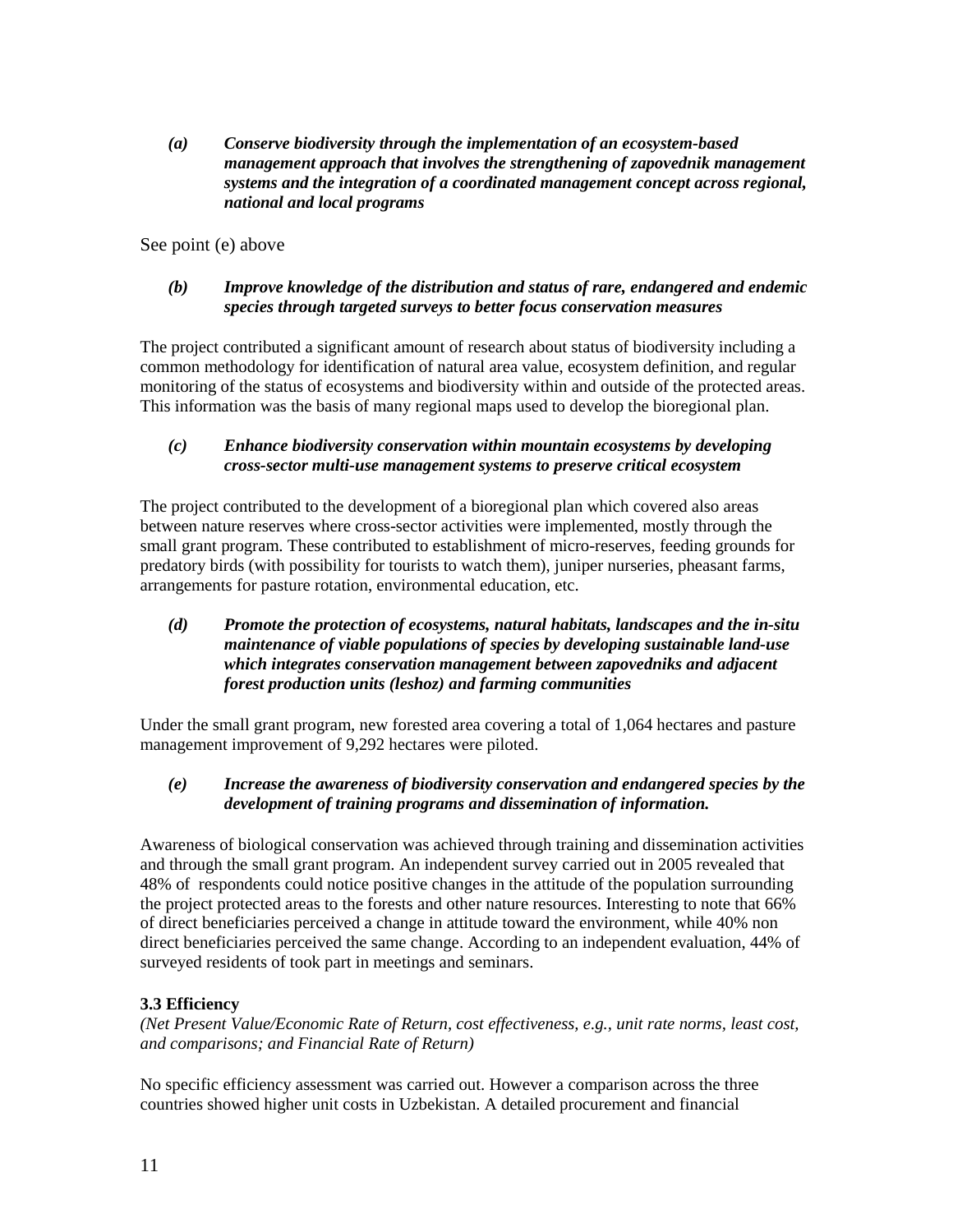*(a) Conserve biodiversity through the implementation of an ecosystem-based management approach that involves the strengthening of zapovednik management systems and the integration of a coordinated management concept across regional, national and local programs*

See point (e) above

#### *(b) Improve knowledge of the distribution and status of rare, endangered and endemic species through targeted surveys to better focus conservation measures*

The project contributed a significant amount of research about status of biodiversity including a common methodology for identification of natural area value, ecosystem definition, and regular monitoring of the status of ecosystems and biodiversity within and outside of the protected areas. This information was the basis of many regional maps used to develop the bioregional plan.

#### *(c) Enhance biodiversity conservation within mountain ecosystems by developing cross-sector multi-use management systems to preserve critical ecosystem*

The project contributed to the development of a bioregional plan which covered also areas between nature reserves where cross-sector activities were implemented, mostly through the small grant program. These contributed to establishment of micro-reserves, feeding grounds for predatory birds (with possibility for tourists to watch them), juniper nurseries, pheasant farms, arrangements for pasture rotation, environmental education, etc.

#### *(d) Promote the protection of ecosystems, natural habitats, landscapes and the in-situ maintenance of viable populations of species by developing sustainable land-use which integrates conservation management between zapovedniks and adjacent forest production units (leshoz) and farming communities*

Under the small grant program, new forested area covering a total of 1,064 hectares and pasture management improvement of 9,292 hectares were piloted.

#### *(e) Increase the awareness of biodiversity conservation and endangered species by the development of training programs and dissemination of information.*

Awareness of biological conservation was achieved through training and dissemination activities and through the small grant program. An independent survey carried out in 2005 revealed that 48% of respondents could notice positive changes in the attitude of the population surrounding the project protected areas to the forests and other nature resources. Interesting to note that 66% of direct beneficiaries perceived a change in attitude toward the environment, while 40% non direct beneficiaries perceived the same change. According to an independent evaluation, 44% of surveyed residents of took part in meetings and seminars.

#### **3.3 Efficiency**

*(Net Present Value/Economic Rate of Return, cost effectiveness, e.g., unit rate norms, least cost, and comparisons; and Financial Rate of Return)* 

No specific efficiency assessment was carried out. However a comparison across the three countries showed higher unit costs in Uzbekistan. A detailed procurement and financial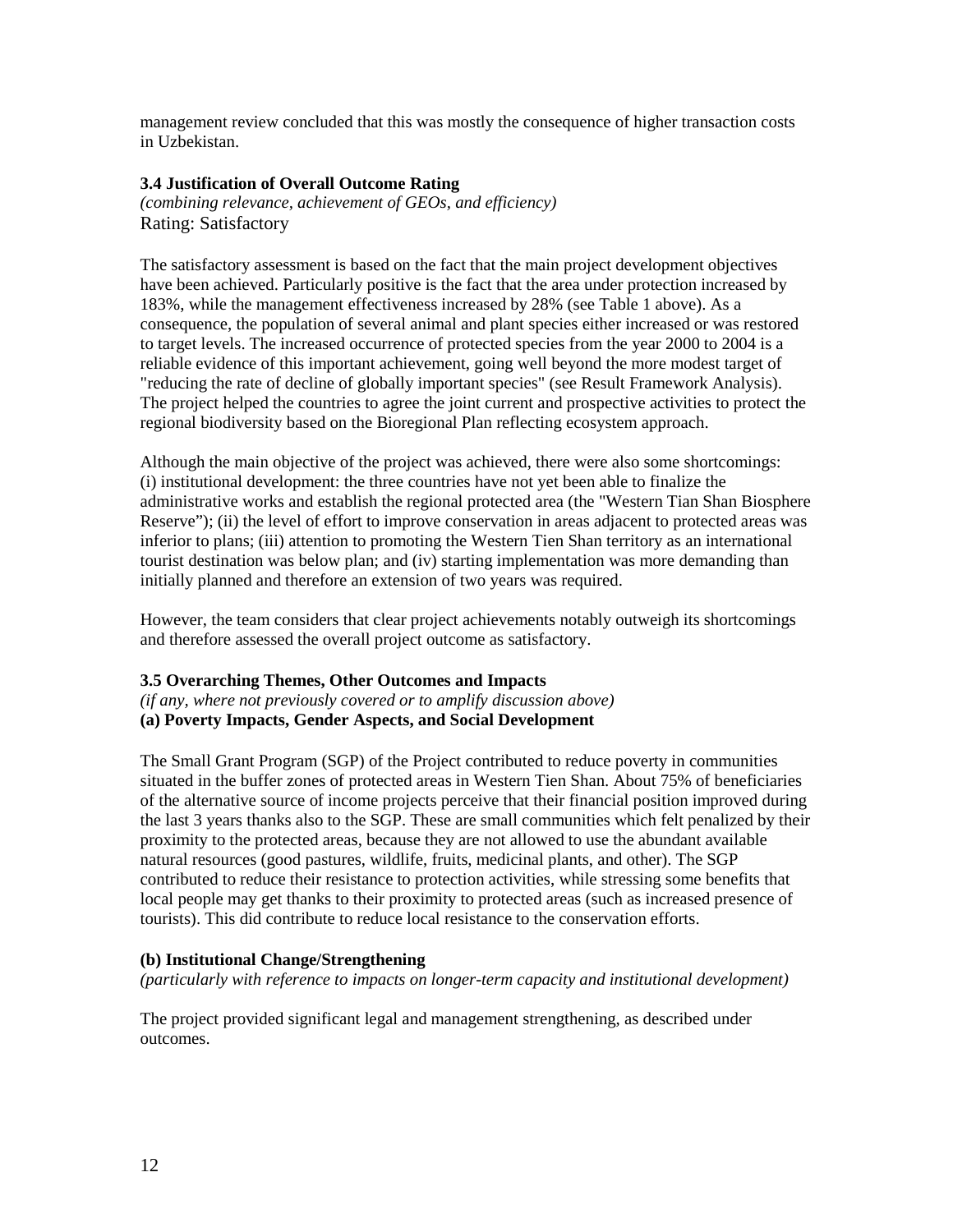management review concluded that this was mostly the consequence of higher transaction costs in Uzbekistan.

#### **3.4 Justification of Overall Outcome Rating**

*(combining relevance, achievement of GEOs, and efficiency)* Rating: Satisfactory

The satisfactory assessment is based on the fact that the main project development objectives have been achieved. Particularly positive is the fact that the area under protection increased by 183%, while the management effectiveness increased by 28% (see Table 1 above). As a consequence, the population of several animal and plant species either increased or was restored to target levels. The increased occurrence of protected species from the year 2000 to 2004 is a reliable evidence of this important achievement, going well beyond the more modest target of "reducing the rate of decline of globally important species" (see Result Framework Analysis). The project helped the countries to agree the joint current and prospective activities to protect the regional biodiversity based on the Bioregional Plan reflecting ecosystem approach.

Although the main objective of the project was achieved, there were also some shortcomings: (i) institutional development: the three countries have not yet been able to finalize the administrative works and establish the regional protected area (the "Western Tian Shan Biosphere Reserve"); (ii) the level of effort to improve conservation in areas adjacent to protected areas was inferior to plans; (iii) attention to promoting the Western Tien Shan territory as an international tourist destination was below plan; and (iv) starting implementation was more demanding than initially planned and therefore an extension of two years was required.

However, the team considers that clear project achievements notably outweigh its shortcomings and therefore assessed the overall project outcome as satisfactory.

#### **3.5 Overarching Themes, Other Outcomes and Impacts**

*(if any, where not previously covered or to amplify discussion above)* **(a) Poverty Impacts, Gender Aspects, and Social Development**

The Small Grant Program (SGP) of the Project contributed to reduce poverty in communities situated in the buffer zones of protected areas in Western Tien Shan. About 75% of beneficiaries of the alternative source of income projects perceive that their financial position improved during the last 3 years thanks also to the SGP. These are small communities which felt penalized by their proximity to the protected areas, because they are not allowed to use the abundant available natural resources (good pastures, wildlife, fruits, medicinal plants, and other). The SGP contributed to reduce their resistance to protection activities, while stressing some benefits that local people may get thanks to their proximity to protected areas (such as increased presence of tourists). This did contribute to reduce local resistance to the conservation efforts.

#### **(b) Institutional Change/Strengthening**

*(particularly with reference to impacts on longer-term capacity and institutional development)* 

The project provided significant legal and management strengthening, as described under outcomes.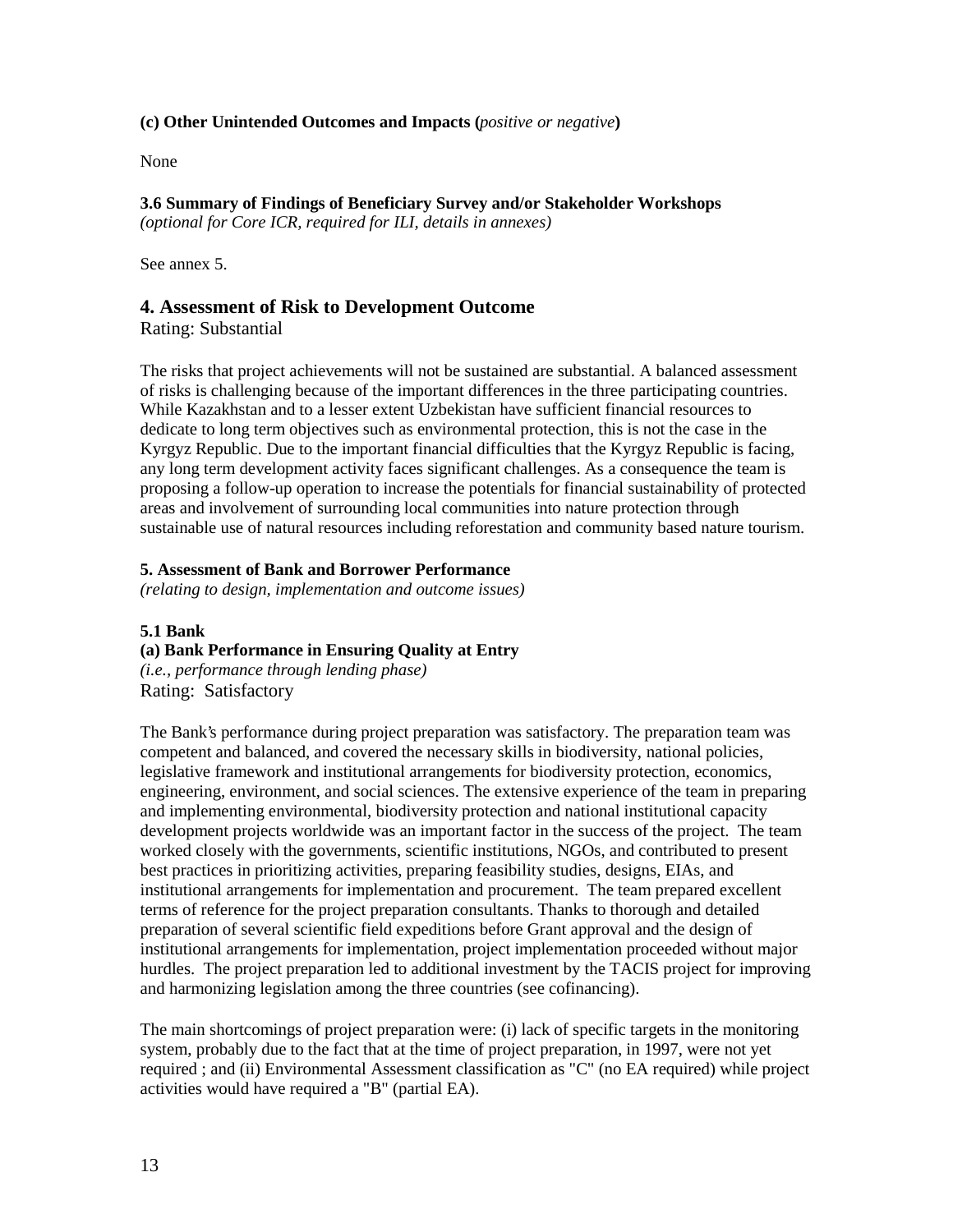#### **(c) Other Unintended Outcomes and Impacts (***positive or negative***)**

None

**3.6 Summary of Findings of Beneficiary Survey and/or Stakeholder Workshops**  *(optional for Core ICR, required for ILI, details in annexes)*

See annex 5.

#### **4. Assessment of Risk to Development Outcome**

Rating: Substantial

The risks that project achievements will not be sustained are substantial. A balanced assessment of risks is challenging because of the important differences in the three participating countries. While Kazakhstan and to a lesser extent Uzbekistan have sufficient financial resources to dedicate to long term objectives such as environmental protection, this is not the case in the Kyrgyz Republic. Due to the important financial difficulties that the Kyrgyz Republic is facing, any long term development activity faces significant challenges. As a consequence the team is proposing a follow-up operation to increase the potentials for financial sustainability of protected areas and involvement of surrounding local communities into nature protection through sustainable use of natural resources including reforestation and community based nature tourism.

#### **5. Assessment of Bank and Borrower Performance**

*(relating to design, implementation and outcome issues)*

#### **5.1 Bank**

#### **(a) Bank Performance in Ensuring Quality at Entry**

*(i.e., performance through lending phase)* Rating: Satisfactory

The Bank's performance during project preparation was satisfactory. The preparation team was competent and balanced, and covered the necessary skills in biodiversity, national policies, legislative framework and institutional arrangements for biodiversity protection, economics, engineering, environment, and social sciences. The extensive experience of the team in preparing and implementing environmental, biodiversity protection and national institutional capacity development projects worldwide was an important factor in the success of the project. The team worked closely with the governments, scientific institutions, NGOs, and contributed to present best practices in prioritizing activities, preparing feasibility studies, designs, EIAs, and institutional arrangements for implementation and procurement. The team prepared excellent terms of reference for the project preparation consultants. Thanks to thorough and detailed preparation of several scientific field expeditions before Grant approval and the design of institutional arrangements for implementation, project implementation proceeded without major hurdles. The project preparation led to additional investment by the TACIS project for improving and harmonizing legislation among the three countries (see cofinancing).

The main shortcomings of project preparation were: (i) lack of specific targets in the monitoring system, probably due to the fact that at the time of project preparation, in 1997, were not yet required ; and (ii) Environmental Assessment classification as "C" (no EA required) while project activities would have required a "B" (partial EA).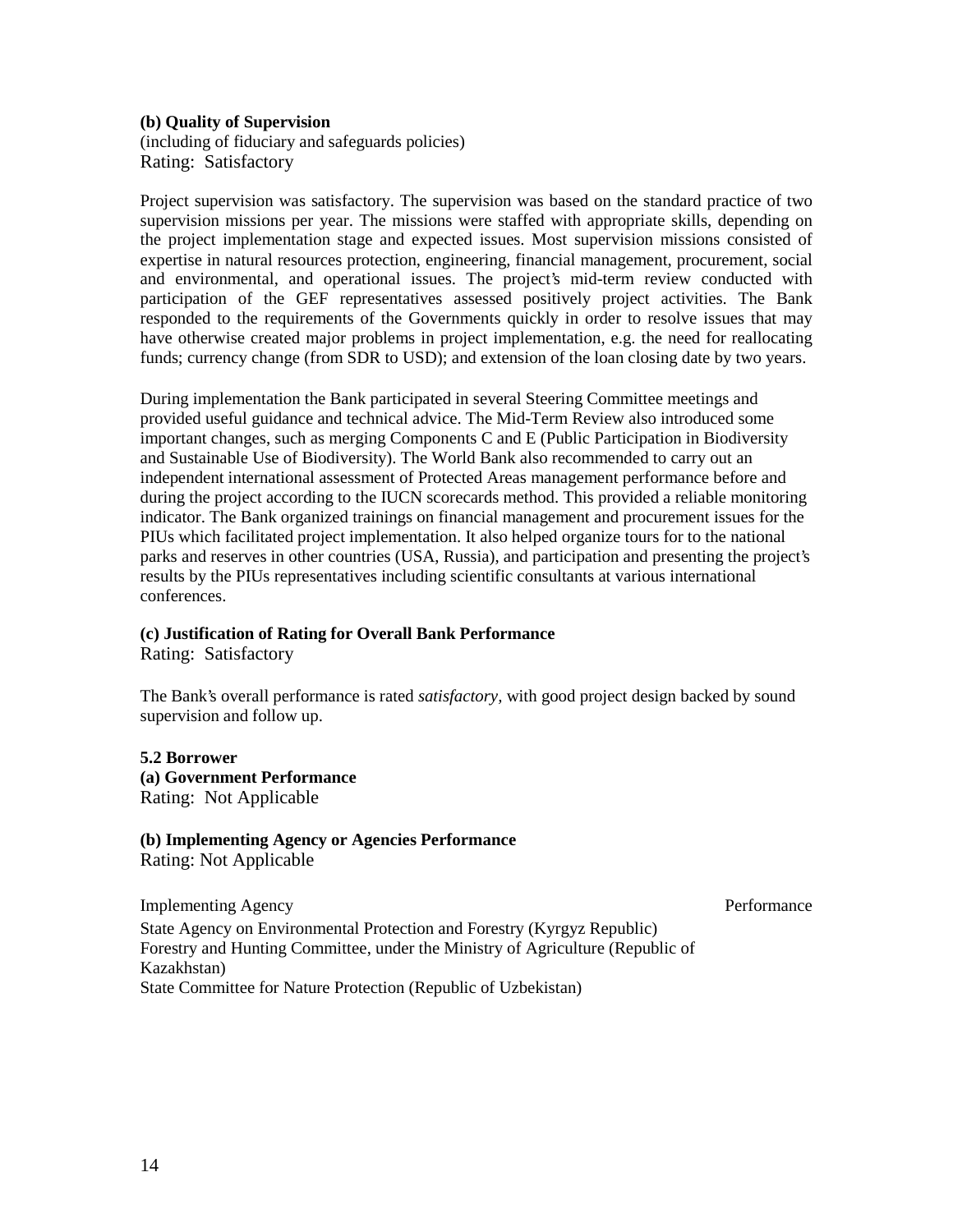#### **(b) Quality of Supervision**

(including of fiduciary and safeguards policies) Rating: Satisfactory

Project supervision was satisfactory. The supervision was based on the standard practice of two supervision missions per year. The missions were staffed with appropriate skills, depending on the project implementation stage and expected issues. Most supervision missions consisted of expertise in natural resources protection, engineering, financial management, procurement, social and environmental, and operational issues. The project's mid-term review conducted with participation of the GEF representatives assessed positively project activities. The Bank responded to the requirements of the Governments quickly in order to resolve issues that may have otherwise created major problems in project implementation, e.g. the need for reallocating funds; currency change (from SDR to USD); and extension of the loan closing date by two years.

During implementation the Bank participated in several Steering Committee meetings and provided useful guidance and technical advice. The Mid-Term Review also introduced some important changes, such as merging Components C and E (Public Participation in Biodiversity and Sustainable Use of Biodiversity). The World Bank also recommended to carry out an independent international assessment of Protected Areas management performance before and during the project according to the IUCN scorecards method. This provided a reliable monitoring indicator. The Bank organized trainings on financial management and procurement issues for the PIUs which facilitated project implementation. It also helped organize tours for to the national parks and reserves in other countries (USA, Russia), and participation and presenting the project's results by the PIUs representatives including scientific consultants at various international conferences.

#### **(c) Justification of Rating for Overall Bank Performance**

Rating: Satisfactory

The Bank's overall performance is rated *satisfactory,* with good project design backed by sound supervision and follow up.

#### **5.2 Borrower**

**(a) Government Performance** Rating: Not Applicable

#### **(b) Implementing Agency or Agencies Performance**

Rating: Not Applicable

Implementing Agency Performance State Agency on Environmental Protection and Forestry (Kyrgyz Republic) Forestry and Hunting Committee, under the Ministry of Agriculture (Republic of Kazakhstan) State Committee for Nature Protection (Republic of Uzbekistan)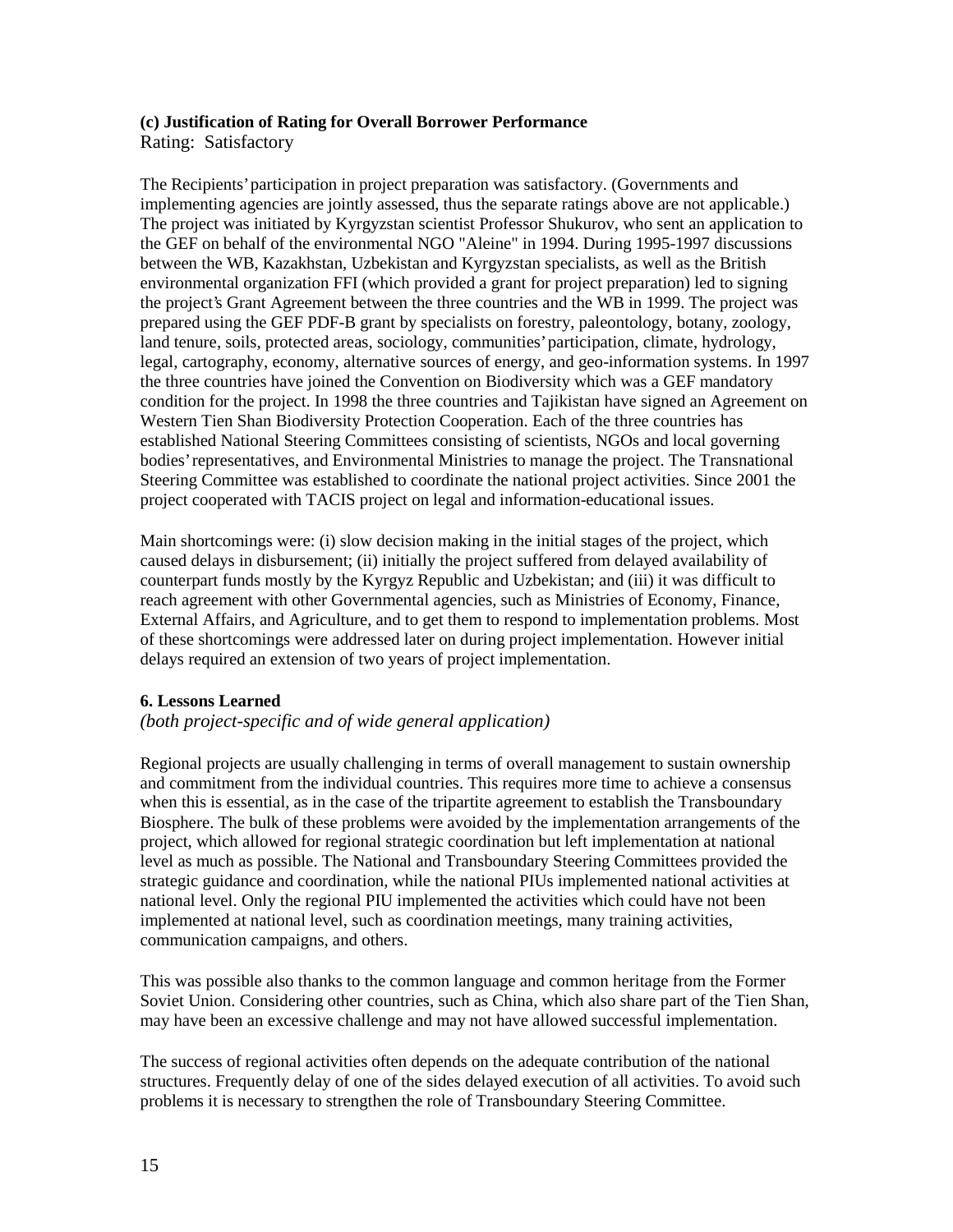## **(c) Justification of Rating for Overall Borrower Performance**

Rating: Satisfactory

The Recipients' participation in project preparation was satisfactory. (Governments and implementing agencies are jointly assessed, thus the separate ratings above are not applicable.) The project was initiated by Kyrgyzstan scientist Professor Shukurov, who sent an application to the GEF on behalf of the environmental NGO "Aleine" in 1994. During 1995-1997 discussions between the WB, Kazakhstan, Uzbekistan and Kyrgyzstan specialists, as well as the British environmental organization FFI (which provided a grant for project preparation) led to signing the project's Grant Agreement between the three countries and the WB in 1999. The project was prepared using the GEF PDF-B grant by specialists on forestry, paleontology, botany, zoology, land tenure, soils, protected areas, sociology, communities' participation, climate, hydrology, legal, cartography, economy, alternative sources of energy, and geo-information systems. In 1997 the three countries have joined the Convention on Biodiversity which was a GEF mandatory condition for the project. In 1998 the three countries and Tajikistan have signed an Agreement on Western Tien Shan Biodiversity Protection Cooperation. Each of the three countries has established National Steering Committees consisting of scientists, NGOs and local governing bodies' representatives, and Environmental Ministries to manage the project. The Transnational Steering Committee was established to coordinate the national project activities. Since 2001 the project cooperated with TACIS project on legal and information-educational issues.

Main shortcomings were: (i) slow decision making in the initial stages of the project, which caused delays in disbursement; (ii) initially the project suffered from delayed availability of counterpart funds mostly by the Kyrgyz Republic and Uzbekistan; and (iii) it was difficult to reach agreement with other Governmental agencies, such as Ministries of Economy, Finance, External Affairs, and Agriculture, and to get them to respond to implementation problems. Most of these shortcomings were addressed later on during project implementation. However initial delays required an extension of two years of project implementation.

#### **6. Lessons Learned**

#### *(both project-specific and of wide general application)*

Regional projects are usually challenging in terms of overall management to sustain ownership and commitment from the individual countries. This requires more time to achieve a consensus when this is essential, as in the case of the tripartite agreement to establish the Transboundary Biosphere. The bulk of these problems were avoided by the implementation arrangements of the project, which allowed for regional strategic coordination but left implementation at national level as much as possible. The National and Transboundary Steering Committees provided the strategic guidance and coordination, while the national PIUs implemented national activities at national level. Only the regional PIU implemented the activities which could have not been implemented at national level, such as coordination meetings, many training activities, communication campaigns, and others.

This was possible also thanks to the common language and common heritage from the Former Soviet Union. Considering other countries, such as China, which also share part of the Tien Shan, may have been an excessive challenge and may not have allowed successful implementation.

The success of regional activities often depends on the adequate contribution of the national structures. Frequently delay of one of the sides delayed execution of all activities. To avoid such problems it is necessary to strengthen the role of Transboundary Steering Committee.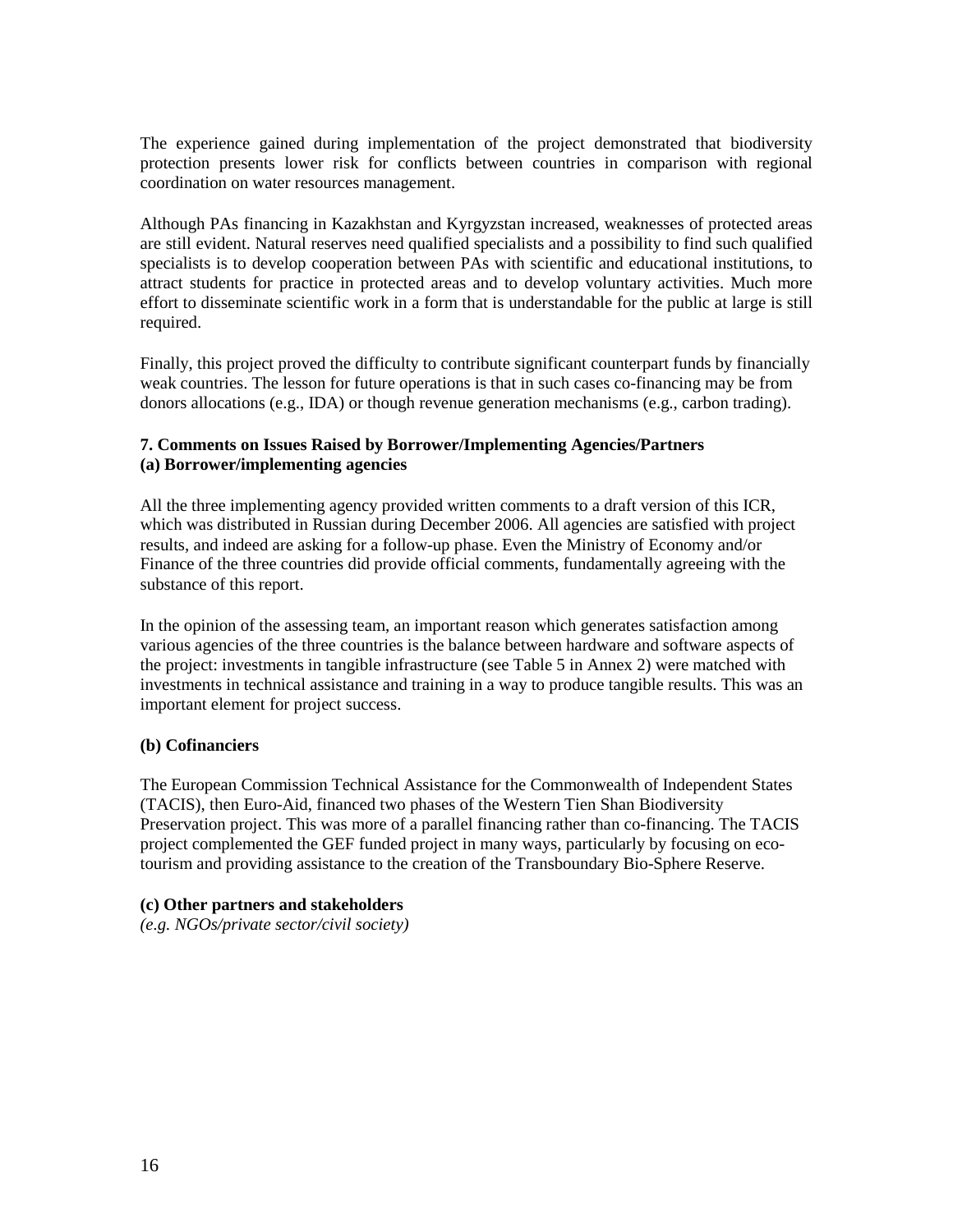The experience gained during implementation of the project demonstrated that biodiversity protection presents lower risk for conflicts between countries in comparison with regional coordination on water resources management.

Although PAs financing in Kazakhstan and Kyrgyzstan increased, weaknesses of protected areas are still evident. Natural reserves need qualified specialists and a possibility to find such qualified specialists is to develop cooperation between PAs with scientific and educational institutions, to attract students for practice in protected areas and to develop voluntary activities. Much more effort to disseminate scientific work in a form that is understandable for the public at large is still required.

Finally, this project proved the difficulty to contribute significant counterpart funds by financially weak countries. The lesson for future operations is that in such cases co-financing may be from donors allocations (e.g., IDA) or though revenue generation mechanisms (e.g., carbon trading).

#### **7. Comments on Issues Raised by Borrower/Implementing Agencies/Partners (a) Borrower/implementing agencies**

All the three implementing agency provided written comments to a draft version of this ICR, which was distributed in Russian during December 2006. All agencies are satisfied with project results, and indeed are asking for a follow-up phase. Even the Ministry of Economy and/or Finance of the three countries did provide official comments, fundamentally agreeing with the substance of this report.

In the opinion of the assessing team, an important reason which generates satisfaction among various agencies of the three countries is the balance between hardware and software aspects of the project: investments in tangible infrastructure (see Table 5 in Annex 2) were matched with investments in technical assistance and training in a way to produce tangible results. This was an important element for project success.

#### **(b) Cofinanciers**

The European Commission Technical Assistance for the Commonwealth of Independent States (TACIS), then Euro-Aid, financed two phases of the Western Tien Shan Biodiversity Preservation project. This was more of a parallel financing rather than co-financing. The TACIS project complemented the GEF funded project in many ways, particularly by focusing on ecotourism and providing assistance to the creation of the Transboundary Bio-Sphere Reserve.

#### **(c) Other partners and stakeholders**

*(e.g. NGOs/private sector/civil society)*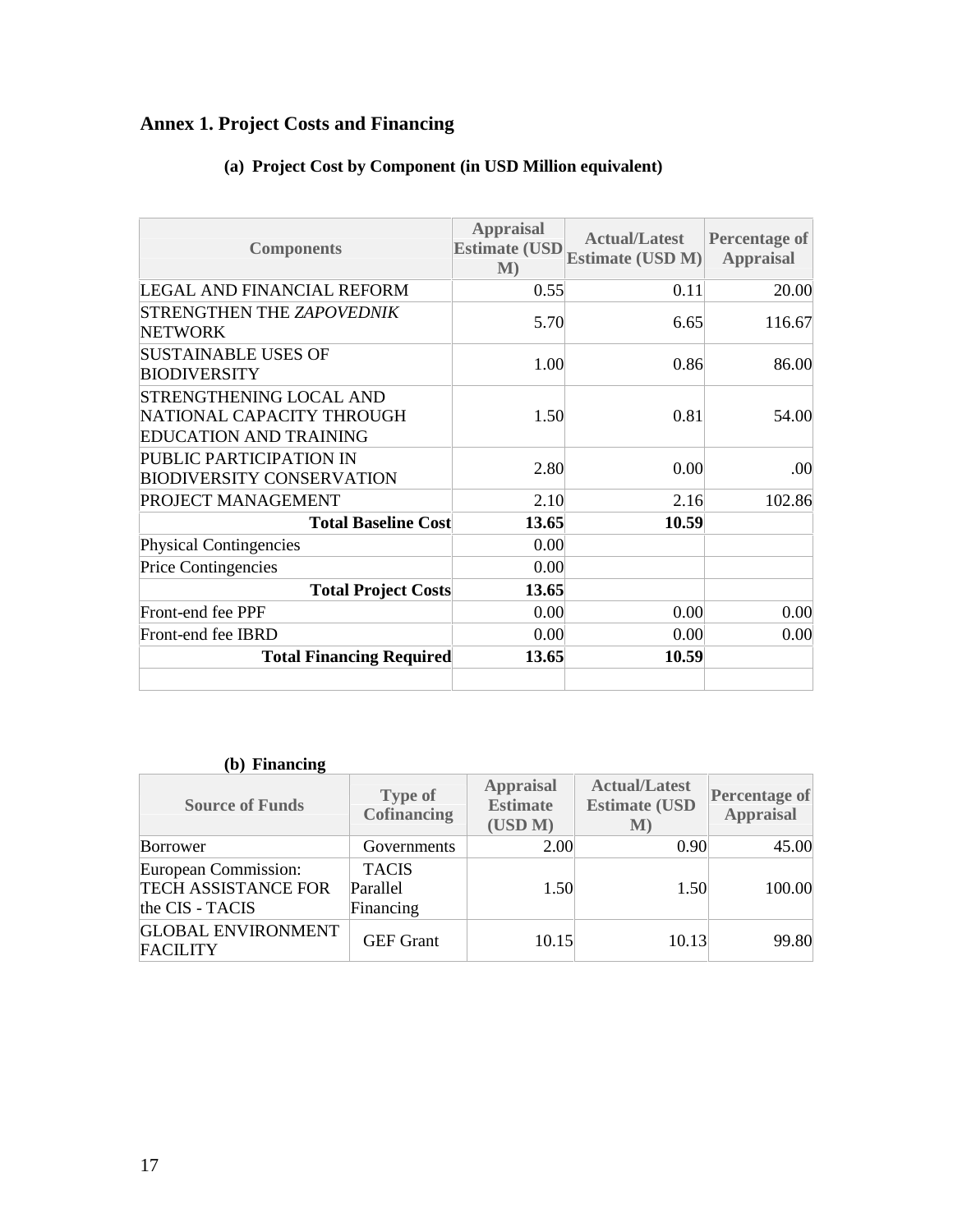# **Annex 1. Project Costs and Financing**

| <b>Components</b>                                                                            | <b>Appraisal</b><br><b>Estimate (USD</b><br>M) | <b>Actual/Latest</b><br><b>Estimate (USD M)</b> | <b>Percentage of</b><br><b>Appraisal</b> |
|----------------------------------------------------------------------------------------------|------------------------------------------------|-------------------------------------------------|------------------------------------------|
| LEGAL AND FINANCIAL REFORM                                                                   | 0.55                                           | 0.11                                            | 20.00                                    |
| <b>STRENGTHEN THE ZAPOVEDNIK</b><br><b>NETWORK</b>                                           | 5.70                                           | 6.65                                            | 116.67                                   |
| <b>SUSTAINABLE USES OF</b><br><b>BIODIVERSITY</b>                                            | 1.00                                           | 0.86                                            | 86.00                                    |
| <b>STRENGTHENING LOCAL AND</b><br>NATIONAL CAPACITY THROUGH<br><b>EDUCATION AND TRAINING</b> | 1.50                                           | 0.81                                            | 54.00                                    |
| PUBLIC PARTICIPATION IN<br><b>BIODIVERSITY CONSERVATION</b>                                  | 2.80                                           | 0.00                                            | .00                                      |
| PROJECT MANAGEMENT                                                                           | 2.10                                           | 2.16                                            | 102.86                                   |
| <b>Total Baseline Cost</b>                                                                   | 13.65                                          | 10.59                                           |                                          |
| <b>Physical Contingencies</b>                                                                | 0.00                                           |                                                 |                                          |
| <b>Price Contingencies</b>                                                                   | 0.00                                           |                                                 |                                          |
| <b>Total Project Costs</b>                                                                   | 13.65                                          |                                                 |                                          |
| Front-end fee PPF                                                                            | 0.00                                           | 0.00                                            | 0.00                                     |
| Front-end fee IBRD                                                                           | 0.00                                           | 0.00                                            | 0.00                                     |
| <b>Total Financing Required</b>                                                              | 13.65                                          | 10.59                                           |                                          |

# **(a) Project Cost by Component (in USD Million equivalent)**

## **(b) Financing**

| <b>Source of Funds</b>                                                | <b>Type of</b><br><b>Cofinancing</b>  | <b>Appraisal</b><br><b>Estimate</b><br>(USD M) | <b>Actual/Latest</b><br><b>Estimate (USD)</b><br>M) | <b>Percentage of</b><br><b>Appraisal</b> |
|-----------------------------------------------------------------------|---------------------------------------|------------------------------------------------|-----------------------------------------------------|------------------------------------------|
| Borrower                                                              | Governments                           | 2.00                                           | 0.90                                                | 45.00                                    |
| European Commission:<br><b>TECH ASSISTANCE FOR</b><br>the CIS - TACIS | <b>TACIS</b><br>Parallel<br>Financing | 1.50                                           | 1.50                                                | 100.00                                   |
| <b>GLOBAL ENVIRONMENT</b><br><b>FACILITY</b>                          | <b>GEF</b> Grant                      | 10.15                                          | 10.13                                               | 99.80                                    |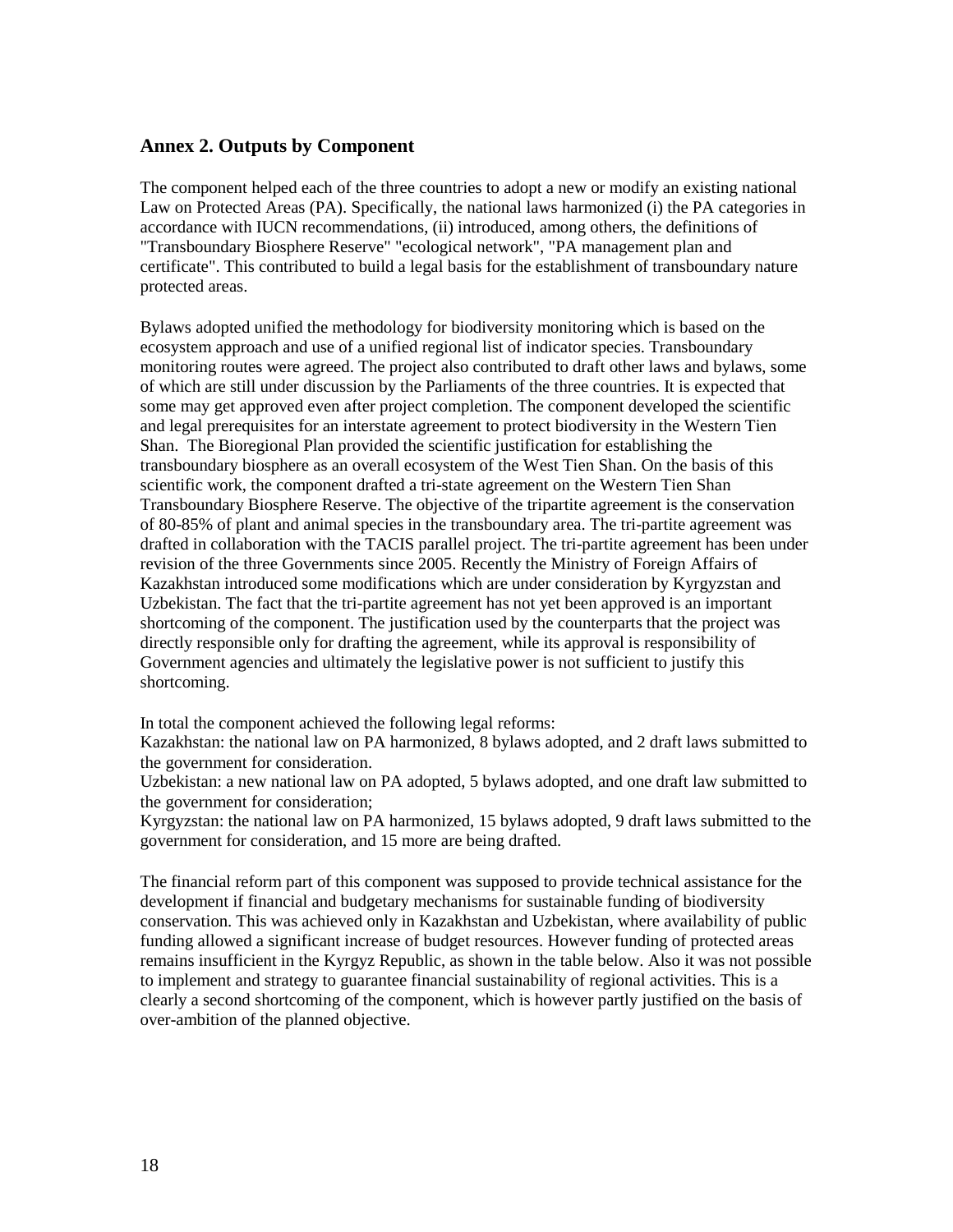#### **Annex 2. Outputs by Component**

The component helped each of the three countries to adopt a new or modify an existing national Law on Protected Areas (PA). Specifically, the national laws harmonized (i) the PA categories in accordance with IUCN recommendations, (ii) introduced, among others, the definitions of "Transboundary Biosphere Reserve" "ecological network", "PA management plan and certificate". This contributed to build a legal basis for the establishment of transboundary nature protected areas.

Bylaws adopted unified the methodology for biodiversity monitoring which is based on the ecosystem approach and use of a unified regional list of indicator species. Transboundary monitoring routes were agreed. The project also contributed to draft other laws and bylaws, some of which are still under discussion by the Parliaments of the three countries. It is expected that some may get approved even after project completion. The component developed the scientific and legal prerequisites for an interstate agreement to protect biodiversity in the Western Tien Shan. The Bioregional Plan provided the scientific justification for establishing the transboundary biosphere as an overall ecosystem of the West Tien Shan. On the basis of this scientific work, the component drafted a tri-state agreement on the Western Tien Shan Transboundary Biosphere Reserve. The objective of the tripartite agreement is the conservation of 80-85% of plant and animal species in the transboundary area. The tri-partite agreement was drafted in collaboration with the TACIS parallel project. The tri-partite agreement has been under revision of the three Governments since 2005. Recently the Ministry of Foreign Affairs of Kazakhstan introduced some modifications which are under consideration by Kyrgyzstan and Uzbekistan. The fact that the tri-partite agreement has not yet been approved is an important shortcoming of the component. The justification used by the counterparts that the project was directly responsible only for drafting the agreement, while its approval is responsibility of Government agencies and ultimately the legislative power is not sufficient to justify this shortcoming.

In total the component achieved the following legal reforms:

Kazakhstan: the national law on PA harmonized, 8 bylaws adopted, and 2 draft laws submitted to the government for consideration.

Uzbekistan: a new national law on PA adopted, 5 bylaws adopted, and one draft law submitted to the government for consideration;

Kyrgyzstan: the national law on PA harmonized, 15 bylaws adopted, 9 draft laws submitted to the government for consideration, and 15 more are being drafted.

The financial reform part of this component was supposed to provide technical assistance for the development if financial and budgetary mechanisms for sustainable funding of biodiversity conservation. This was achieved only in Kazakhstan and Uzbekistan, where availability of public funding allowed a significant increase of budget resources. However funding of protected areas remains insufficient in the Kyrgyz Republic, as shown in the table below. Also it was not possible to implement and strategy to guarantee financial sustainability of regional activities. This is a clearly a second shortcoming of the component, which is however partly justified on the basis of over-ambition of the planned objective.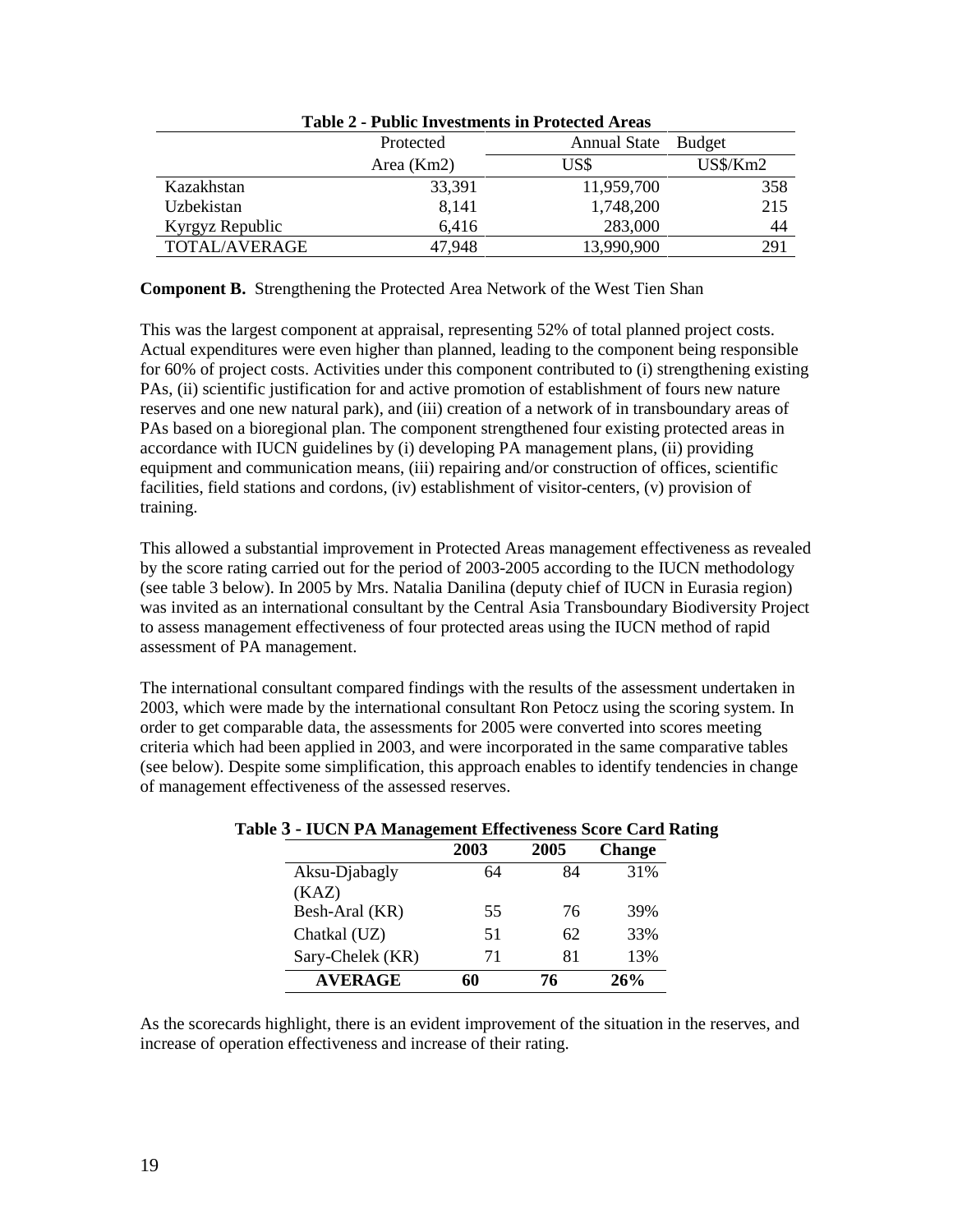|                 | Tudio 4 - I udilo III coditolito III I l'ottettu i II cuo |                     |            |
|-----------------|-----------------------------------------------------------|---------------------|------------|
|                 | Protected                                                 | Annual State Budget |            |
|                 | Area (Km2)                                                | US\$                | $US\$/Km2$ |
| Kazakhstan      | 33,391                                                    | 11,959,700          | 358        |
| Uzbekistan      | 8,141                                                     | 1,748,200           | 215        |
| Kyrgyz Republic | 6.416                                                     | 283,000             | 44         |
| TOTAL/AVERAGE   | 47,948                                                    | 13,990,900          | 291        |

**Table 2 - Public Investments in Protected Areas**

**Component B.** Strengthening the Protected Area Network of the West Tien Shan

This was the largest component at appraisal, representing 52% of total planned project costs. Actual expenditures were even higher than planned, leading to the component being responsible for 60% of project costs. Activities under this component contributed to (i) strengthening existing PAs, (ii) scientific justification for and active promotion of establishment of fours new nature reserves and one new natural park), and (iii) creation of a network of in transboundary areas of PAs based on a bioregional plan. The component strengthened four existing protected areas in accordance with IUCN guidelines by (i) developing PA management plans, (ii) providing equipment and communication means, (iii) repairing and/or construction of offices, scientific facilities, field stations and cordons, (iv) establishment of visitor-centers, (v) provision of training.

This allowed a substantial improvement in Protected Areas management effectiveness as revealed by the score rating carried out for the period of 2003-2005 according to the IUCN methodology (see table 3 below). In 2005 by Mrs. Natalia Danilina (deputy chief of IUCN in Eurasia region) was invited as an international consultant by the Central Asia Transboundary Biodiversity Project to assess management effectiveness of four protected areas using the IUCN method of rapid assessment of PA management.

The international consultant compared findings with the results of the assessment undertaken in 2003, which were made by the international consultant Ron Petocz using the scoring system. In order to get comparable data, the assessments for 2005 were converted into scores meeting criteria which had been applied in 2003, and were incorporated in the same comparative tables (see below). Despite some simplification, this approach enables to identify tendencies in change of management effectiveness of the assessed reserves.

|                  | 2003 | 2005 | <b>Change</b> |
|------------------|------|------|---------------|
| Aksu-Djabagly    | 64   | 84   | 31%           |
| (KAZ)            |      |      |               |
| Besh-Aral (KR)   | 55   | 76   | 39%           |
| Chatkal (UZ)     | 51   | 62   | 33%           |
| Sary-Chelek (KR) | 71   | 81   | 13%           |
| <b>AVERAGE</b>   | 60   | 76   | 26%           |

**Table 3 - IUCN PA Management Effectiveness Score Card Rating**

As the scorecards highlight, there is an evident improvement of the situation in the reserves, and increase of operation effectiveness and increase of their rating.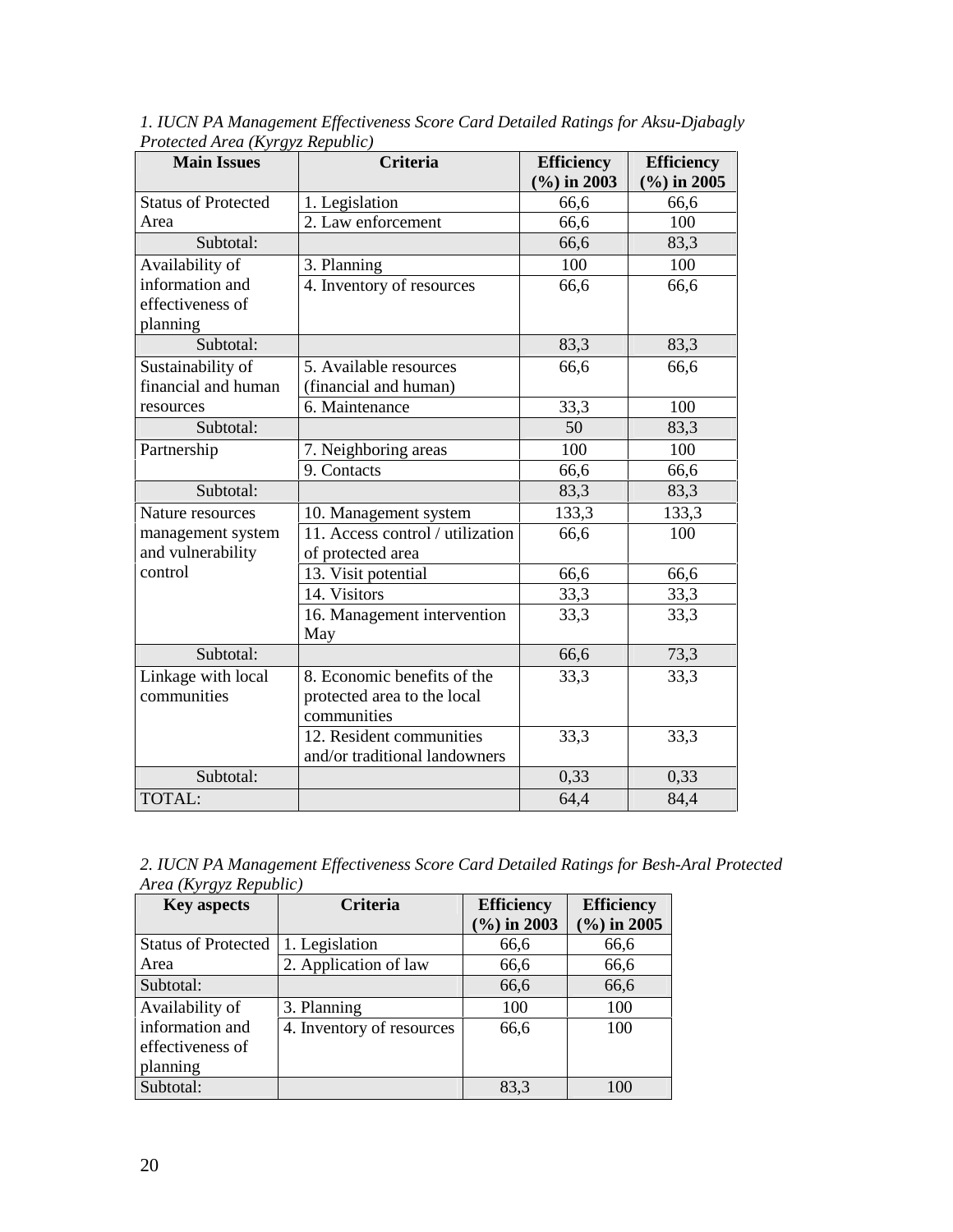| $  0.7 - $ $1 - 0.7 - 1$<br><b>Main Issues</b> | <b>Criteria</b>                  | <b>Efficiency</b><br>$(\frac{6}{6})$ in 2003 | <b>Efficiency</b><br>$(\frac{6}{6})$ in 2005 |
|------------------------------------------------|----------------------------------|----------------------------------------------|----------------------------------------------|
| <b>Status of Protected</b>                     | 1. Legislation                   | 66,6                                         | 66,6                                         |
| Area                                           | 2. Law enforcement               | 66,6                                         | 100                                          |
| Subtotal:                                      |                                  | 66,6                                         | 83,3                                         |
| Availability of                                | 3. Planning                      | 100                                          | 100                                          |
| information and                                | 4. Inventory of resources        | 66,6                                         | 66,6                                         |
| effectiveness of                               |                                  |                                              |                                              |
| planning                                       |                                  |                                              |                                              |
| Subtotal:                                      |                                  | 83,3                                         | 83,3                                         |
| Sustainability of                              | 5. Available resources           | 66,6                                         | 66,6                                         |
| financial and human                            | (financial and human)            |                                              |                                              |
| resources                                      | 6. Maintenance                   | 33,3                                         | 100                                          |
| Subtotal:                                      |                                  | 50                                           | 83,3                                         |
| Partnership                                    | 7. Neighboring areas             | 100                                          | 100                                          |
|                                                | 9. Contacts                      | 66,6                                         | 66,6                                         |
| Subtotal:                                      |                                  | 83,3                                         | 83,3                                         |
| Nature resources                               | 10. Management system            | 133,3                                        | 133,3                                        |
| management system                              | 11. Access control / utilization | 66,6                                         | 100                                          |
| and vulnerability                              | of protected area                |                                              |                                              |
| control                                        | 13. Visit potential              | 66,6                                         | 66,6                                         |
|                                                | 14. Visitors                     | 33,3                                         | 33,3                                         |
|                                                | 16. Management intervention      | 33,3                                         | 33,3                                         |
|                                                | May                              |                                              |                                              |
| Subtotal:                                      |                                  | 66,6                                         | 73,3                                         |
| Linkage with local                             | 8. Economic benefits of the      | 33,3                                         | 33,3                                         |
| communities                                    | protected area to the local      |                                              |                                              |
|                                                | communities                      |                                              |                                              |
|                                                | 12. Resident communities         | 33,3                                         | 33,3                                         |
|                                                | and/or traditional landowners    |                                              |                                              |
| Subtotal:                                      |                                  | 0,33                                         | 0,33                                         |
| TOTAL:                                         |                                  | 64,4                                         | 84,4                                         |

*1. IUCN PA Management Effectiveness Score Card Detailed Ratings for Aksu-Djabagly Protected Area (Kyrgyz Republic)* 

*2. IUCN PA Management Effectiveness Score Card Detailed Ratings for Besh-Aral Protected Area (Kyrgyz Republic)*

| <b>Key aspects</b>         | <b>Criteria</b>           | <b>Efficiency</b> | <b>Efficiency</b>       |
|----------------------------|---------------------------|-------------------|-------------------------|
|                            |                           | $(\% )$ in 2003   | $(\frac{6}{6})$ in 2005 |
| <b>Status of Protected</b> | 1. Legislation            | 66,6              | 66,6                    |
| Area                       | 2. Application of law     | 66,6              | 66,6                    |
| Subtotal:                  |                           | 66,6              | 66,6                    |
| Availability of            | 3. Planning               | 100               | 100                     |
| information and            | 4. Inventory of resources | 66,6              | 100                     |
| effectiveness of           |                           |                   |                         |
| planning                   |                           |                   |                         |
| Subtotal:                  |                           | 83,3              | 100                     |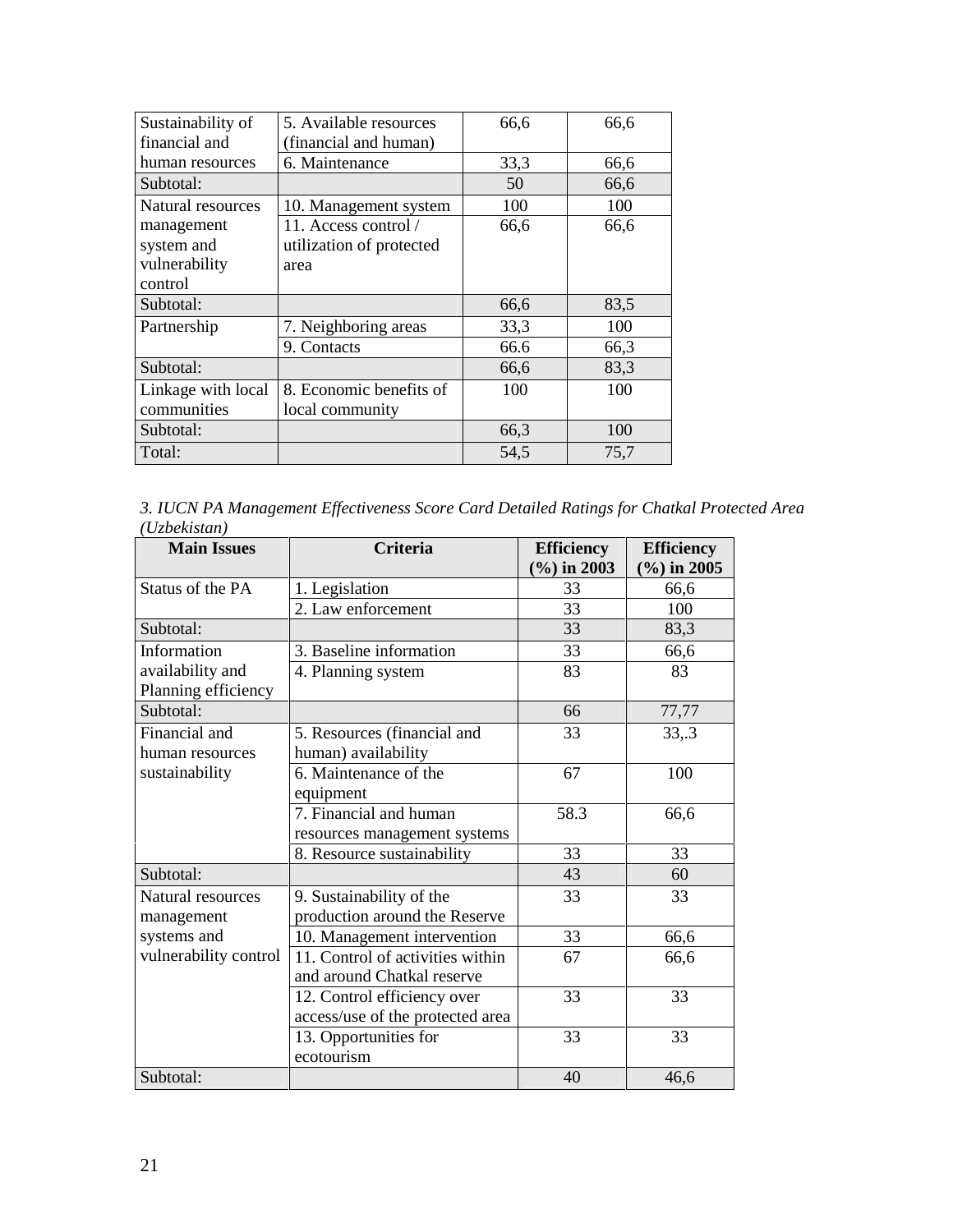| Sustainability of  | 5. Available resources   | 66,6 | 66,6 |
|--------------------|--------------------------|------|------|
| financial and      | (financial and human)    |      |      |
| human resources    | 6. Maintenance           | 33,3 | 66,6 |
| Subtotal:          |                          | 50   | 66,6 |
| Natural resources  | 10. Management system    | 100  | 100  |
| management         | 11. Access control /     | 66,6 | 66,6 |
| system and         | utilization of protected |      |      |
| vulnerability      | area                     |      |      |
| control            |                          |      |      |
| Subtotal:          |                          | 66,6 | 83,5 |
| Partnership        | 7. Neighboring areas     | 33,3 | 100  |
|                    | 9. Contacts              | 66.6 | 66,3 |
| Subtotal:          |                          | 66,6 | 83,3 |
| Linkage with local | 8. Economic benefits of  | 100  | 100  |
| communities        | local community          |      |      |
| Subtotal:          |                          | 66,3 | 100  |
| Total:             |                          | 54,5 | 75,7 |

| 3. IUCN PA Management Effectiveness Score Card Detailed Ratings for Chatkal Protected Area |  |
|--------------------------------------------------------------------------------------------|--|
| (Uzbekistan)                                                                               |  |

| <b>Main Issues</b>    | Criteria                         | <b>Efficiency</b><br>$(\% )$ in 2003 | <b>Efficiency</b><br>$(\%)$ in 2005 |
|-----------------------|----------------------------------|--------------------------------------|-------------------------------------|
| Status of the PA      | 1. Legislation                   | 33                                   | 66,6                                |
|                       | 2. Law enforcement               | 33                                   | 100                                 |
| Subtotal:             |                                  | 33                                   | 83,3                                |
| Information           | 3. Baseline information          | 33                                   | 66,6                                |
| availability and      | 4. Planning system               | 83                                   | 83                                  |
| Planning efficiency   |                                  |                                      |                                     |
| Subtotal:             |                                  | 66                                   | 77,77                               |
| Financial and         | 5. Resources (financial and      | 33                                   | 33, .3                              |
| human resources       | human) availability              |                                      |                                     |
| sustainability        | 6. Maintenance of the            | 67                                   | 100                                 |
|                       | equipment                        |                                      |                                     |
|                       | 7. Financial and human           | 58.3                                 | 66,6                                |
|                       | resources management systems     |                                      |                                     |
|                       | 8. Resource sustainability       | 33                                   | 33                                  |
| Subtotal:             |                                  | 43                                   | 60                                  |
| Natural resources     | 9. Sustainability of the         | 33                                   | 33                                  |
| management            | production around the Reserve    |                                      |                                     |
| systems and           | 10. Management intervention      | 33                                   | 66,6                                |
| vulnerability control | 11. Control of activities within | 67                                   | 66,6                                |
|                       | and around Chatkal reserve       |                                      |                                     |
|                       | 12. Control efficiency over      | 33                                   | 33                                  |
|                       | access/use of the protected area |                                      |                                     |
|                       | 13. Opportunities for            | 33                                   | 33                                  |
|                       | ecotourism                       |                                      |                                     |
| Subtotal:             |                                  | 40                                   | 46,6                                |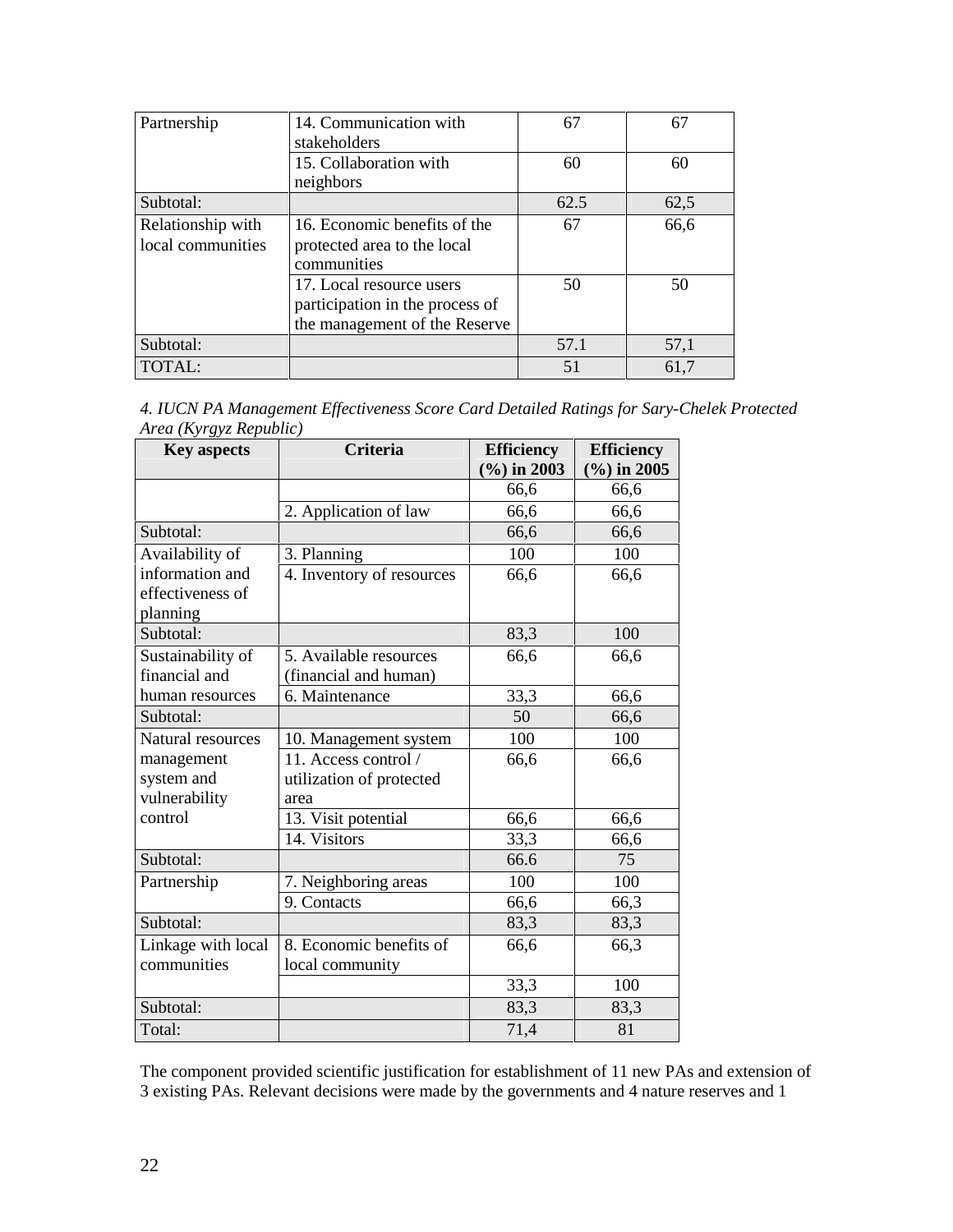| Partnership       | 14. Communication with          | 67   | 67   |
|-------------------|---------------------------------|------|------|
|                   | stakeholders                    |      |      |
|                   | 15. Collaboration with          | 60   | 60   |
|                   | neighbors                       |      |      |
| Subtotal:         |                                 | 62.5 | 62,5 |
| Relationship with | 16. Economic benefits of the    | 67   | 66,6 |
| local communities | protected area to the local     |      |      |
|                   | communities                     |      |      |
|                   | 17. Local resource users        | 50   | 50   |
|                   | participation in the process of |      |      |
|                   | the management of the Reserve   |      |      |
| Subtotal:         |                                 | 57.1 | 57,1 |
| TOTAL:            |                                 | 51   | 61,7 |

| 4. IUCN PA Management Effectiveness Score Card Detailed Ratings for Sary-Chelek Protected |  |  |  |  |
|-------------------------------------------------------------------------------------------|--|--|--|--|
| Area (Kyrgyz Republic)                                                                    |  |  |  |  |

| <b>Key aspects</b> | <b>Criteria</b>           | <b>Efficiency</b> | <b>Efficiency</b> |
|--------------------|---------------------------|-------------------|-------------------|
|                    |                           | $(\%)$ in 2003    | $(\%)$ in 2005    |
|                    |                           | 66,6              | 66,6              |
|                    | 2. Application of law     | 66,6              | 66,6              |
| Subtotal:          |                           | 66,6              | 66,6              |
| Availability of    | 3. Planning               | 100               | 100               |
| information and    | 4. Inventory of resources | 66,6              | 66,6              |
| effectiveness of   |                           |                   |                   |
| planning           |                           |                   |                   |
| Subtotal:          |                           | 83,3              | 100               |
| Sustainability of  | 5. Available resources    | 66,6              | 66,6              |
| financial and      | (financial and human)     |                   |                   |
| human resources    | 6. Maintenance            | 33,3              | 66,6              |
| Subtotal:          |                           | 50                | 66,6              |
| Natural resources  | 10. Management system     | 100               | 100               |
| management         | 11. Access control /      | 66,6              | 66,6              |
| system and         | utilization of protected  |                   |                   |
| vulnerability      | area                      |                   |                   |
| control            | 13. Visit potential       | 66,6              | 66,6              |
|                    | 14. Visitors              | 33,3              | 66,6              |
| Subtotal:          |                           | 66.6              | 75                |
| Partnership        | 7. Neighboring areas      | 100               | 100               |
|                    | 9. Contacts               | 66,6              | 66,3              |
| Subtotal:          |                           | 83,3              | 83,3              |
| Linkage with local | 8. Economic benefits of   | 66,6              | 66,3              |
| communities        | local community           |                   |                   |
|                    |                           | 33,3              | 100               |
| Subtotal:          |                           | 83,3              | 83,3              |
| Total:             |                           | 71,4              | 81                |

The component provided scientific justification for establishment of 11 new PAs and extension of 3 existing PAs. Relevant decisions were made by the governments and 4 nature reserves and 1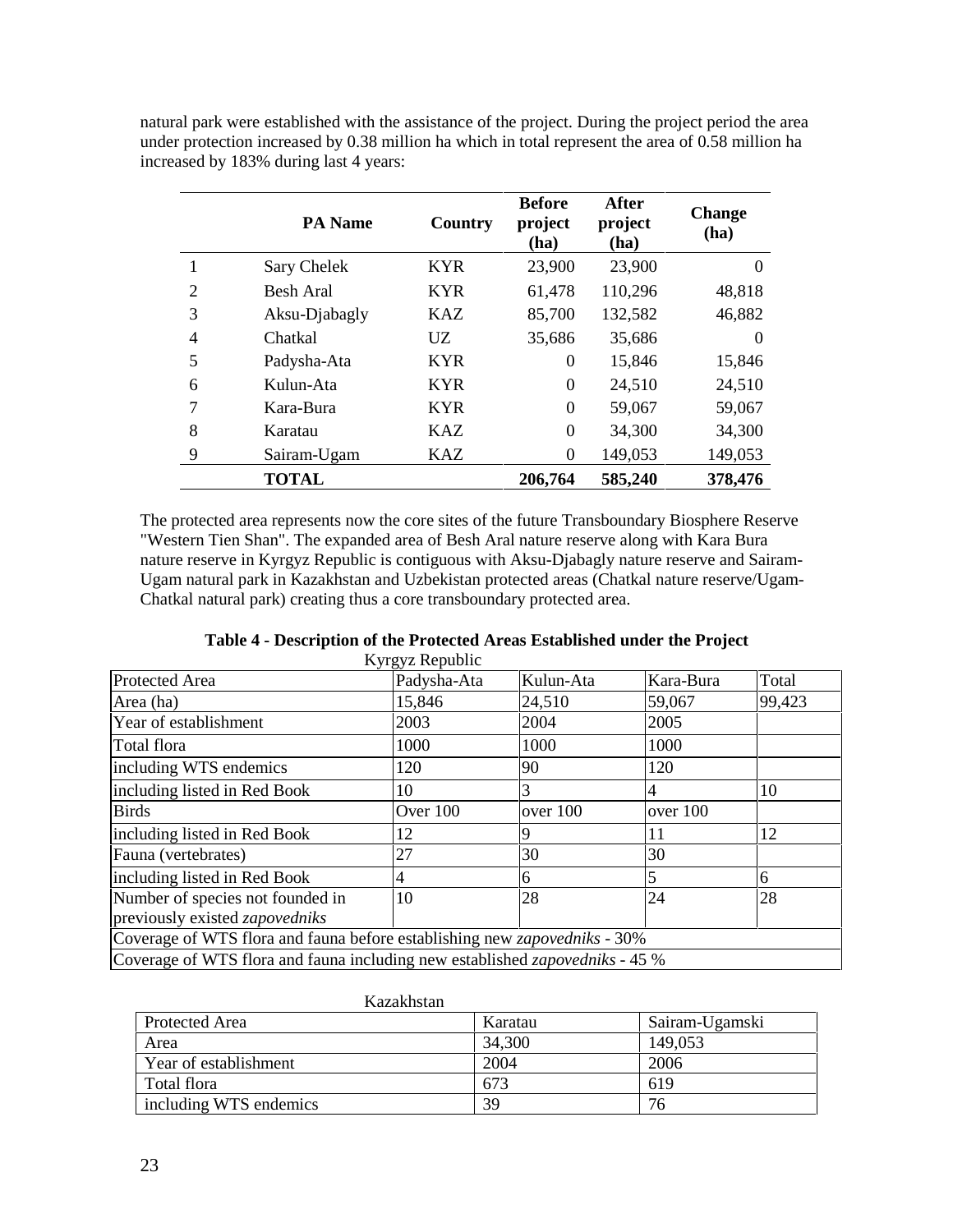natural park were established with the assistance of the project. During the project period the area under protection increased by 0.38 million ha which in total represent the area of 0.58 million ha increased by 183% during last 4 years:

|                | <b>PA</b> Name   | Country    | <b>Before</b><br>project<br>(ha) | <b>After</b><br>project<br>(ha) | <b>Change</b><br>(ha) |
|----------------|------------------|------------|----------------------------------|---------------------------------|-----------------------|
| 1              | Sary Chelek      | <b>KYR</b> | 23,900                           | 23,900                          | $\theta$              |
| $\overline{2}$ | <b>Besh Aral</b> | <b>KYR</b> | 61,478                           | 110,296                         | 48,818                |
| 3              | Aksu-Djabagly    | <b>KAZ</b> | 85,700                           | 132,582                         | 46,882                |
| 4              | Chatkal          | UZ         | 35,686                           | 35,686                          | $\theta$              |
| 5              | Padysha-Ata      | <b>KYR</b> | $\theta$                         | 15,846                          | 15,846                |
| 6              | Kulun-Ata        | <b>KYR</b> | $\Omega$                         | 24,510                          | 24,510                |
| 7              | Kara-Bura        | <b>KYR</b> | $\Omega$                         | 59,067                          | 59,067                |
| 8              | Karatau          | KAZ        | $\Omega$                         | 34,300                          | 34,300                |
| 9              | Sairam-Ugam      | <b>KAZ</b> | $\theta$                         | 149,053                         | 149,053               |
|                | <b>TOTAL</b>     |            | 206,764                          | 585,240                         | 378,476               |

The protected area represents now the core sites of the future Transboundary Biosphere Reserve "Western Tien Shan". The expanded area of Besh Aral nature reserve along with Kara Bura nature reserve in Kyrgyz Republic is contiguous with Aksu-Djabagly nature reserve and Sairam-Ugam natural park in Kazakhstan and Uzbekistan protected areas (Chatkal nature reserve/Ugam-Chatkal natural park) creating thus a core transboundary protected area.

| Table 4 - Description of the Protected Areas Established under the Project |  |
|----------------------------------------------------------------------------|--|
| Kyrgyz Republic                                                            |  |

|                                                                                     | $\mathbf{xy}$ $\mathbf{y}$ $\mathbf{z}$ $\mathbf{xy}$ |           |           |        |
|-------------------------------------------------------------------------------------|-------------------------------------------------------|-----------|-----------|--------|
| Protected Area                                                                      | Padysha-Ata                                           | Kulun-Ata | Kara-Bura | Total  |
| Area (ha)                                                                           | 15,846                                                | 24,510    | 59,067    | 99,423 |
| Year of establishment                                                               | 2003                                                  | 2004      | 2005      |        |
| Total flora                                                                         | 1000                                                  | 1000      | 1000      |        |
| including WTS endemics                                                              | 120                                                   | 90        | 120       |        |
| including listed in Red Book                                                        | 10                                                    | 3         |           | 10     |
| <b>Birds</b>                                                                        | Over 100                                              | over 100  | over 100  |        |
| including listed in Red Book                                                        | 12                                                    |           | 11        | 12     |
| Fauna (vertebrates)                                                                 | 27                                                    | 30        | 30        |        |
| including listed in Red Book                                                        | 4                                                     | 6         |           | 6      |
| Number of species not founded in                                                    | 10                                                    | 28        | 24        | 28     |
| previously existed zapovedniks                                                      |                                                       |           |           |        |
| Coverage of WTS flora and fauna before establishing new <i>zapovedniks</i> - 30%    |                                                       |           |           |        |
| Coverage of WTS flora and fauna including new established <i>zapovedniks</i> - 45 % |                                                       |           |           |        |

|                        | Kazakhstan |                |
|------------------------|------------|----------------|
| Protected Area         | Karatau    | Sairam-Ugamski |
| Area                   | 34,300     | 149,053        |
| Year of establishment  | 2004       | 2006           |
| Total flora            | 673        | 619            |
| including WTS endemics | 39         | 76             |

 $V_{\text{ex}}$ alihatan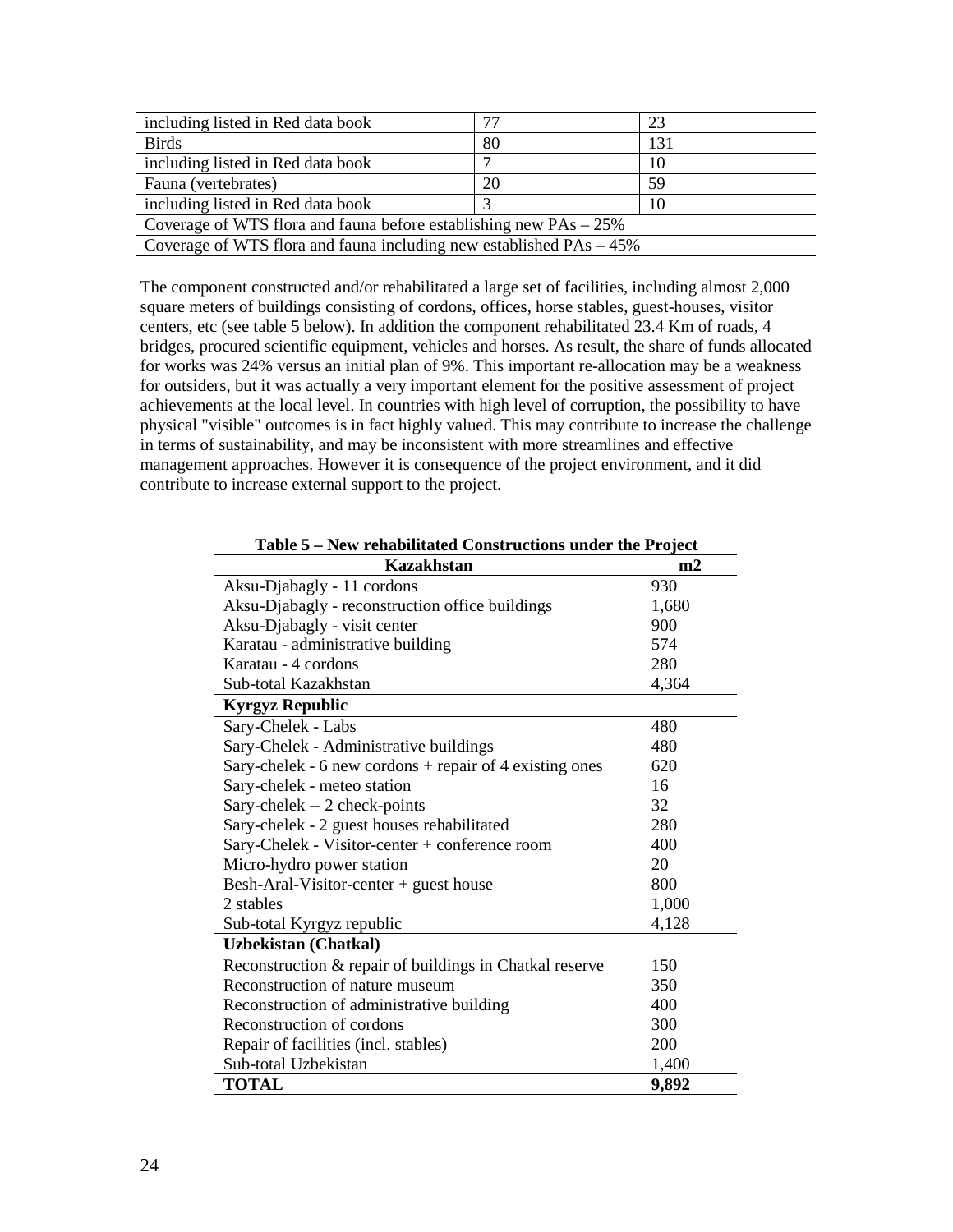| including listed in Red data book                                      |    | 23  |  |  |
|------------------------------------------------------------------------|----|-----|--|--|
| <b>Birds</b>                                                           | 80 | 131 |  |  |
| including listed in Red data book                                      | ⇁  | 10  |  |  |
| Fauna (vertebrates)                                                    | 20 | 59  |  |  |
| including listed in Red data book<br>10                                |    |     |  |  |
| Coverage of WTS flora and fauna before establishing new $PAs - 25\%$   |    |     |  |  |
| Coverage of WTS flora and fauna including new established $PAs - 45\%$ |    |     |  |  |

The component constructed and/or rehabilitated a large set of facilities, including almost 2,000 square meters of buildings consisting of cordons, offices, horse stables, guest-houses, visitor centers, etc (see table 5 below). In addition the component rehabilitated 23.4 Km of roads, 4 bridges, procured scientific equipment, vehicles and horses. As result, the share of funds allocated for works was 24% versus an initial plan of 9%. This important re-allocation may be a weakness for outsiders, but it was actually a very important element for the positive assessment of project achievements at the local level. In countries with high level of corruption, the possibility to have physical "visible" outcomes is in fact highly valued. This may contribute to increase the challenge in terms of sustainability, and may be inconsistent with more streamlines and effective management approaches. However it is consequence of the project environment, and it did contribute to increase external support to the project.

| rendomnated Constructions ander the Froject<br><b>Kazakhstan</b> | m2    |
|------------------------------------------------------------------|-------|
| Aksu-Djabagly - 11 cordons                                       | 930   |
| Aksu-Djabagly - reconstruction office buildings                  | 1,680 |
| Aksu-Djabagly - visit center                                     | 900   |
| Karatau - administrative building                                | 574   |
| Karatau - 4 cordons                                              | 280   |
| Sub-total Kazakhstan                                             | 4,364 |
| <b>Kyrgyz Republic</b>                                           |       |
| Sary-Chelek - Labs                                               | 480   |
| Sary-Chelek - Administrative buildings                           | 480   |
| Sary-chelek - 6 new cordons + repair of 4 existing ones          | 620   |
| Sary-chelek - meteo station                                      | 16    |
| Sary-chelek -- 2 check-points                                    | 32    |
| Sary-chelek - 2 guest houses rehabilitated                       | 280   |
| Sary-Chelek - Visitor-center + conference room                   | 400   |
| Micro-hydro power station                                        | 20    |
| Besh-Aral-Visitor-center + guest house                           | 800   |
| 2 stables                                                        | 1,000 |
| Sub-total Kyrgyz republic                                        | 4,128 |
| <b>Uzbekistan (Chatkal)</b>                                      |       |
| Reconstruction & repair of buildings in Chatkal reserve          | 150   |
| Reconstruction of nature museum                                  | 350   |
| Reconstruction of administrative building                        | 400   |
| Reconstruction of cordons                                        | 300   |
| Repair of facilities (incl. stables)                             | 200   |
| Sub-total Uzbekistan                                             | 1,400 |
| <b>TOTAL</b>                                                     | 9,892 |

**Table 5 – New rehabilitated Constructions under the Project**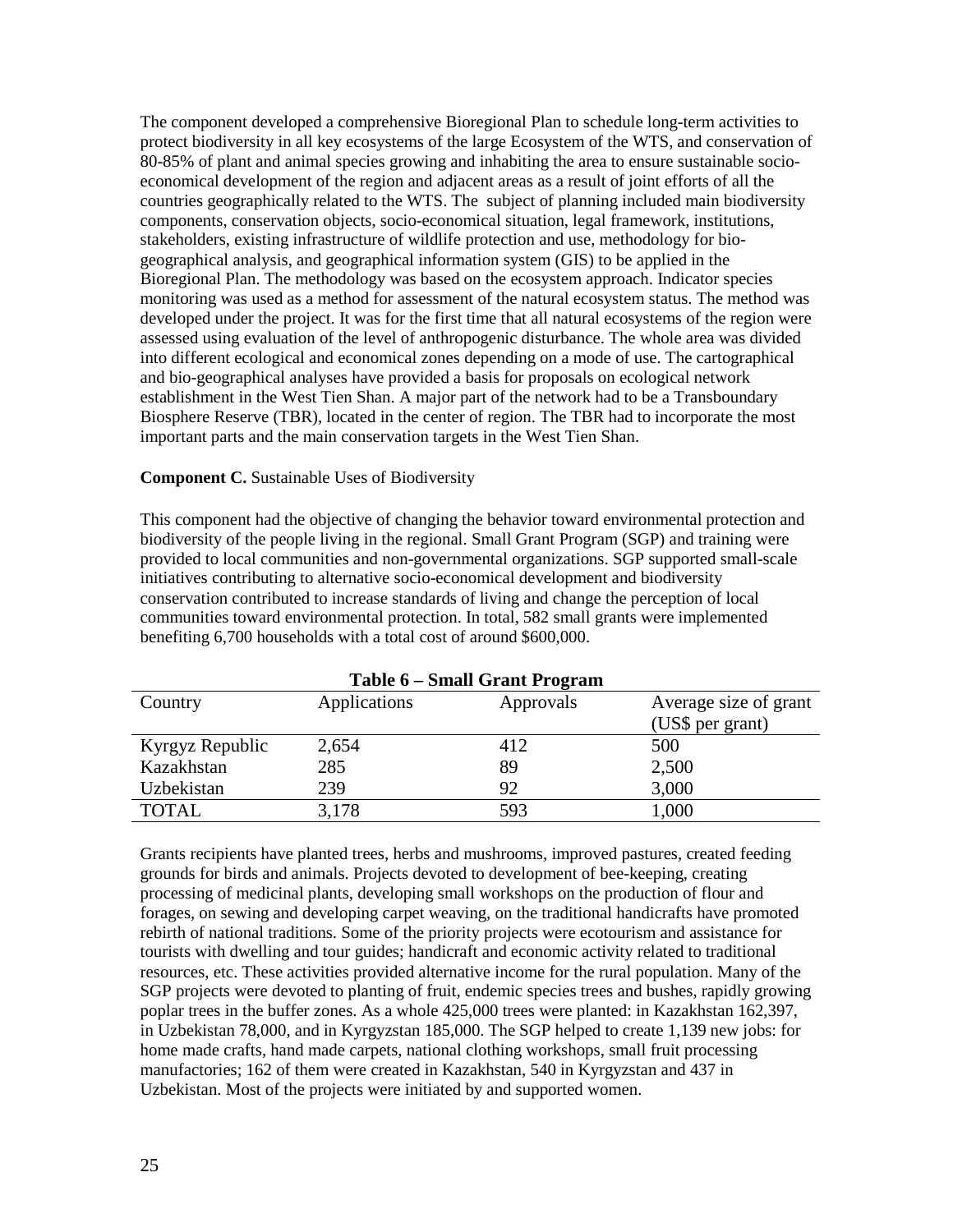The component developed a comprehensive Bioregional Plan to schedule long-term activities to protect biodiversity in all key ecosystems of the large Ecosystem of the WTS, and conservation of 80-85% of plant and animal species growing and inhabiting the area to ensure sustainable socioeconomical development of the region and adjacent areas as a result of joint efforts of all the countries geographically related to the WTS. The subject of planning included main biodiversity components, conservation objects, socio-economical situation, legal framework, institutions, stakeholders, existing infrastructure of wildlife protection and use, methodology for biogeographical analysis, and geographical information system (GIS) to be applied in the Bioregional Plan. The methodology was based on the ecosystem approach. Indicator species monitoring was used as a method for assessment of the natural ecosystem status. The method was developed under the project. It was for the first time that all natural ecosystems of the region were assessed using evaluation of the level of anthropogenic disturbance. The whole area was divided into different ecological and economical zones depending on a mode of use. The cartographical and bio-geographical analyses have provided a basis for proposals on ecological network establishment in the West Tien Shan. A major part of the network had to be a Transboundary Biosphere Reserve (TBR), located in the center of region. The TBR had to incorporate the most important parts and the main conservation targets in the West Tien Shan.

#### **Component C.** Sustainable Uses of Biodiversity

This component had the objective of changing the behavior toward environmental protection and biodiversity of the people living in the regional. Small Grant Program (SGP) and training were provided to local communities and non-governmental organizations. SGP supported small-scale initiatives contributing to alternative socio-economical development and biodiversity conservation contributed to increase standards of living and change the perception of local communities toward environmental protection. In total, 582 small grants were implemented benefiting 6,700 households with a total cost of around \$600,000.

|                 | Table 6 – Small Grant Program |           |                       |
|-----------------|-------------------------------|-----------|-----------------------|
| Country         | Applications                  | Approvals | Average size of grant |
|                 |                               |           | (US\$ per grant)      |
| Kyrgyz Republic | 2,654                         | 412       | 500                   |
| Kazakhstan      | 285                           | 89        | 2,500                 |
| Uzbekistan      | 239                           | 92        | 3,000                 |
| <b>TOTAL</b>    | 3,178                         | 593       | 1,000                 |

**Table 6 – Small Grant Program**

Grants recipients have planted trees, herbs and mushrooms, improved pastures, created feeding grounds for birds and animals. Projects devoted to development of bee-keeping, creating processing of medicinal plants, developing small workshops on the production of flour and forages, on sewing and developing carpet weaving, on the traditional handicrafts have promoted rebirth of national traditions. Some of the priority projects were ecotourism and assistance for tourists with dwelling and tour guides; handicraft and economic activity related to traditional resources, etc. These activities provided alternative income for the rural population. Many of the SGP projects were devoted to planting of fruit, endemic species trees and bushes, rapidly growing poplar trees in the buffer zones. As a whole 425,000 trees were planted: in Kazakhstan 162,397, in Uzbekistan 78,000, and in Kyrgyzstan 185,000. The SGP helped to create 1,139 new jobs: for home made crafts, hand made carpets, national clothing workshops, small fruit processing manufactories; 162 of them were created in Kazakhstan, 540 in Kyrgyzstan and 437 in Uzbekistan. Most of the projects were initiated by and supported women.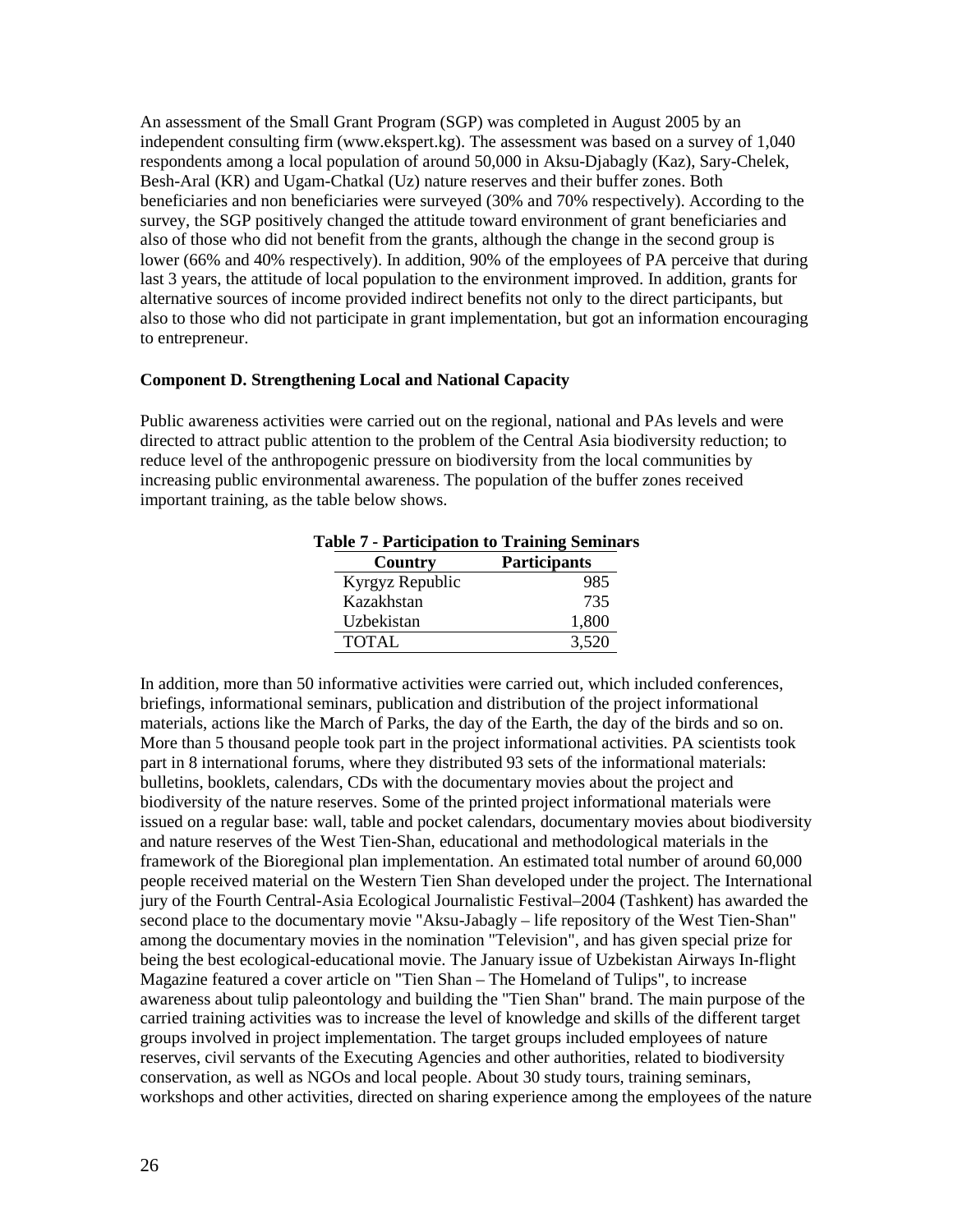An assessment of the Small Grant Program (SGP) was completed in August 2005 by an independent consulting firm (www.ekspert.kg). The assessment was based on a survey of 1,040 respondents among a local population of around 50,000 in Aksu-Djabagly (Kaz), Sary-Chelek, Besh-Aral (KR) and Ugam-Chatkal (Uz) nature reserves and their buffer zones. Both beneficiaries and non beneficiaries were surveyed (30% and 70% respectively). According to the survey, the SGP positively changed the attitude toward environment of grant beneficiaries and also of those who did not benefit from the grants, although the change in the second group is lower (66% and 40% respectively). In addition, 90% of the employees of PA perceive that during last 3 years, the attitude of local population to the environment improved. In addition, grants for alternative sources of income provided indirect benefits not only to the direct participants, but also to those who did not participate in grant implementation, but got an information encouraging to entrepreneur.

#### **Component D. Strengthening Local and National Capacity**

Public awareness activities were carried out on the regional, national and PAs levels and were directed to attract public attention to the problem of the Central Asia biodiversity reduction; to reduce level of the anthropogenic pressure on biodiversity from the local communities by increasing public environmental awareness. The population of the buffer zones received important training, as the table below shows.

| Country         | <b>Participants</b> |
|-----------------|---------------------|
| Kyrgyz Republic | 985                 |
| Kazakhstan      | 735                 |
| Uzbekistan      | 1,800               |
| <b>TOTAL</b>    | 3,520               |

# **Table 7 - Participation to Training Seminars**

In addition, more than 50 informative activities were carried out, which included conferences, briefings, informational seminars, publication and distribution of the project informational materials, actions like the March of Parks, the day of the Earth, the day of the birds and so on. More than 5 thousand people took part in the project informational activities. PA scientists took part in 8 international forums, where they distributed 93 sets of the informational materials: bulletins, booklets, calendars, CDs with the documentary movies about the project and biodiversity of the nature reserves. Some of the printed project informational materials were issued on a regular base: wall, table and pocket calendars, documentary movies about biodiversity and nature reserves of the West Tien-Shan, educational and methodological materials in the framework of the Bioregional plan implementation. An estimated total number of around 60,000 people received material on the Western Tien Shan developed under the project. The International jury of the Fourth Central-Asia Ecological Journalistic Festival–2004 (Tashkent) has awarded the second place to the documentary movie "Aksu-Jabagly – life repository of the West Tien-Shan" among the documentary movies in the nomination "Television", and has given special prize for being the best ecological-educational movie. The January issue of Uzbekistan Airways In-flight Magazine featured a cover article on "Tien Shan – The Homeland of Tulips", to increase awareness about tulip paleontology and building the "Tien Shan" brand. The main purpose of the carried training activities was to increase the level of knowledge and skills of the different target groups involved in project implementation. The target groups included employees of nature reserves, civil servants of the Executing Agencies and other authorities, related to biodiversity conservation, as well as NGOs and local people. About 30 study tours, training seminars, workshops and other activities, directed on sharing experience among the employees of the nature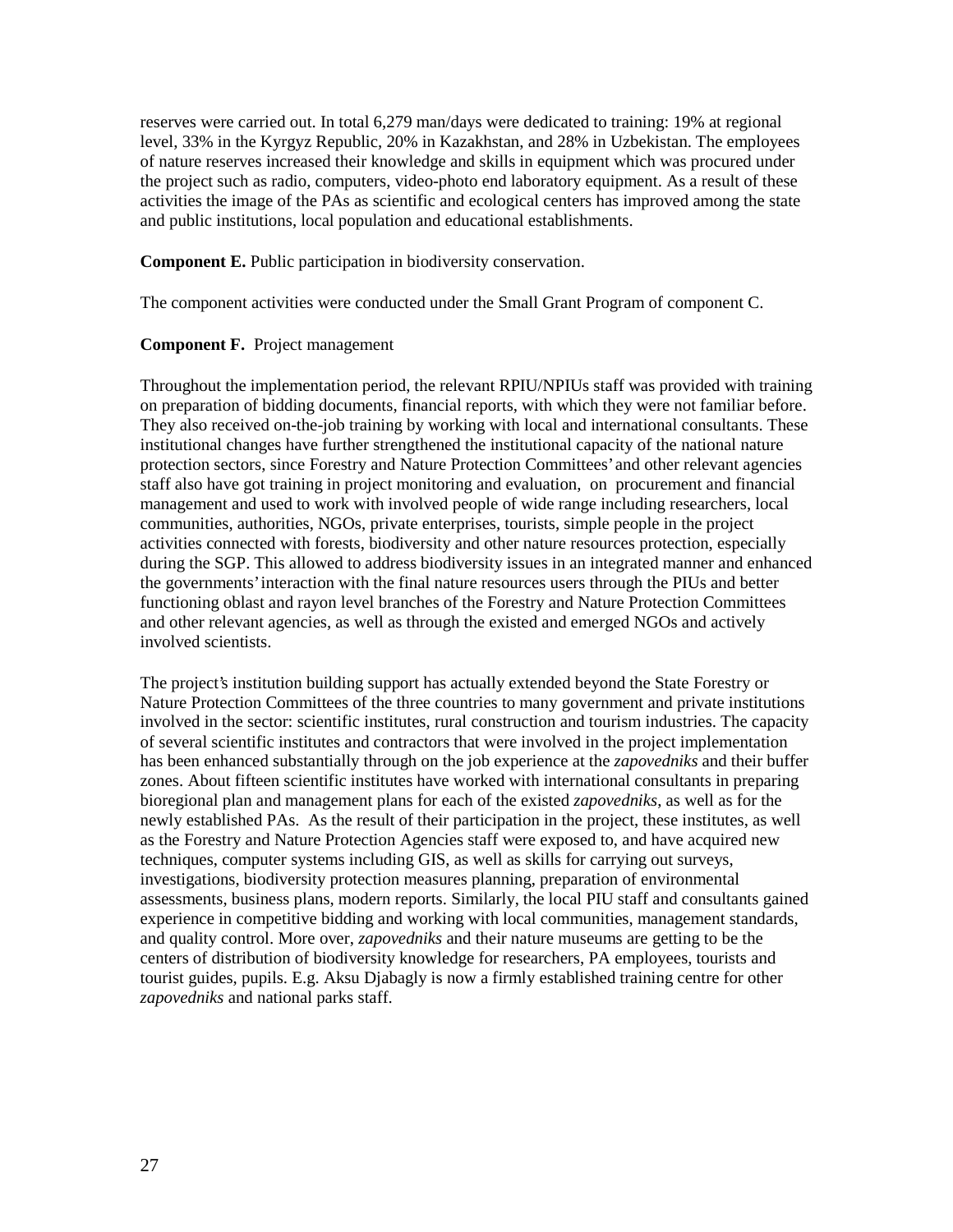reserves were carried out. In total 6,279 man/days were dedicated to training: 19% at regional level, 33% in the Kyrgyz Republic, 20% in Kazakhstan, and 28% in Uzbekistan. The employees of nature reserves increased their knowledge and skills in equipment which was procured under the project such as radio, computers, video-photo end laboratory equipment. As a result of these activities the image of the PAs as scientific and ecological centers has improved among the state and public institutions, local population and educational establishments.

**Component E.** Public participation in biodiversity conservation.

The component activities were conducted under the Small Grant Program of component C.

#### **Component F.** Project management

Throughout the implementation period, the relevant RPIU/NPIUs staff was provided with training on preparation of bidding documents, financial reports, with which they were not familiar before. They also received on-the-job training by working with local and international consultants. These institutional changes have further strengthened the institutional capacity of the national nature protection sectors, since Forestry and Nature Protection Committees' and other relevant agencies staff also have got training in project monitoring and evaluation, on procurement and financial management and used to work with involved people of wide range including researchers, local communities, authorities, NGOs, private enterprises, tourists, simple people in the project activities connected with forests, biodiversity and other nature resources protection, especially during the SGP. This allowed to address biodiversity issues in an integrated manner and enhanced the governments' interaction with the final nature resources users through the PIUs and better functioning oblast and rayon level branches of the Forestry and Nature Protection Committees and other relevant agencies, as well as through the existed and emerged NGOs and actively involved scientists.

The project's institution building support has actually extended beyond the State Forestry or Nature Protection Committees of the three countries to many government and private institutions involved in the sector: scientific institutes, rural construction and tourism industries. The capacity of several scientific institutes and contractors that were involved in the project implementation has been enhanced substantially through on the job experience at the *zapovedniks* and their buffer zones. About fifteen scientific institutes have worked with international consultants in preparing bioregional plan and management plans for each of the existed *zapovedniks*, as well as for the newly established PAs. As the result of their participation in the project, these institutes, as well as the Forestry and Nature Protection Agencies staff were exposed to, and have acquired new techniques, computer systems including GIS, as well as skills for carrying out surveys, investigations, biodiversity protection measures planning, preparation of environmental assessments, business plans, modern reports. Similarly, the local PIU staff and consultants gained experience in competitive bidding and working with local communities, management standards, and quality control. More over, *zapovedniks* and their nature museums are getting to be the centers of distribution of biodiversity knowledge for researchers, PA employees, tourists and tourist guides, pupils. E.g. Aksu Djabagly is now a firmly established training centre for other *zapovedniks* and national parks staff.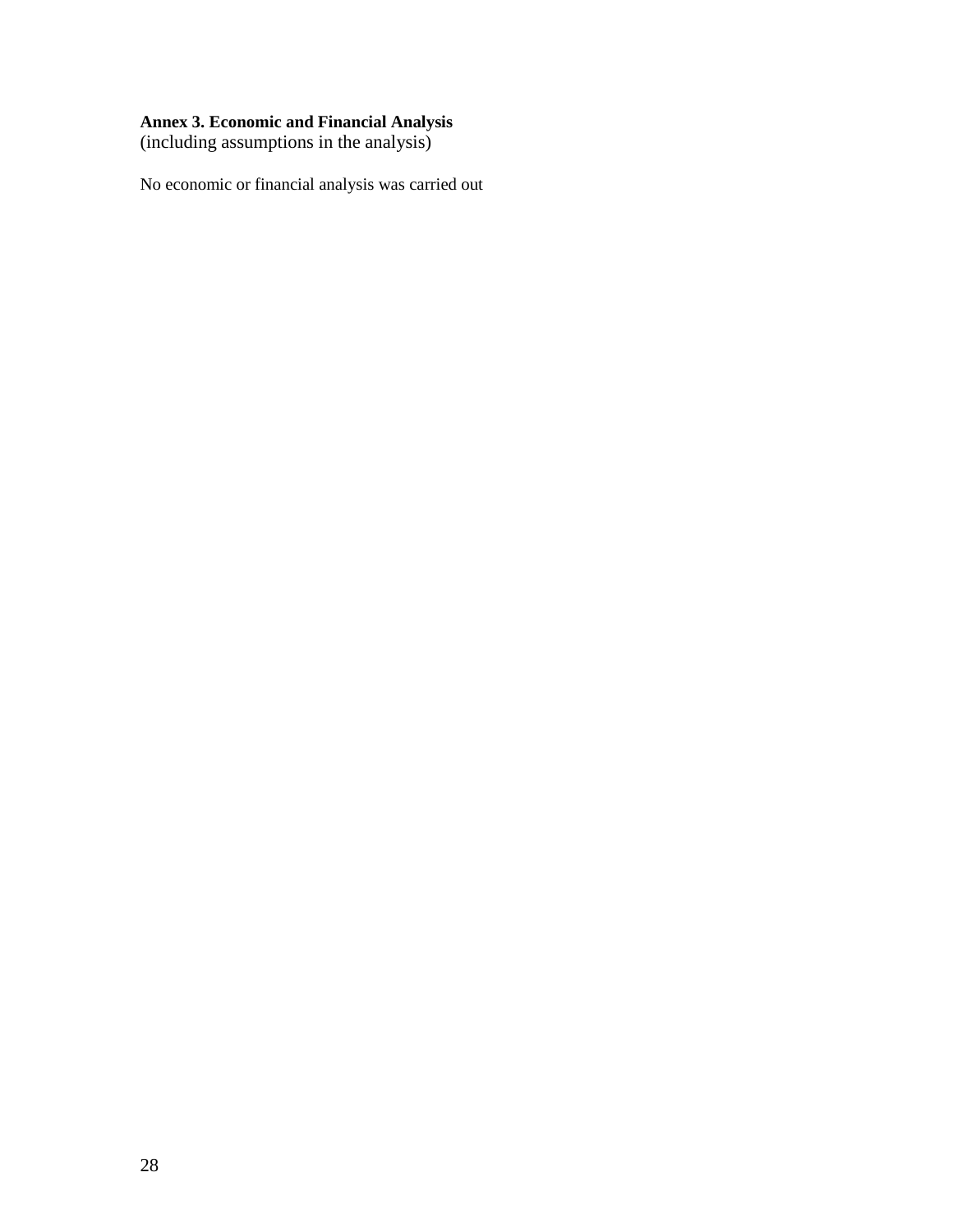#### **Annex 3. Economic and Financial Analysis**

(including assumptions in the analysis)

No economic or financial analysis was carried out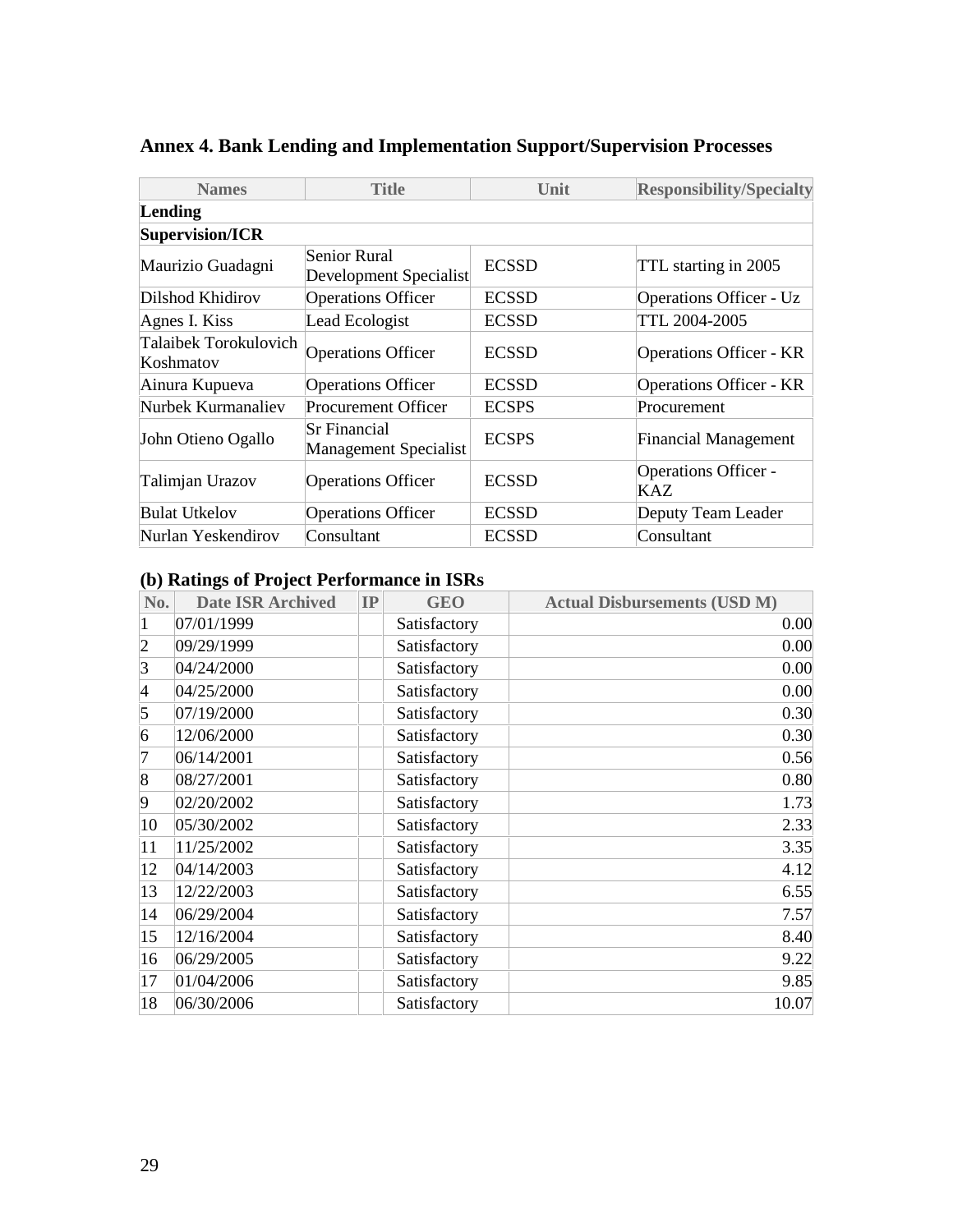| <b>Names</b>                       | <b>Title</b>                                 | Unit         | <b>Responsibility/Specialty</b>    |
|------------------------------------|----------------------------------------------|--------------|------------------------------------|
| Lending                            |                                              |              |                                    |
| <b>Supervision/ICR</b>             |                                              |              |                                    |
| Maurizio Guadagni                  | Senior Rural<br>Development Specialist       | <b>ECSSD</b> | TTL starting in 2005               |
| Dilshod Khidirov                   | <b>Operations Officer</b>                    | <b>ECSSD</b> | <b>Operations Officer - Uz</b>     |
| Agnes I. Kiss                      | Lead Ecologist                               | <b>ECSSD</b> | TTL 2004-2005                      |
| Talaibek Torokulovich<br>Koshmatov | <b>Operations Officer</b>                    | <b>ECSSD</b> | <b>Operations Officer - KR</b>     |
| Ainura Kupueva                     | <b>Operations Officer</b>                    | <b>ECSSD</b> | <b>Operations Officer - KR</b>     |
| Nurbek Kurmanaliev                 | Procurement Officer                          | <b>ECSPS</b> | Procurement                        |
| John Otieno Ogallo                 | Sr Financial<br><b>Management Specialist</b> | <b>ECSPS</b> | <b>Financial Management</b>        |
| Talimjan Urazov                    | <b>Operations Officer</b>                    | <b>ECSSD</b> | <b>Operations Officer -</b><br>KAZ |
| <b>Bulat Utkelov</b>               | <b>Operations Officer</b>                    | <b>ECSSD</b> | Deputy Team Leader                 |
| Nurlan Yeskendirov                 | Consultant                                   | <b>ECSSD</b> | Consultant                         |

# **Annex 4. Bank Lending and Implementation Support/Supervision Processes**

# **(b) Ratings of Project Performance in ISRs**

| No.                      | <b>Date ISR Archived</b> | IP | <b>GEO</b>   | <b>Actual Disbursements (USD M)</b> |
|--------------------------|--------------------------|----|--------------|-------------------------------------|
|                          | 07/01/1999               |    | Satisfactory | 0.00                                |
| $\overline{2}$           | 09/29/1999               |    | Satisfactory | 0.00                                |
| 3                        | 04/24/2000               |    | Satisfactory | 0.00                                |
| $\overline{\mathcal{A}}$ | 04/25/2000               |    | Satisfactory | 0.00                                |
| 5                        | 07/19/2000               |    | Satisfactory | 0.30                                |
| 6                        | 12/06/2000               |    | Satisfactory | 0.30                                |
|                          | 06/14/2001               |    | Satisfactory | 0.56                                |
| 8                        | 08/27/2001               |    | Satisfactory | 0.80                                |
| 9                        | 02/20/2002               |    | Satisfactory | 1.73                                |
| 10                       | 05/30/2002               |    | Satisfactory | 2.33                                |
| 11                       | 11/25/2002               |    | Satisfactory | 3.35                                |
| 12                       | 04/14/2003               |    | Satisfactory | 4.12                                |
| 13                       | 12/22/2003               |    | Satisfactory | 6.55                                |
| 14                       | 06/29/2004               |    | Satisfactory | 7.57                                |
| 15                       | 12/16/2004               |    | Satisfactory | 8.40                                |
| 16                       | 06/29/2005               |    | Satisfactory | 9.22                                |
| 17                       | 01/04/2006               |    | Satisfactory | 9.85                                |
| 18                       | 06/30/2006               |    | Satisfactory | 10.07                               |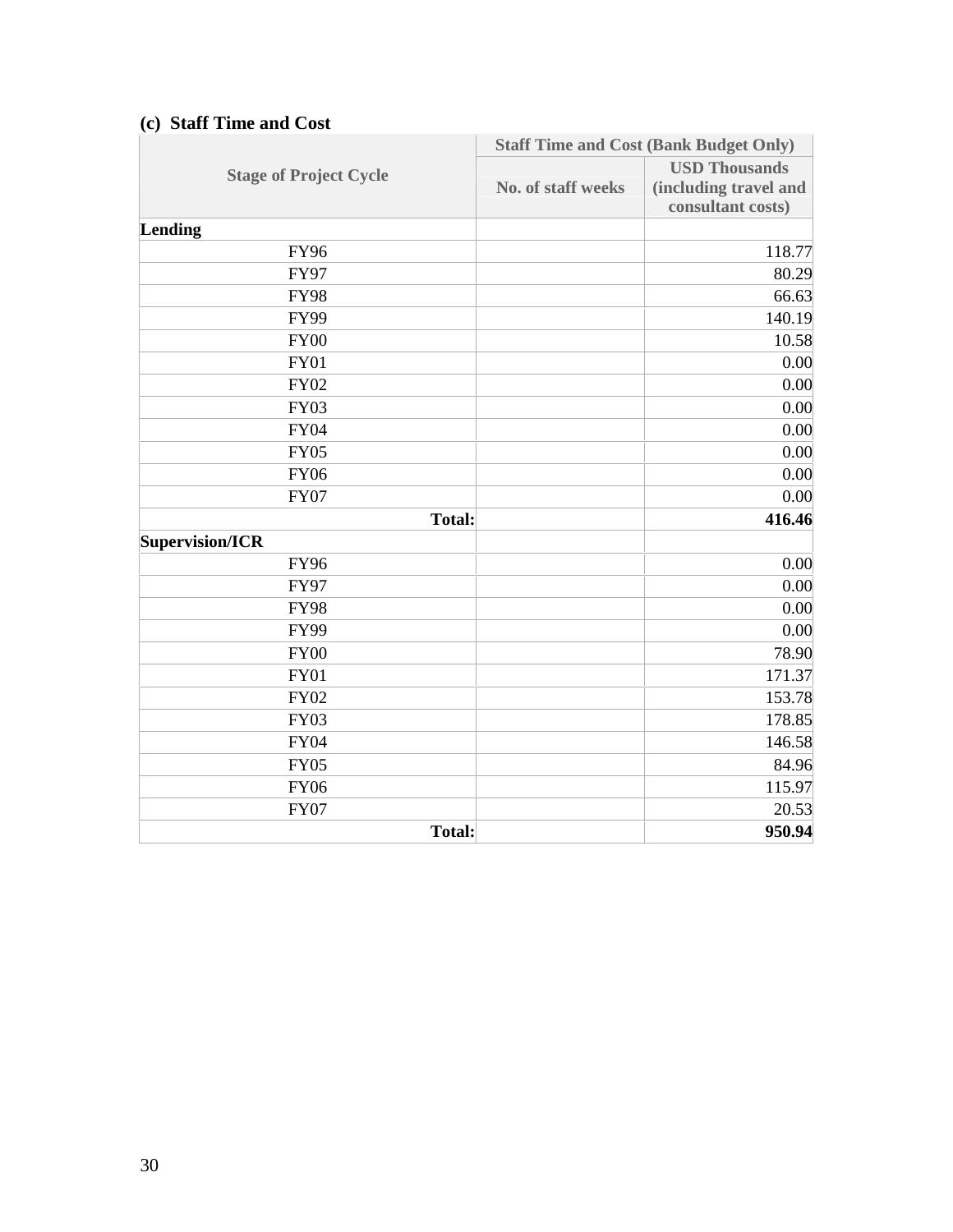|                               | <b>Staff Time and Cost (Bank Budget Only)</b> |                                                                    |  |
|-------------------------------|-----------------------------------------------|--------------------------------------------------------------------|--|
| <b>Stage of Project Cycle</b> | <b>No. of staff weeks</b>                     | <b>USD Thousands</b><br>(including travel and<br>consultant costs) |  |
| Lending                       |                                               |                                                                    |  |
| <b>FY96</b>                   |                                               | 118.77                                                             |  |
| <b>FY97</b>                   |                                               | 80.29                                                              |  |
| <b>FY98</b>                   |                                               | 66.63                                                              |  |
| <b>FY99</b>                   |                                               | 140.19                                                             |  |
| <b>FY00</b>                   |                                               | 10.58                                                              |  |
| <b>FY01</b>                   |                                               | 0.00                                                               |  |
| <b>FY02</b>                   |                                               | 0.00                                                               |  |
| <b>FY03</b>                   |                                               | 0.00                                                               |  |
| <b>FY04</b>                   |                                               | 0.00                                                               |  |
| <b>FY05</b>                   |                                               | 0.00                                                               |  |
| <b>FY06</b>                   |                                               | 0.00                                                               |  |
| <b>FY07</b>                   |                                               | 0.00                                                               |  |
| <b>Total:</b>                 |                                               | 416.46                                                             |  |
| <b>Supervision/ICR</b>        |                                               |                                                                    |  |
| <b>FY96</b>                   |                                               | 0.00                                                               |  |
| <b>FY97</b>                   |                                               | 0.00                                                               |  |
| <b>FY98</b>                   |                                               | 0.00                                                               |  |
| <b>FY99</b>                   |                                               | 0.00                                                               |  |
| <b>FY00</b>                   |                                               | 78.90                                                              |  |
| <b>FY01</b>                   |                                               | 171.37                                                             |  |
| <b>FY02</b>                   |                                               | 153.78                                                             |  |
| <b>FY03</b>                   |                                               | 178.85                                                             |  |
| <b>FY04</b>                   |                                               | 146.58                                                             |  |
| <b>FY05</b>                   |                                               | 84.96                                                              |  |
| <b>FY06</b>                   |                                               | 115.97                                                             |  |
| <b>FY07</b>                   |                                               | 20.53                                                              |  |
| <b>Total:</b>                 |                                               | 950.94                                                             |  |

## **(c) Staff Time and Cost**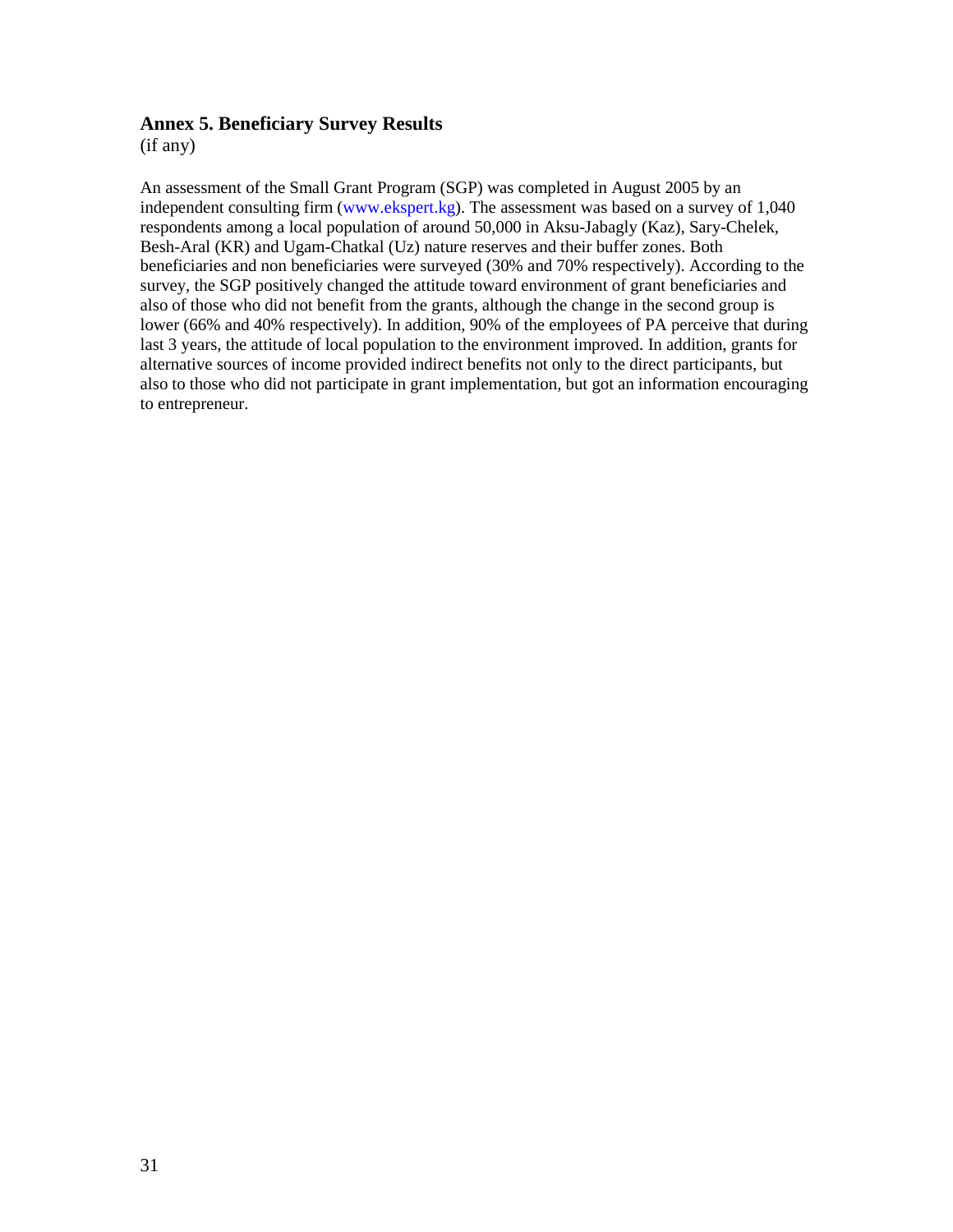### **Annex 5. Beneficiary Survey Results**

(if any)

An assessment of the Small Grant Program (SGP) was completed in August 2005 by an independent consulting firm (www.ekspert.kg). The assessment was based on a survey of 1,040 respondents among a local population of around 50,000 in Aksu-Jabagly (Kaz), Sary-Chelek, Besh-Aral (KR) and Ugam-Chatkal (Uz) nature reserves and their buffer zones. Both beneficiaries and non beneficiaries were surveyed (30% and 70% respectively). According to the survey, the SGP positively changed the attitude toward environment of grant beneficiaries and also of those who did not benefit from the grants, although the change in the second group is lower (66% and 40% respectively). In addition, 90% of the employees of PA perceive that during last 3 years, the attitude of local population to the environment improved. In addition, grants for alternative sources of income provided indirect benefits not only to the direct participants, but also to those who did not participate in grant implementation, but got an information encouraging to entrepreneur.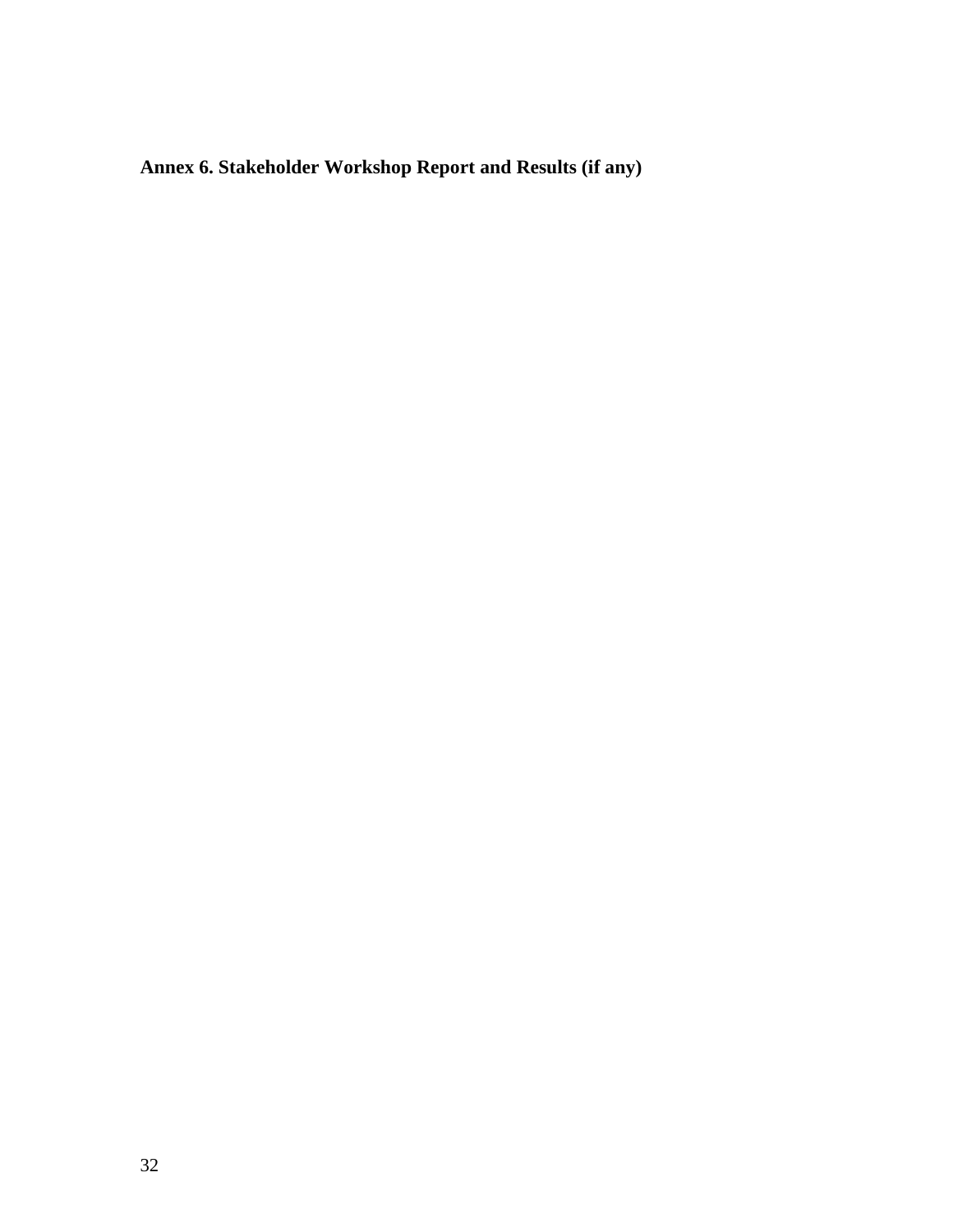**Annex 6. Stakeholder Workshop Report and Results (if any)**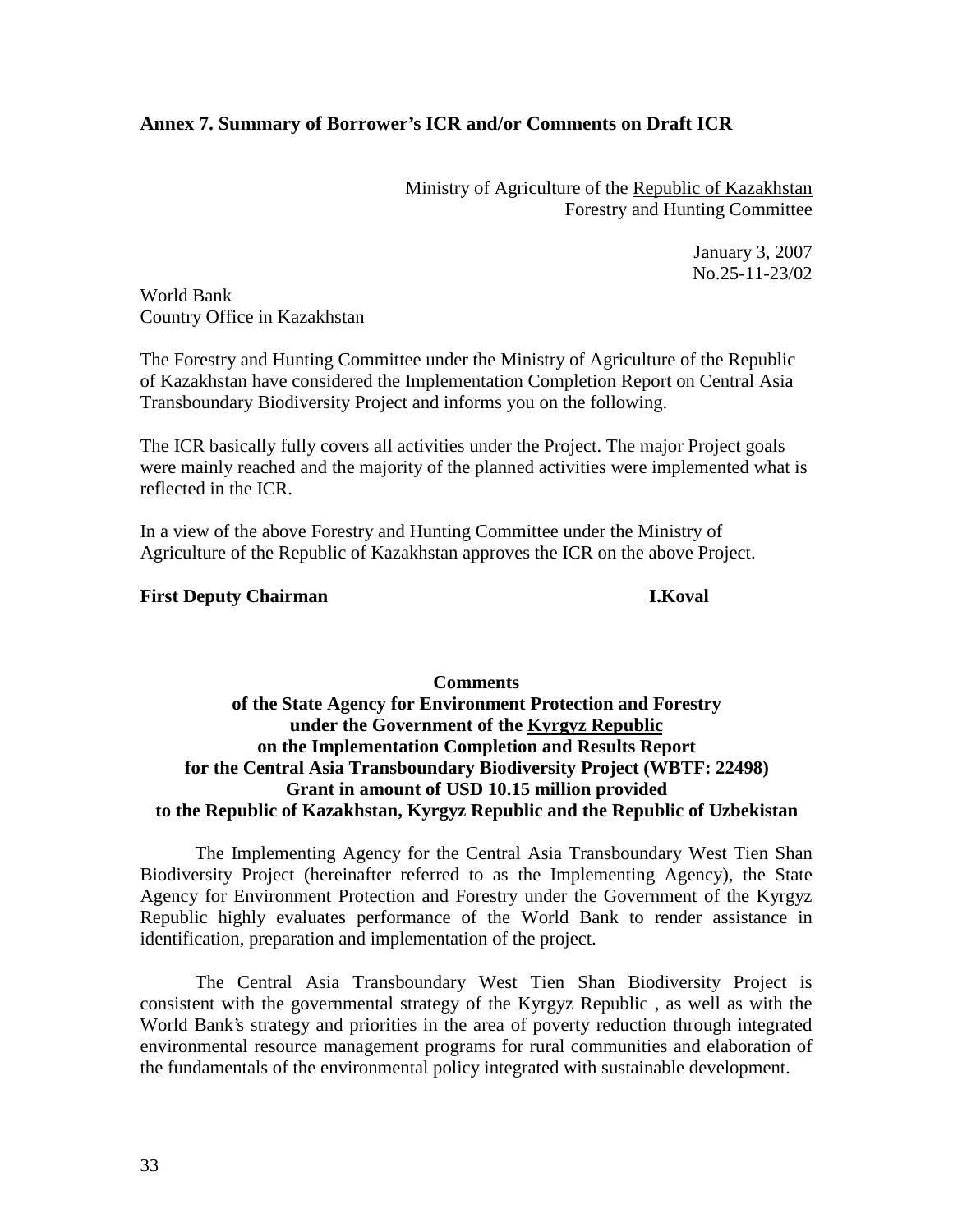## **Annex 7. Summary of Borrower's ICR and/or Comments on Draft ICR**

Ministry of Agriculture of the Republic of Kazakhstan Forestry and Hunting Committee

> January 3, 2007 No.25-11-23/02

World Bank Country Office in Kazakhstan

The Forestry and Hunting Committee under the Ministry of Agriculture of the Republic of Kazakhstan have considered the Implementation Completion Report on Central Asia Transboundary Biodiversity Project and informs you on the following.

The ICR basically fully covers all activities under the Project. The major Project goals were mainly reached and the majority of the planned activities were implemented what is reflected in the ICR.

In a view of the above Forestry and Hunting Committee under the Ministry of Agriculture of the Republic of Kazakhstan approves the ICR on the above Project.

#### **First Deputy Chairman I.Koval**

## **Comments of the State Agency for Environment Protection and Forestry under the Government of the Kyrgyz Republic on the Implementation Completion and Results Report for the Central Asia Transboundary Biodiversity Project (WBTF: 22498) Grant in amount of USD 10.15 million provided to the Republic of Kazakhstan, Kyrgyz Republic and the Republic of Uzbekistan**

The Implementing Agency for the Central Asia Transboundary West Tien Shan Biodiversity Project (hereinafter referred to as the Implementing Agency), the State Agency for Environment Protection and Forestry under the Government of the Kyrgyz Republic highly evaluates performance of the World Bank to render assistance in identification, preparation and implementation of the project.

The Central Asia Transboundary West Tien Shan Biodiversity Project is consistent with the governmental strategy of the Kyrgyz Republic , as well as with the World Bank's strategy and priorities in the area of poverty reduction through integrated environmental resource management programs for rural communities and elaboration of the fundamentals of the environmental policy integrated with sustainable development.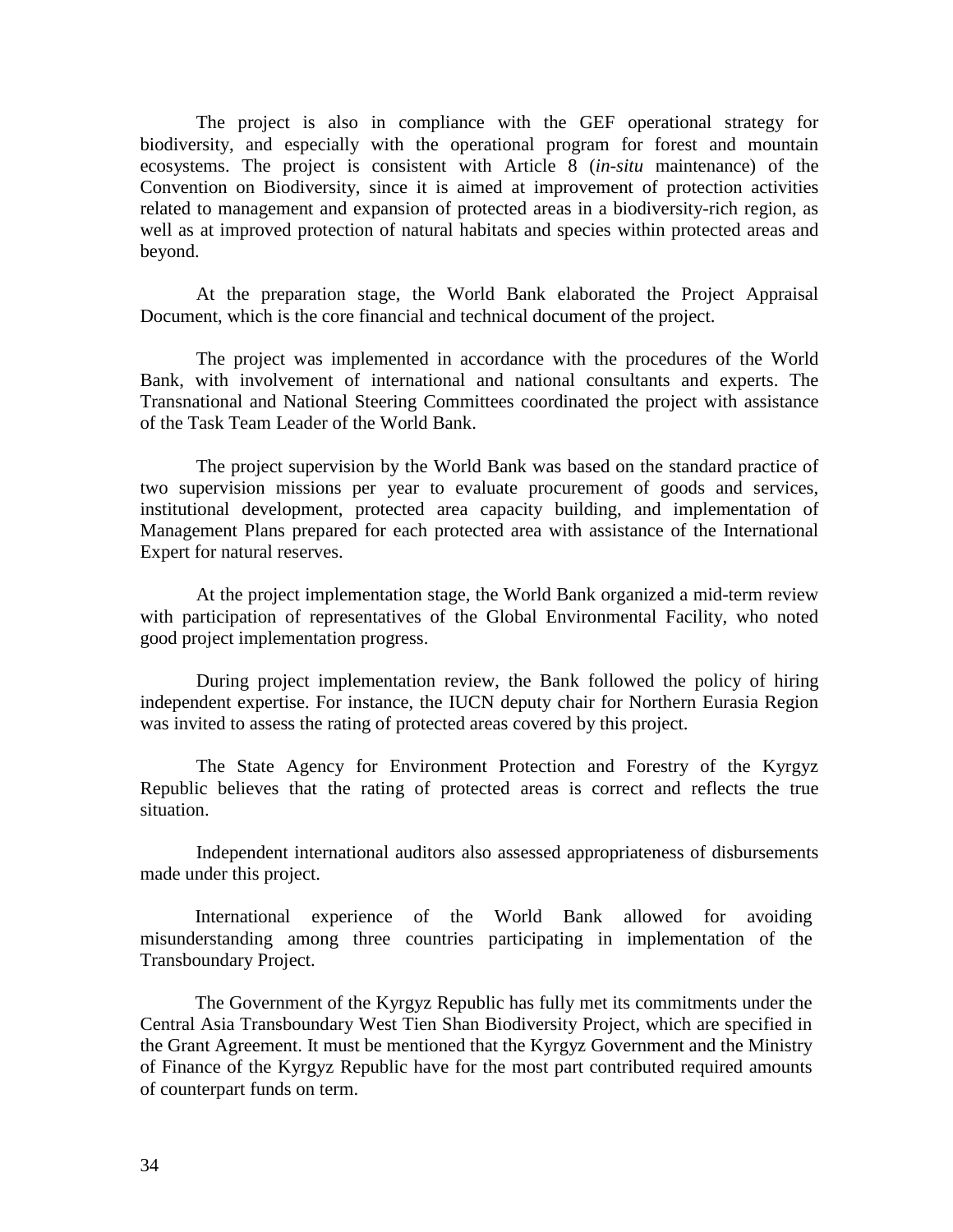The project is also in compliance with the GEF operational strategy for biodiversity, and especially with the operational program for forest and mountain ecosystems. The project is consistent with Article 8 (*in-situ* maintenance) of the Convention on Biodiversity, since it is aimed at improvement of protection activities related to management and expansion of protected areas in a biodiversity-rich region, as well as at improved protection of natural habitats and species within protected areas and beyond.

At the preparation stage, the World Bank elaborated the Project Appraisal Document, which is the core financial and technical document of the project.

The project was implemented in accordance with the procedures of the World Bank, with involvement of international and national consultants and experts. The Transnational and National Steering Committees coordinated the project with assistance of the Task Team Leader of the World Bank.

The project supervision by the World Bank was based on the standard practice of two supervision missions per year to evaluate procurement of goods and services, institutional development, protected area capacity building, and implementation of Management Plans prepared for each protected area with assistance of the International Expert for natural reserves.

At the project implementation stage, the World Bank organized a mid-term review with participation of representatives of the Global Environmental Facility, who noted good project implementation progress.

During project implementation review, the Bank followed the policy of hiring independent expertise. For instance, the IUCN deputy chair for Northern Eurasia Region was invited to assess the rating of protected areas covered by this project.

The State Agency for Environment Protection and Forestry of the Kyrgyz Republic believes that the rating of protected areas is correct and reflects the true situation.

Independent international auditors also assessed appropriateness of disbursements made under this project.

International experience of the World Bank allowed for avoiding misunderstanding among three countries participating in implementation of the Transboundary Project.

The Government of the Kyrgyz Republic has fully met its commitments under the Central Asia Transboundary West Tien Shan Biodiversity Project, which are specified in the Grant Agreement. It must be mentioned that the Kyrgyz Government and the Ministry of Finance of the Kyrgyz Republic have for the most part contributed required amounts of counterpart funds on term.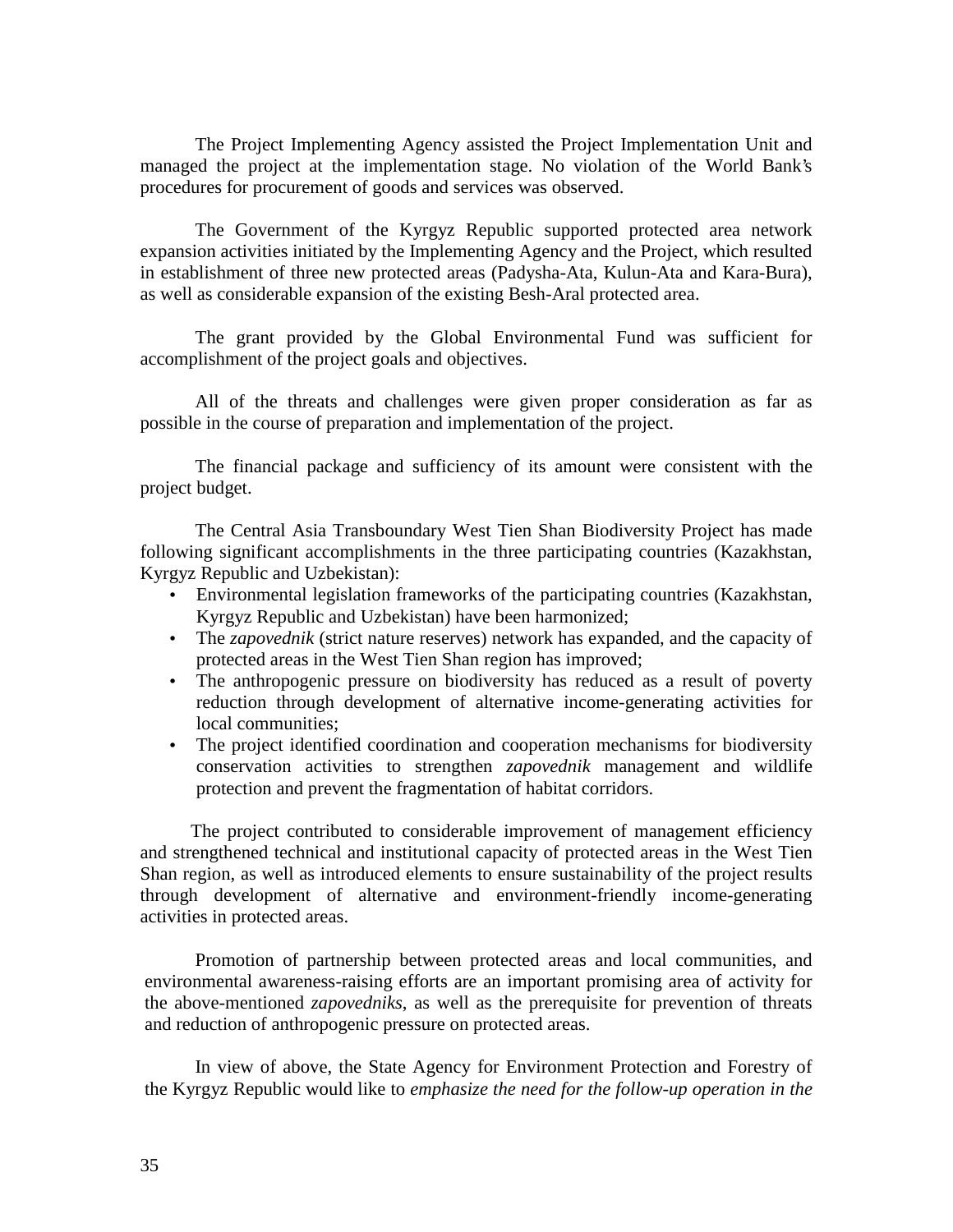The Project Implementing Agency assisted the Project Implementation Unit and managed the project at the implementation stage. No violation of the World Bank's procedures for procurement of goods and services was observed.

The Government of the Kyrgyz Republic supported protected area network expansion activities initiated by the Implementing Agency and the Project, which resulted in establishment of three new protected areas (Padysha-Ata, Kulun-Ata and Kara-Bura), as well as considerable expansion of the existing Besh-Aral protected area.

The grant provided by the Global Environmental Fund was sufficient for accomplishment of the project goals and objectives.

All of the threats and challenges were given proper consideration as far as possible in the course of preparation and implementation of the project.

The financial package and sufficiency of its amount were consistent with the project budget.

The Central Asia Transboundary West Tien Shan Biodiversity Project has made following significant accomplishments in the three participating countries (Kazakhstan, Kyrgyz Republic and Uzbekistan):

- Environmental legislation frameworks of the participating countries (Kazakhstan, Kyrgyz Republic and Uzbekistan) have been harmonized;
- The *zapovednik* (strict nature reserves) network has expanded, and the capacity of protected areas in the West Tien Shan region has improved;
- The anthropogenic pressure on biodiversity has reduced as a result of poverty reduction through development of alternative income-generating activities for local communities;
- The project identified coordination and cooperation mechanisms for biodiversity conservation activities to strengthen *zapovednik* management and wildlife protection and prevent the fragmentation of habitat corridors.

The project contributed to considerable improvement of management efficiency and strengthened technical and institutional capacity of protected areas in the West Tien Shan region, as well as introduced elements to ensure sustainability of the project results through development of alternative and environment-friendly income-generating activities in protected areas.

Promotion of partnership between protected areas and local communities, and environmental awareness-raising efforts are an important promising area of activity for the above-mentioned *zapovedniks*, as well as the prerequisite for prevention of threats and reduction of anthropogenic pressure on protected areas.

In view of above, the State Agency for Environment Protection and Forestry of the Kyrgyz Republic would like to *emphasize the need for the follow-up operation in the*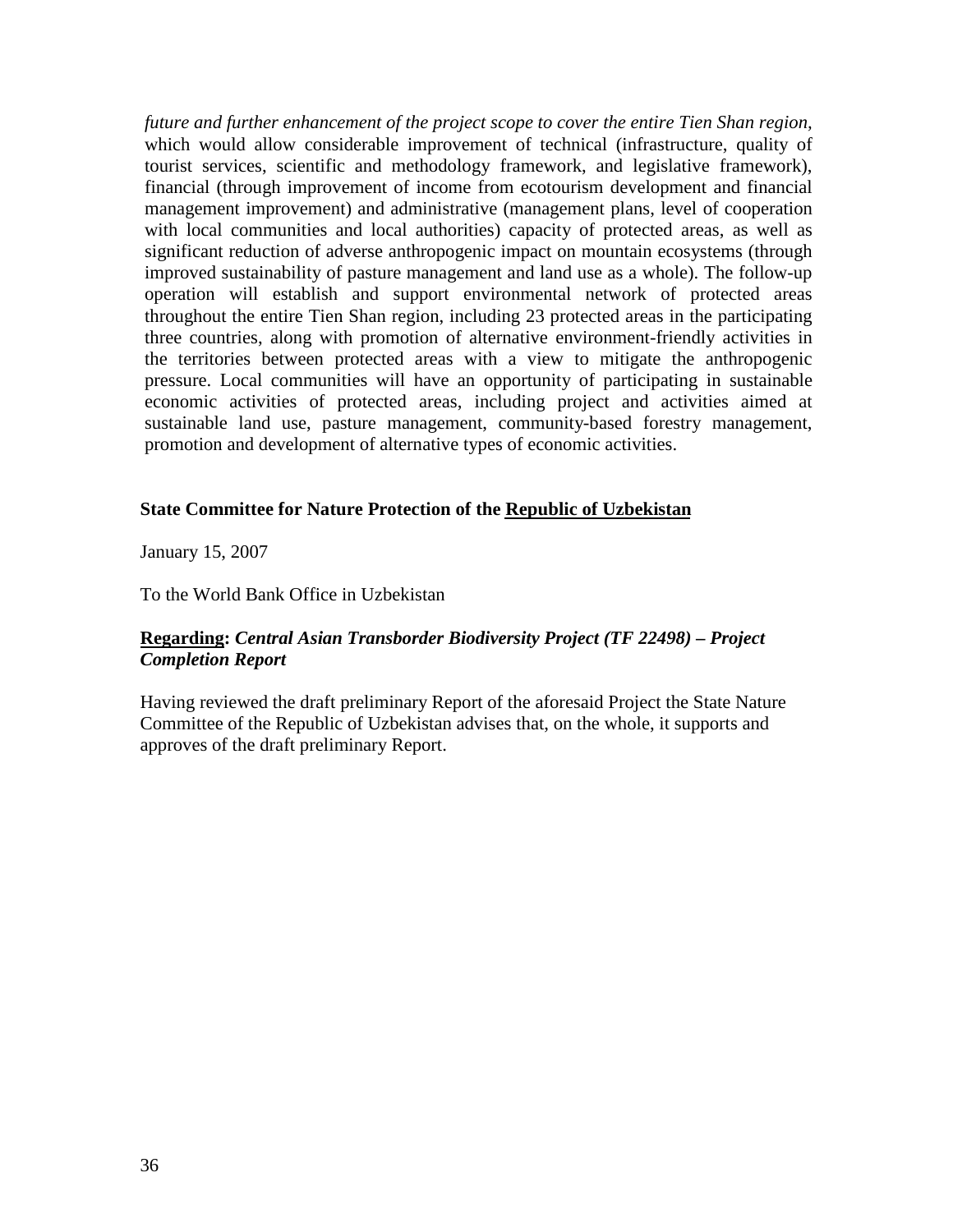*future and further enhancement of the project scope to cover the entire Tien Shan region,* which would allow considerable improvement of technical (infrastructure, quality of tourist services, scientific and methodology framework, and legislative framework), financial (through improvement of income from ecotourism development and financial management improvement) and administrative (management plans, level of cooperation with local communities and local authorities) capacity of protected areas, as well as significant reduction of adverse anthropogenic impact on mountain ecosystems (through improved sustainability of pasture management and land use as a whole). The follow-up operation will establish and support environmental network of protected areas throughout the entire Tien Shan region, including 23 protected areas in the participating three countries, along with promotion of alternative environment-friendly activities in the territories between protected areas with a view to mitigate the anthropogenic pressure. Local communities will have an opportunity of participating in sustainable economic activities of protected areas, including project and activities aimed at sustainable land use, pasture management, community-based forestry management, promotion and development of alternative types of economic activities.

#### **State Committee for Nature Protection of the Republic of Uzbekistan**

January 15, 2007

To the World Bank Office in Uzbekistan

## **Regarding:** *Central Asian Transborder Biodiversity Project (TF 22498) – Project Completion Report*

Having reviewed the draft preliminary Report of the aforesaid Project the State Nature Committee of the Republic of Uzbekistan advises that, on the whole, it supports and approves of the draft preliminary Report.